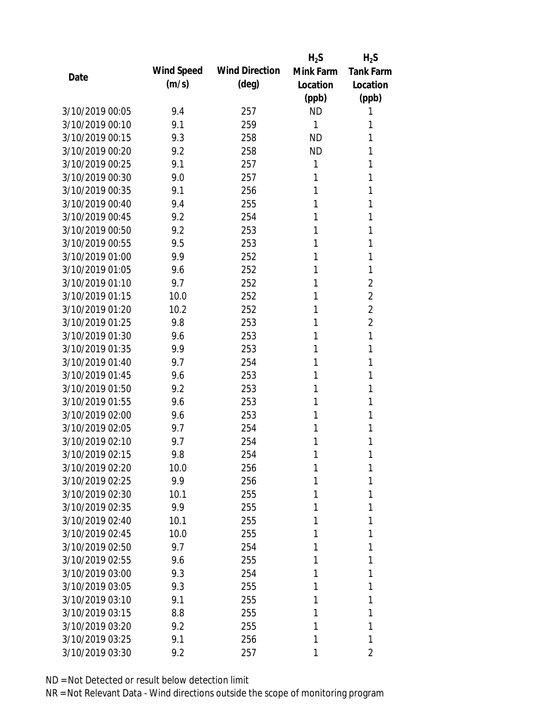|                 |            |                       | $H_2S$    | $H_2S$           |
|-----------------|------------|-----------------------|-----------|------------------|
| Date            | Wind Speed | <b>Wind Direction</b> | Mink Farm | <b>Tank Farm</b> |
|                 | (m/s)      | $(\text{deg})$        | Location  | Location         |
|                 |            |                       | (ppb)     | (ppb)            |
| 3/10/2019 00:05 | 9.4        | 257                   | <b>ND</b> | 1                |
| 3/10/2019 00:10 | 9.1        | 259                   | 1         | 1                |
| 3/10/2019 00:15 | 9.3        | 258                   | <b>ND</b> | 1                |
| 3/10/2019 00:20 | 9.2        | 258                   | <b>ND</b> | 1                |
| 3/10/2019 00:25 | 9.1        | 257                   | 1         | 1                |
| 3/10/2019 00:30 | 9.0        | 257                   | 1         | 1                |
| 3/10/2019 00:35 | 9.1        | 256                   | 1         | 1                |
| 3/10/2019 00:40 | 9.4        | 255                   | 1         | 1                |
| 3/10/2019 00:45 | 9.2        | 254                   | 1         | 1                |
| 3/10/2019 00:50 | 9.2        | 253                   | 1         | 1                |
| 3/10/2019 00:55 | 9.5        | 253                   | 1         | 1                |
| 3/10/2019 01:00 | 9.9        | 252                   | 1         | 1                |
| 3/10/2019 01:05 | 9.6        | 252                   | 1         | 1                |
| 3/10/2019 01:10 | 9.7        | 252                   | 1         | $\overline{2}$   |
| 3/10/2019 01:15 | 10.0       | 252                   | 1         | $\overline{2}$   |
| 3/10/2019 01:20 | 10.2       | 252                   | 1         | $\overline{2}$   |
| 3/10/2019 01:25 | 9.8        | 253                   | 1         | $\overline{2}$   |
| 3/10/2019 01:30 | 9.6        | 253                   | 1         | 1                |
| 3/10/2019 01:35 | 9.9        | 253                   | 1         | 1                |
| 3/10/2019 01:40 | 9.7        | 254                   | 1         | 1                |
| 3/10/2019 01:45 | 9.6        | 253                   | 1         | 1                |
| 3/10/2019 01:50 | 9.2        | 253                   | 1         | 1                |
| 3/10/2019 01:55 | 9.6        | 253                   | 1         | 1                |
| 3/10/2019 02:00 | 9.6        | 253                   | 1         | 1                |
| 3/10/2019 02:05 | 9.7        | 254                   | 1         | 1                |
| 3/10/2019 02:10 | 9.7        | 254                   | 1         | 1                |
| 3/10/2019 02:15 | 9.8        | 254                   | 1         | 1                |
| 3/10/2019 02:20 | 10.0       | 256                   | 1         | 1                |
| 3/10/2019 02:25 | 9.9        | 256                   | 1         | 1                |
| 3/10/2019 02:30 | 10.1       | 255                   | 1         | 1                |
| 3/10/2019 02:35 | 9.9        | 255                   | 1         | 1                |
| 3/10/2019 02:40 | 10.1       | 255                   | 1         | 1                |
| 3/10/2019 02:45 | 10.0       | 255                   | 1         | 1                |
| 3/10/2019 02:50 | 9.7        | 254                   | 1         | 1                |
| 3/10/2019 02:55 | 9.6        | 255                   | 1         | 1                |
| 3/10/2019 03:00 | 9.3        | 254                   | 1         | 1                |
| 3/10/2019 03:05 | 9.3        | 255                   | 1         | 1                |
| 3/10/2019 03:10 | 9.1        | 255                   | 1         | 1                |
| 3/10/2019 03:15 | 8.8        | 255                   | 1         | 1                |
| 3/10/2019 03:20 | 9.2        | 255                   | 1         | 1                |
| 3/10/2019 03:25 | 9.1        | 256                   | 1         | 1                |
| 3/10/2019 03:30 | 9.2        | 257                   | 1         | 2                |
|                 |            |                       |           |                  |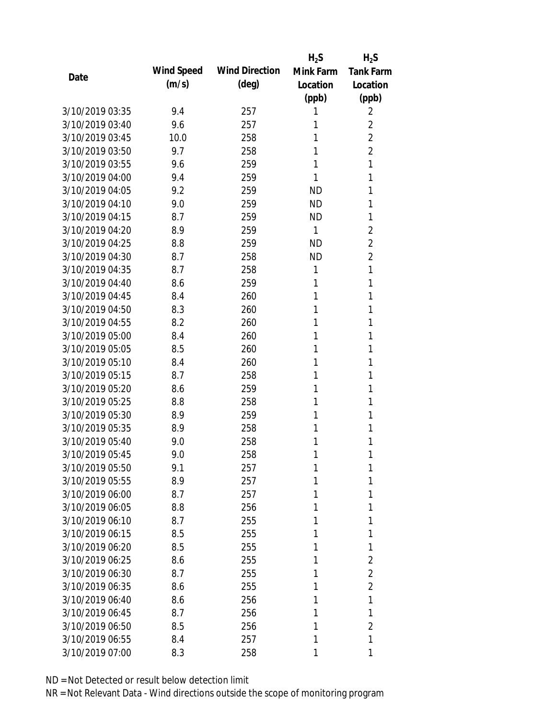|                 |            |                       | $H_2S$    | $H_2S$           |
|-----------------|------------|-----------------------|-----------|------------------|
|                 | Wind Speed | <b>Wind Direction</b> | Mink Farm | <b>Tank Farm</b> |
| Date            | (m/s)      | $(\text{deg})$        | Location  | Location         |
|                 |            |                       | (ppb)     | (ppb)            |
| 3/10/2019 03:35 | 9.4        | 257                   | 1         | 2                |
| 3/10/2019 03:40 | 9.6        | 257                   | 1         | 2                |
| 3/10/2019 03:45 | 10.0       | 258                   | 1         | $\overline{2}$   |
| 3/10/2019 03:50 | 9.7        | 258                   | 1         | $\overline{2}$   |
| 3/10/2019 03:55 | 9.6        | 259                   | 1         | 1                |
| 3/10/2019 04:00 | 9.4        | 259                   | 1         | 1                |
| 3/10/2019 04:05 | 9.2        | 259                   | <b>ND</b> | 1                |
| 3/10/2019 04:10 | 9.0        | 259                   | <b>ND</b> | 1                |
| 3/10/2019 04:15 | 8.7        | 259                   | <b>ND</b> | 1                |
| 3/10/2019 04:20 | 8.9        | 259                   | 1         | $\overline{2}$   |
| 3/10/2019 04:25 | 8.8        | 259                   | <b>ND</b> | $\overline{2}$   |
| 3/10/2019 04:30 | 8.7        | 258                   | <b>ND</b> | $\overline{2}$   |
| 3/10/2019 04:35 | 8.7        | 258                   | 1         | 1                |
| 3/10/2019 04:40 | 8.6        | 259                   | 1         | 1                |
| 3/10/2019 04:45 | 8.4        | 260                   | 1         | 1                |
| 3/10/2019 04:50 | 8.3        | 260                   | 1         | 1                |
| 3/10/2019 04:55 | 8.2        | 260                   | 1         | 1                |
| 3/10/2019 05:00 | 8.4        | 260                   | 1         | 1                |
| 3/10/2019 05:05 | 8.5        | 260                   | 1         | 1                |
| 3/10/2019 05:10 | 8.4        | 260                   | 1         | 1                |
| 3/10/2019 05:15 | 8.7        | 258                   | 1         | 1                |
| 3/10/2019 05:20 | 8.6        | 259                   | 1         | 1                |
| 3/10/2019 05:25 | 8.8        | 258                   | 1         | 1                |
| 3/10/2019 05:30 | 8.9        | 259                   | 1         | 1                |
| 3/10/2019 05:35 | 8.9        | 258                   | 1         | 1                |
| 3/10/2019 05:40 | 9.0        | 258                   | 1         | 1                |
| 3/10/2019 05:45 | 9.0        | 258                   | 1         | 1                |
| 3/10/2019 05:50 | 9.1        | 257                   | 1         | 1                |
| 3/10/2019 05:55 | 8.9        | 257                   | 1         | 1                |
| 3/10/2019 06:00 | 8.7        | 257                   | 1         | 1                |
| 3/10/2019 06:05 | 8.8        | 256                   | 1         | 1                |
| 3/10/2019 06:10 | 8.7        | 255                   | 1         | 1                |
| 3/10/2019 06:15 | 8.5        | 255                   | 1         | 1                |
| 3/10/2019 06:20 | 8.5        | 255                   | 1         | 1                |
| 3/10/2019 06:25 | 8.6        | 255                   | 1         | 2                |
| 3/10/2019 06:30 | 8.7        | 255                   | 1         | 2                |
| 3/10/2019 06:35 | 8.6        | 255                   | 1         | $\overline{2}$   |
| 3/10/2019 06:40 | 8.6        | 256                   | 1         | 1                |
| 3/10/2019 06:45 | 8.7        | 256                   | 1         | 1                |
| 3/10/2019 06:50 | 8.5        | 256                   | 1         | $\overline{2}$   |
| 3/10/2019 06:55 | 8.4        | 257                   | 1         | 1                |
| 3/10/2019 07:00 | 8.3        | 258                   | 1         | 1                |
|                 |            |                       |           |                  |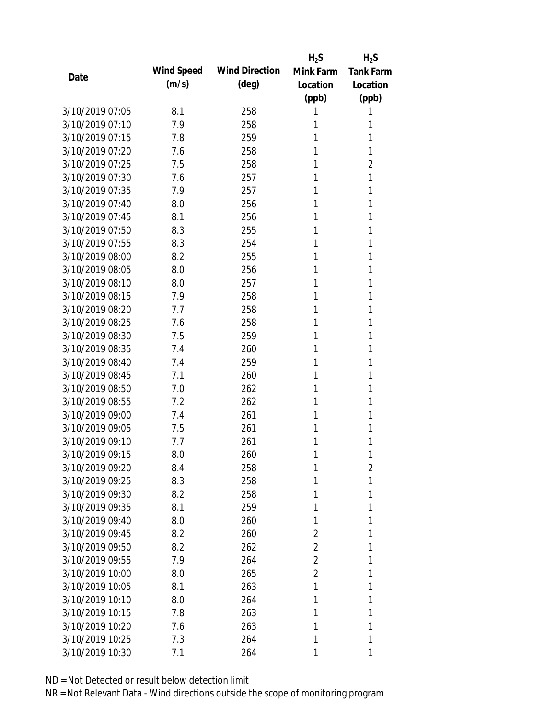|                 |            |                       | $H_2S$         | $H_2S$           |
|-----------------|------------|-----------------------|----------------|------------------|
| Date            | Wind Speed | <b>Wind Direction</b> | Mink Farm      | <b>Tank Farm</b> |
|                 | (m/s)      | $(\text{deg})$        | Location       | Location         |
|                 |            |                       | (ppb)          | (ppb)            |
| 3/10/2019 07:05 | 8.1        | 258                   | 1              | 1                |
| 3/10/2019 07:10 | 7.9        | 258                   | 1              | 1                |
| 3/10/2019 07:15 | 7.8        | 259                   | 1              | 1                |
| 3/10/2019 07:20 | 7.6        | 258                   | 1              | 1                |
| 3/10/2019 07:25 | 7.5        | 258                   | 1              | $\overline{2}$   |
| 3/10/2019 07:30 | 7.6        | 257                   | 1              | 1                |
| 3/10/2019 07:35 | 7.9        | 257                   | 1              | 1                |
| 3/10/2019 07:40 | 8.0        | 256                   | 1              | 1                |
| 3/10/2019 07:45 | 8.1        | 256                   | 1              | 1                |
| 3/10/2019 07:50 | 8.3        | 255                   | 1              | 1                |
| 3/10/2019 07:55 | 8.3        | 254                   | 1              | 1                |
| 3/10/2019 08:00 | 8.2        | 255                   | 1              | 1                |
| 3/10/2019 08:05 | 8.0        | 256                   | 1              | 1                |
| 3/10/2019 08:10 | 8.0        | 257                   | 1              | 1                |
| 3/10/2019 08:15 | 7.9        | 258                   | 1              | 1                |
| 3/10/2019 08:20 | 7.7        | 258                   | 1              | 1                |
| 3/10/2019 08:25 | 7.6        | 258                   | 1              | 1                |
| 3/10/2019 08:30 | 7.5        | 259                   | 1              | 1                |
| 3/10/2019 08:35 | 7.4        | 260                   | 1              | 1                |
| 3/10/2019 08:40 | 7.4        | 259                   | 1              | 1                |
| 3/10/2019 08:45 | 7.1        | 260                   | 1              | 1                |
| 3/10/2019 08:50 | 7.0        | 262                   | 1              | 1                |
| 3/10/2019 08:55 | 7.2        | 262                   | 1              | 1                |
| 3/10/2019 09:00 | 7.4        | 261                   | 1              | 1                |
| 3/10/2019 09:05 | 7.5        | 261                   | 1              | 1                |
| 3/10/2019 09:10 | 7.7        | 261                   | 1              | 1                |
| 3/10/2019 09:15 | 8.0        | 260                   | 1              | 1                |
| 3/10/2019 09:20 | 8.4        | 258                   | 1              | 2                |
| 3/10/2019 09:25 | 8.3        | 258                   | 1              | 1                |
| 3/10/2019 09:30 | 8.2        | 258                   | 1              | 1                |
| 3/10/2019 09:35 | 8.1        | 259                   | 1              | 1                |
| 3/10/2019 09:40 | 8.0        | 260                   | 1              | 1                |
| 3/10/2019 09:45 | 8.2        | 260                   | 2              | 1                |
| 3/10/2019 09:50 | 8.2        | 262                   | 2              | 1                |
| 3/10/2019 09:55 | 7.9        | 264                   | 2              | 1                |
| 3/10/2019 10:00 | 8.0        | 265                   | $\overline{2}$ | 1                |
| 3/10/2019 10:05 | 8.1        | 263                   | 1              | 1                |
| 3/10/2019 10:10 | 8.0        | 264                   | 1              | 1                |
| 3/10/2019 10:15 | 7.8        | 263                   | 1              | 1                |
| 3/10/2019 10:20 | 7.6        | 263                   | 1              | 1                |
| 3/10/2019 10:25 | 7.3        | 264                   | 1              | 1                |
| 3/10/2019 10:30 | 7.1        | 264                   | 1              | 1                |
|                 |            |                       |                |                  |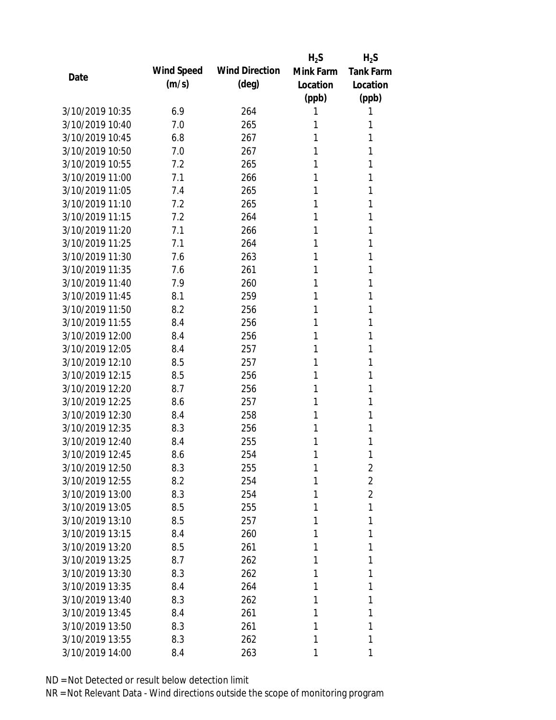|                 |            |                       | $H_2S$    | $H_2S$           |
|-----------------|------------|-----------------------|-----------|------------------|
| Date            | Wind Speed | <b>Wind Direction</b> | Mink Farm | <b>Tank Farm</b> |
|                 | (m/s)      | $(\text{deg})$        | Location  | Location         |
|                 |            |                       | (ppb)     | (ppb)            |
| 3/10/2019 10:35 | 6.9        | 264                   | 1         | 1                |
| 3/10/2019 10:40 | 7.0        | 265                   | 1         | 1                |
| 3/10/2019 10:45 | 6.8        | 267                   | 1         | 1                |
| 3/10/2019 10:50 | 7.0        | 267                   | 1         | 1                |
| 3/10/2019 10:55 | 7.2        | 265                   | 1         | 1                |
| 3/10/2019 11:00 | 7.1        | 266                   | 1         | 1                |
| 3/10/2019 11:05 | 7.4        | 265                   | 1         | 1                |
| 3/10/2019 11:10 | 7.2        | 265                   | 1         | 1                |
| 3/10/2019 11:15 | 7.2        | 264                   | 1         | 1                |
| 3/10/2019 11:20 | 7.1        | 266                   | 1         | 1                |
| 3/10/2019 11:25 | 7.1        | 264                   | 1         | 1                |
| 3/10/2019 11:30 | 7.6        | 263                   | 1         | 1                |
| 3/10/2019 11:35 | 7.6        | 261                   | 1         | 1                |
| 3/10/2019 11:40 | 7.9        | 260                   | 1         | 1                |
| 3/10/2019 11:45 | 8.1        | 259                   | 1         | 1                |
| 3/10/2019 11:50 | 8.2        | 256                   | 1         | 1                |
| 3/10/2019 11:55 | 8.4        | 256                   | 1         | 1                |
| 3/10/2019 12:00 | 8.4        | 256                   | 1         | 1                |
| 3/10/2019 12:05 | 8.4        | 257                   | 1         | 1                |
| 3/10/2019 12:10 | 8.5        | 257                   | 1         | 1                |
| 3/10/2019 12:15 | 8.5        | 256                   | 1         | 1                |
| 3/10/2019 12:20 | 8.7        | 256                   | 1         | 1                |
| 3/10/2019 12:25 | 8.6        | 257                   | 1         | 1                |
| 3/10/2019 12:30 | 8.4        | 258                   | 1         | 1                |
| 3/10/2019 12:35 | 8.3        | 256                   | 1         | 1                |
| 3/10/2019 12:40 | 8.4        | 255                   | 1         | 1                |
| 3/10/2019 12:45 | 8.6        | 254                   | 1         | 1                |
| 3/10/2019 12:50 | 8.3        | 255                   | 1         | 2                |
| 3/10/2019 12:55 | 8.2        | 254                   | 1         | $\overline{2}$   |
| 3/10/2019 13:00 | 8.3        | 254                   | 1         | $\overline{2}$   |
| 3/10/2019 13:05 | 8.5        | 255                   | 1         | 1                |
| 3/10/2019 13:10 | 8.5        | 257                   | 1         | 1                |
| 3/10/2019 13:15 | 8.4        | 260                   | 1         | 1                |
| 3/10/2019 13:20 | 8.5        | 261                   | 1         | 1                |
| 3/10/2019 13:25 | 8.7        | 262                   | 1         | 1                |
| 3/10/2019 13:30 | 8.3        | 262                   | 1         | 1                |
| 3/10/2019 13:35 | 8.4        | 264                   | 1         | 1                |
| 3/10/2019 13:40 | 8.3        | 262                   | 1         | 1                |
| 3/10/2019 13:45 | 8.4        | 261                   | 1         | 1                |
| 3/10/2019 13:50 | 8.3        | 261                   | 1         | 1                |
| 3/10/2019 13:55 | 8.3        | 262                   | 1         | 1                |
| 3/10/2019 14:00 | 8.4        | 263                   | 1         | 1                |
|                 |            |                       |           |                  |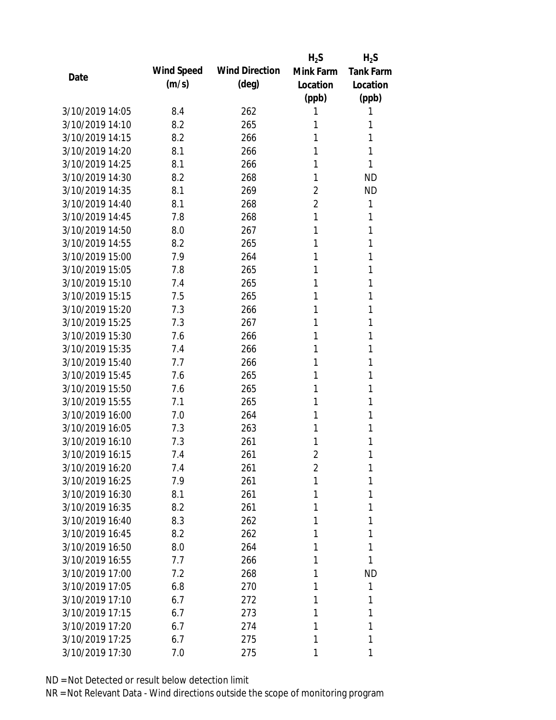|                 |            |                       | $H_2S$         | $H_2S$           |
|-----------------|------------|-----------------------|----------------|------------------|
|                 | Wind Speed | <b>Wind Direction</b> | Mink Farm      | <b>Tank Farm</b> |
| Date            | (m/s)      | $(\text{deg})$        | Location       | Location         |
|                 |            |                       | (ppb)          | (ppb)            |
| 3/10/2019 14:05 | 8.4        | 262                   | 1              | 1                |
| 3/10/2019 14:10 | 8.2        | 265                   | 1              | 1                |
| 3/10/2019 14:15 | 8.2        | 266                   | 1              | 1                |
| 3/10/2019 14:20 | 8.1        | 266                   | 1              | 1                |
| 3/10/2019 14:25 | 8.1        | 266                   | 1              | 1                |
| 3/10/2019 14:30 | 8.2        | 268                   | 1              | <b>ND</b>        |
| 3/10/2019 14:35 | 8.1        | 269                   | 2              | <b>ND</b>        |
| 3/10/2019 14:40 | 8.1        | 268                   | $\overline{2}$ | 1                |
| 3/10/2019 14:45 | 7.8        | 268                   | 1              | 1                |
| 3/10/2019 14:50 | 8.0        | 267                   | 1              | 1                |
| 3/10/2019 14:55 | 8.2        | 265                   | 1              | 1                |
| 3/10/2019 15:00 | 7.9        | 264                   | 1              | 1                |
| 3/10/2019 15:05 | 7.8        | 265                   | 1              | 1                |
| 3/10/2019 15:10 | 7.4        | 265                   | 1              | 1                |
| 3/10/2019 15:15 | 7.5        | 265                   | 1              | 1                |
| 3/10/2019 15:20 | 7.3        | 266                   | 1              | 1                |
| 3/10/2019 15:25 | 7.3        | 267                   | 1              | 1                |
| 3/10/2019 15:30 | 7.6        | 266                   | 1              | 1                |
| 3/10/2019 15:35 | 7.4        | 266                   | 1              | 1                |
| 3/10/2019 15:40 | 7.7        | 266                   | 1              | 1                |
| 3/10/2019 15:45 | 7.6        | 265                   | 1              | 1                |
| 3/10/2019 15:50 | 7.6        | 265                   | 1              | 1                |
| 3/10/2019 15:55 | 7.1        | 265                   | 1              | 1                |
| 3/10/2019 16:00 | 7.0        | 264                   | 1              | 1                |
| 3/10/2019 16:05 | 7.3        | 263                   | 1              | 1                |
| 3/10/2019 16:10 | 7.3        | 261                   | 1              | 1                |
| 3/10/2019 16:15 | 7.4        | 261                   | $\overline{2}$ | 1                |
| 3/10/2019 16:20 | 7.4        | 261                   | $\overline{2}$ | 1                |
| 3/10/2019 16:25 | 7.9        | 261                   | 1              | 1                |
| 3/10/2019 16:30 | 8.1        | 261                   | 1              | 1                |
| 3/10/2019 16:35 | 8.2        | 261                   | 1              | 1                |
| 3/10/2019 16:40 | 8.3        | 262                   | 1              | 1                |
| 3/10/2019 16:45 | 8.2        | 262                   | 1              | 1                |
| 3/10/2019 16:50 | 8.0        | 264                   | 1              | 1                |
| 3/10/2019 16:55 | 7.7        | 266                   | 1              | 1                |
| 3/10/2019 17:00 | 7.2        | 268                   | 1              | <b>ND</b>        |
| 3/10/2019 17:05 | 6.8        | 270                   | 1              | 1                |
| 3/10/2019 17:10 | 6.7        | 272                   | 1              | 1                |
| 3/10/2019 17:15 | 6.7        | 273                   | 1              | 1                |
| 3/10/2019 17:20 | 6.7        | 274                   | 1              | 1                |
| 3/10/2019 17:25 | 6.7        | 275                   | 1              | 1                |
| 3/10/2019 17:30 | 7.0        | 275                   | 1              | 1                |
|                 |            |                       |                |                  |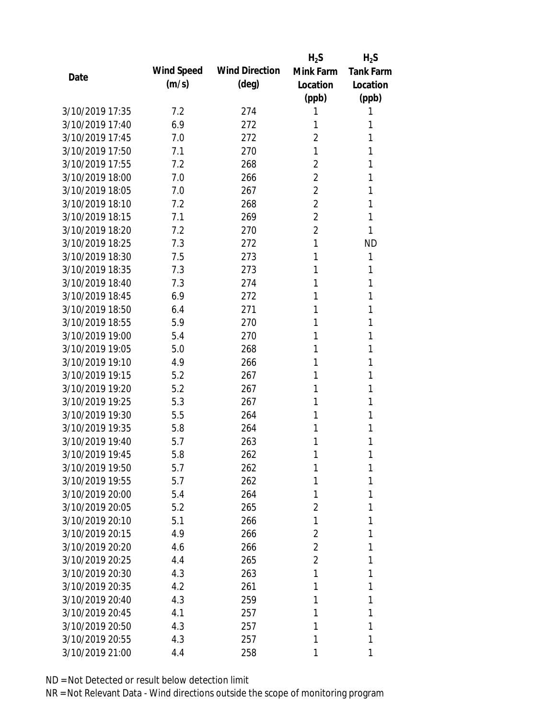|                 |            |                       | $H_2S$         | $H_2S$           |
|-----------------|------------|-----------------------|----------------|------------------|
| Date            | Wind Speed | <b>Wind Direction</b> | Mink Farm      | <b>Tank Farm</b> |
|                 | (m/s)      | $(\text{deg})$        | Location       | Location         |
|                 |            |                       | (ppb)          | (ppb)            |
| 3/10/2019 17:35 | 7.2        | 274                   | 1              | 1                |
| 3/10/2019 17:40 | 6.9        | 272                   | 1              | 1                |
| 3/10/2019 17:45 | 7.0        | 272                   | $\overline{2}$ | 1                |
| 3/10/2019 17:50 | 7.1        | 270                   | 1              | 1                |
| 3/10/2019 17:55 | 7.2        | 268                   | $\overline{2}$ | 1                |
| 3/10/2019 18:00 | 7.0        | 266                   | 2              | 1                |
| 3/10/2019 18:05 | 7.0        | 267                   | $\overline{2}$ | 1                |
| 3/10/2019 18:10 | 7.2        | 268                   | $\overline{2}$ | 1                |
| 3/10/2019 18:15 | 7.1        | 269                   | $\overline{2}$ | 1                |
| 3/10/2019 18:20 | 7.2        | 270                   | $\overline{2}$ | 1                |
| 3/10/2019 18:25 | 7.3        | 272                   | 1              | <b>ND</b>        |
| 3/10/2019 18:30 | 7.5        | 273                   | 1              | 1                |
| 3/10/2019 18:35 | 7.3        | 273                   | 1              | 1                |
| 3/10/2019 18:40 | 7.3        | 274                   | 1              | 1                |
| 3/10/2019 18:45 | 6.9        | 272                   | 1              | 1                |
| 3/10/2019 18:50 | 6.4        | 271                   | 1              | 1                |
| 3/10/2019 18:55 | 5.9        | 270                   | 1              | 1                |
| 3/10/2019 19:00 | 5.4        | 270                   | 1              | 1                |
| 3/10/2019 19:05 | 5.0        | 268                   | 1              | 1                |
| 3/10/2019 19:10 | 4.9        | 266                   | 1              | 1                |
| 3/10/2019 19:15 | 5.2        | 267                   | 1              | 1                |
| 3/10/2019 19:20 | 5.2        | 267                   | 1              | 1                |
| 3/10/2019 19:25 | 5.3        | 267                   | 1              | 1                |
| 3/10/2019 19:30 | 5.5        | 264                   | 1              | 1                |
| 3/10/2019 19:35 | 5.8        | 264                   | 1              | 1                |
| 3/10/2019 19:40 | 5.7        | 263                   | 1              | 1                |
| 3/10/2019 19:45 | 5.8        | 262                   | 1              | 1                |
| 3/10/2019 19:50 | 5.7        | 262                   | 1              | 1                |
| 3/10/2019 19:55 | 5.7        | 262                   | 1              | 1                |
| 3/10/2019 20:00 | 5.4        | 264                   | 1              | 1                |
| 3/10/2019 20:05 | 5.2        | 265                   | 2              | 1                |
| 3/10/2019 20:10 | 5.1        | 266                   | 1              | 1                |
| 3/10/2019 20:15 | 4.9        | 266                   | 2              | 1                |
| 3/10/2019 20:20 | 4.6        | 266                   | 2              | 1                |
| 3/10/2019 20:25 | 4.4        | 265                   | $\overline{2}$ | 1                |
| 3/10/2019 20:30 | 4.3        | 263                   | 1              | 1                |
| 3/10/2019 20:35 | 4.2        | 261                   | 1              | 1                |
| 3/10/2019 20:40 | 4.3        | 259                   | 1              | 1                |
| 3/10/2019 20:45 | 4.1        | 257                   | 1              | 1                |
| 3/10/2019 20:50 | 4.3        | 257                   | 1              | 1                |
| 3/10/2019 20:55 | 4.3        | 257                   | 1              | 1                |
| 3/10/2019 21:00 | 4.4        | 258                   | 1              | 1                |
|                 |            |                       |                |                  |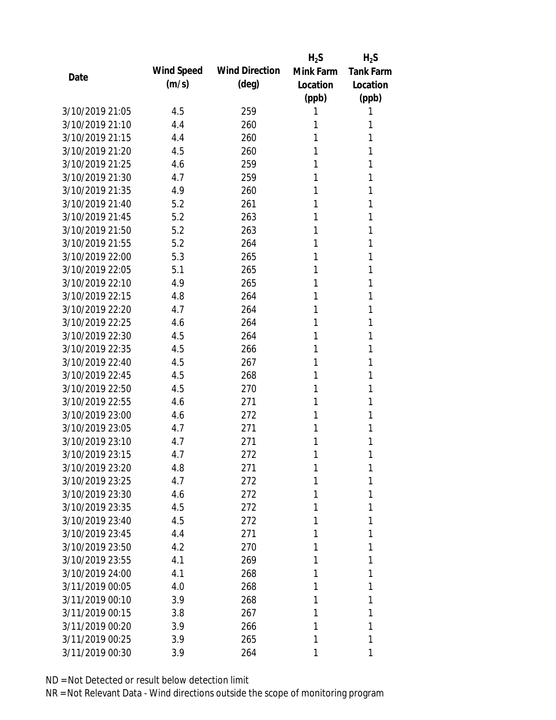|                 |            |                       | $H_2S$    | $H_2S$           |
|-----------------|------------|-----------------------|-----------|------------------|
| Date            | Wind Speed | <b>Wind Direction</b> | Mink Farm | <b>Tank Farm</b> |
|                 | (m/s)      | $(\text{deg})$        | Location  | Location         |
|                 |            |                       | (ppb)     | (ppb)            |
| 3/10/2019 21:05 | 4.5        | 259                   | 1         | 1                |
| 3/10/2019 21:10 | 4.4        | 260                   | 1         | 1                |
| 3/10/2019 21:15 | 4.4        | 260                   | 1         | 1                |
| 3/10/2019 21:20 | 4.5        | 260                   | 1         | 1                |
| 3/10/2019 21:25 | 4.6        | 259                   | 1         | 1                |
| 3/10/2019 21:30 | 4.7        | 259                   | 1         | 1                |
| 3/10/2019 21:35 | 4.9        | 260                   | 1         | 1                |
| 3/10/2019 21:40 | 5.2        | 261                   | 1         | 1                |
| 3/10/2019 21:45 | 5.2        | 263                   | 1         | 1                |
| 3/10/2019 21:50 | 5.2        | 263                   | 1         | 1                |
| 3/10/2019 21:55 | 5.2        | 264                   | 1         | 1                |
| 3/10/2019 22:00 | 5.3        | 265                   | 1         | 1                |
| 3/10/2019 22:05 | 5.1        | 265                   | 1         | 1                |
| 3/10/2019 22:10 | 4.9        | 265                   | 1         | 1                |
| 3/10/2019 22:15 | 4.8        | 264                   | 1         | 1                |
| 3/10/2019 22:20 | 4.7        | 264                   | 1         | 1                |
| 3/10/2019 22:25 | 4.6        | 264                   | 1         | 1                |
| 3/10/2019 22:30 | 4.5        | 264                   | 1         | 1                |
| 3/10/2019 22:35 | 4.5        | 266                   | 1         | 1                |
| 3/10/2019 22:40 | 4.5        | 267                   | 1         | 1                |
| 3/10/2019 22:45 | 4.5        | 268                   | 1         | 1                |
| 3/10/2019 22:50 | 4.5        | 270                   | 1         | 1                |
| 3/10/2019 22:55 | 4.6        | 271                   | 1         | 1                |
| 3/10/2019 23:00 | 4.6        | 272                   | 1         | 1                |
| 3/10/2019 23:05 | 4.7        | 271                   | 1         | 1                |
| 3/10/2019 23:10 | 4.7        | 271                   | 1         | 1                |
| 3/10/2019 23:15 | 4.7        | 272                   | 1         | 1                |
| 3/10/2019 23:20 | 4.8        | 271                   | 1         | 1                |
| 3/10/2019 23:25 | 4.7        | 272                   | 1         | 1                |
| 3/10/2019 23:30 | 4.6        | 272                   | 1         | 1                |
| 3/10/2019 23:35 | 4.5        | 272                   | 1         | 1                |
| 3/10/2019 23:40 | 4.5        | 272                   | 1         | 1                |
| 3/10/2019 23:45 | 4.4        | 271                   | 1         | 1                |
| 3/10/2019 23:50 | 4.2        | 270                   | 1         | 1                |
| 3/10/2019 23:55 | 4.1        | 269                   | 1         | 1                |
| 3/10/2019 24:00 | 4.1        | 268                   | 1         | 1                |
| 3/11/2019 00:05 | 4.0        | 268                   | 1         | 1                |
| 3/11/2019 00:10 | 3.9        | 268                   | 1         | 1                |
| 3/11/2019 00:15 | 3.8        | 267                   | 1         | 1                |
| 3/11/2019 00:20 | 3.9        | 266                   | 1         | 1                |
| 3/11/2019 00:25 | 3.9        | 265                   | 1         | 1                |
| 3/11/2019 00:30 | 3.9        | 264                   | 1         | 1                |
|                 |            |                       |           |                  |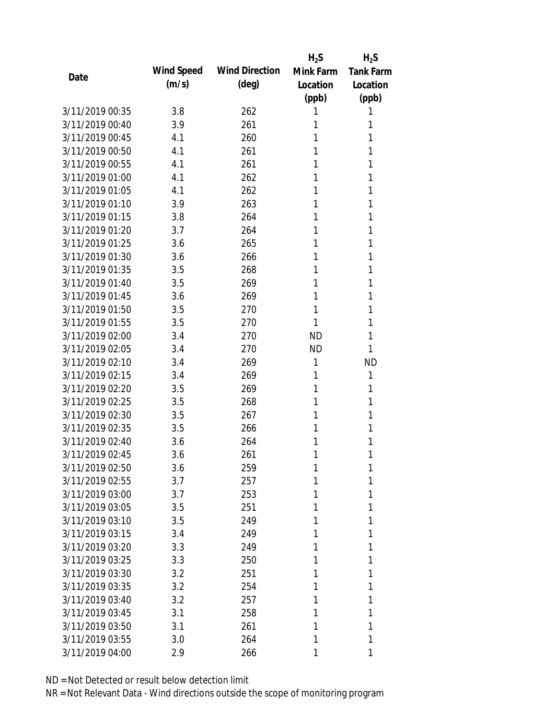|                 |            |                       | $H_2S$    | $H_2S$           |
|-----------------|------------|-----------------------|-----------|------------------|
|                 | Wind Speed | <b>Wind Direction</b> | Mink Farm | <b>Tank Farm</b> |
| Date            | (m/s)      | $(\text{deg})$        | Location  | Location         |
|                 |            |                       | (ppb)     | (ppb)            |
| 3/11/2019 00:35 | 3.8        | 262                   | 1         | 1                |
| 3/11/2019 00:40 | 3.9        | 261                   | 1         | 1                |
| 3/11/2019 00:45 | 4.1        | 260                   | 1         | 1                |
| 3/11/2019 00:50 | 4.1        | 261                   | 1         | 1                |
| 3/11/2019 00:55 | 4.1        | 261                   | 1         | 1                |
| 3/11/2019 01:00 | 4.1        | 262                   | 1         | 1                |
| 3/11/2019 01:05 | 4.1        | 262                   | 1         | 1                |
| 3/11/2019 01:10 | 3.9        | 263                   | 1         | 1                |
| 3/11/2019 01:15 | 3.8        | 264                   | 1         | 1                |
| 3/11/2019 01:20 | 3.7        | 264                   | 1         | 1                |
| 3/11/2019 01:25 | 3.6        | 265                   | 1         | 1                |
| 3/11/2019 01:30 | 3.6        | 266                   | 1         | 1                |
| 3/11/2019 01:35 | 3.5        | 268                   | 1         | 1                |
| 3/11/2019 01:40 | 3.5        | 269                   | 1         | 1                |
| 3/11/2019 01:45 | 3.6        | 269                   | 1         | 1                |
| 3/11/2019 01:50 | 3.5        | 270                   | 1         | 1                |
| 3/11/2019 01:55 | 3.5        | 270                   | 1         | 1                |
| 3/11/2019 02:00 | 3.4        | 270                   | <b>ND</b> | 1                |
| 3/11/2019 02:05 | 3.4        | 270                   | <b>ND</b> | 1                |
| 3/11/2019 02:10 | 3.4        | 269                   | 1         | <b>ND</b>        |
| 3/11/2019 02:15 | 3.4        | 269                   | 1         | 1                |
| 3/11/2019 02:20 | 3.5        | 269                   | 1         | 1                |
| 3/11/2019 02:25 | 3.5        | 268                   | 1         | 1                |
| 3/11/2019 02:30 | 3.5        | 267                   | 1         | 1                |
| 3/11/2019 02:35 | 3.5        | 266                   | 1         | 1                |
| 3/11/2019 02:40 | 3.6        | 264                   | 1         | 1                |
| 3/11/2019 02:45 | 3.6        | 261                   | 1         | 1                |
| 3/11/2019 02:50 | 3.6        | 259                   | 1         | 1                |
| 3/11/2019 02:55 | 3.7        | 257                   | 1         | 1                |
| 3/11/2019 03:00 | 3.7        | 253                   | 1         | 1                |
| 3/11/2019 03:05 | 3.5        | 251                   | 1         | 1                |
| 3/11/2019 03:10 | 3.5        | 249                   | 1         | 1                |
| 3/11/2019 03:15 | 3.4        | 249                   | 1         | 1                |
| 3/11/2019 03:20 | 3.3        | 249                   | 1         | 1                |
| 3/11/2019 03:25 | 3.3        | 250                   | 1         | 1                |
| 3/11/2019 03:30 | 3.2        | 251                   | 1         | 1                |
| 3/11/2019 03:35 | 3.2        | 254                   | 1         | 1                |
| 3/11/2019 03:40 | 3.2        | 257                   | 1         | 1                |
| 3/11/2019 03:45 | 3.1        | 258                   | 1         | 1                |
| 3/11/2019 03:50 | 3.1        | 261                   | 1         | 1                |
| 3/11/2019 03:55 | 3.0        | 264                   | 1         | 1                |
| 3/11/2019 04:00 | 2.9        | 266                   | 1         | 1                |
|                 |            |                       |           |                  |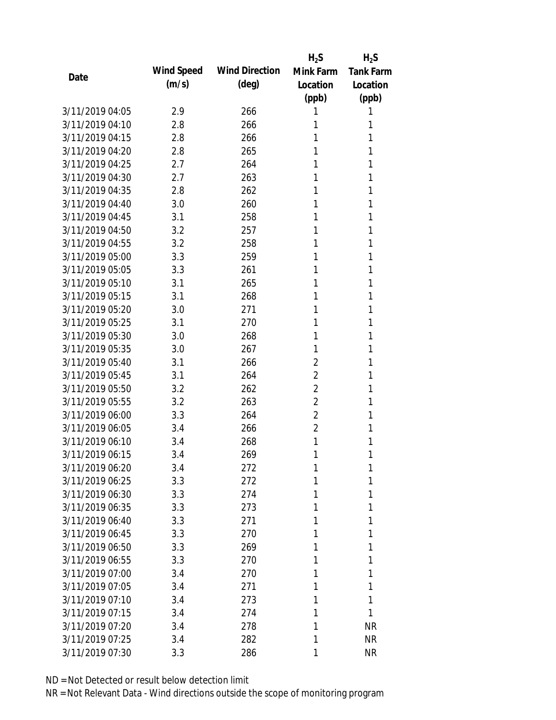|      |                 |            |                       | $H_2S$         | $H_2S$           |
|------|-----------------|------------|-----------------------|----------------|------------------|
| Date |                 | Wind Speed | <b>Wind Direction</b> | Mink Farm      | <b>Tank Farm</b> |
|      |                 | (m/s)      | $(\text{deg})$        | Location       | Location         |
|      |                 |            |                       | (ppb)          | (ppb)            |
|      | 3/11/2019 04:05 | 2.9        | 266                   | 1              | 1                |
|      | 3/11/2019 04:10 | 2.8        | 266                   | 1              | 1                |
|      | 3/11/2019 04:15 | 2.8        | 266                   | 1              | 1                |
|      | 3/11/2019 04:20 | 2.8        | 265                   | 1              | 1                |
|      | 3/11/2019 04:25 | 2.7        | 264                   | 1              | 1                |
|      | 3/11/2019 04:30 | 2.7        | 263                   | 1              | 1                |
|      | 3/11/2019 04:35 | 2.8        | 262                   | 1              | 1                |
|      | 3/11/2019 04:40 | 3.0        | 260                   | 1              | 1                |
|      | 3/11/2019 04:45 | 3.1        | 258                   | 1              | 1                |
|      | 3/11/2019 04:50 | 3.2        | 257                   | 1              | 1                |
|      | 3/11/2019 04:55 | 3.2        | 258                   | 1              | 1                |
|      | 3/11/2019 05:00 | 3.3        | 259                   | 1              | 1                |
|      | 3/11/2019 05:05 | 3.3        | 261                   | 1              | 1                |
|      | 3/11/2019 05:10 | 3.1        | 265                   | 1              | 1                |
|      | 3/11/2019 05:15 | 3.1        | 268                   | 1              | 1                |
|      | 3/11/2019 05:20 | 3.0        | 271                   | 1              | 1                |
|      | 3/11/2019 05:25 | 3.1        | 270                   | 1              | 1                |
|      | 3/11/2019 05:30 | 3.0        | 268                   | 1              | 1                |
|      | 3/11/2019 05:35 | 3.0        | 267                   | 1              | 1                |
|      | 3/11/2019 05:40 | 3.1        | 266                   | 2              | 1                |
|      | 3/11/2019 05:45 | 3.1        | 264                   | $\overline{2}$ | 1                |
|      | 3/11/2019 05:50 | 3.2        | 262                   | $\overline{2}$ | 1                |
|      | 3/11/2019 05:55 | 3.2        | 263                   | $\overline{2}$ | 1                |
|      | 3/11/2019 06:00 | 3.3        | 264                   | $\overline{2}$ | 1                |
|      | 3/11/2019 06:05 | 3.4        | 266                   | $\overline{2}$ | 1                |
|      | 3/11/2019 06:10 | 3.4        | 268                   | 1              | 1                |
|      | 3/11/2019 06:15 | 3.4        | 269                   | 1              | 1                |
|      | 3/11/2019 06:20 | 3.4        | 272                   | 1              | 1                |
|      | 3/11/2019 06:25 | 3.3        | 272                   | 1              | 1                |
|      | 3/11/2019 06:30 | 3.3        | 274                   | 1              | 1                |
|      | 3/11/2019 06:35 | 3.3        | 273                   | 1              | 1                |
|      | 3/11/2019 06:40 | 3.3        | 271                   | 1              | 1                |
|      | 3/11/2019 06:45 | 3.3        | 270                   | 1              | 1                |
|      | 3/11/2019 06:50 | 3.3        | 269                   | 1              | 1                |
|      | 3/11/2019 06:55 | 3.3        | 270                   | 1              | 1                |
|      | 3/11/2019 07:00 | 3.4        | 270                   | 1              | 1                |
|      | 3/11/2019 07:05 | 3.4        | 271                   | 1              | 1                |
|      | 3/11/2019 07:10 | 3.4        | 273                   | 1              | 1                |
|      | 3/11/2019 07:15 | 3.4        | 274                   | 1              | 1                |
|      | 3/11/2019 07:20 | 3.4        | 278                   | 1              | <b>NR</b>        |
|      | 3/11/2019 07:25 | 3.4        | 282                   | 1              | <b>NR</b>        |
|      | 3/11/2019 07:30 | 3.3        | 286                   | 1              | <b>NR</b>        |
|      |                 |            |                       |                |                  |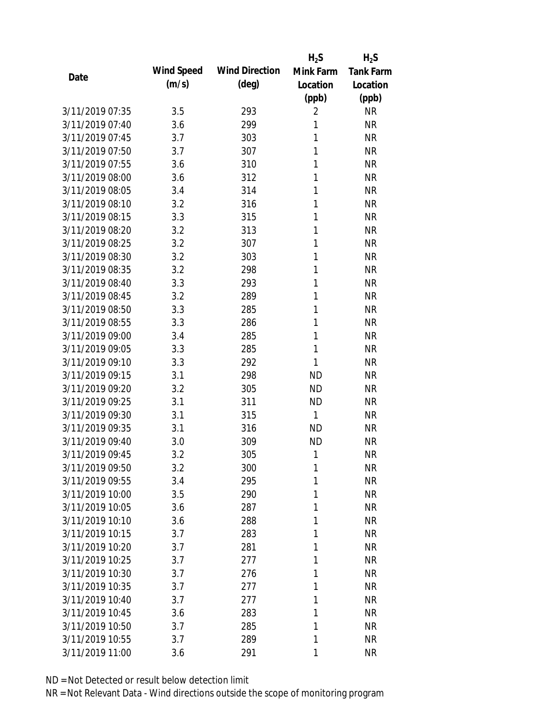|                 |            |                       | $H_2S$         | $H_2S$           |
|-----------------|------------|-----------------------|----------------|------------------|
| Date            | Wind Speed | <b>Wind Direction</b> | Mink Farm      | <b>Tank Farm</b> |
|                 | (m/s)      | $(\text{deg})$        | Location       | Location         |
|                 |            |                       | (ppb)          | (ppb)            |
| 3/11/2019 07:35 | 3.5        | 293                   | $\overline{2}$ | <b>NR</b>        |
| 3/11/2019 07:40 | 3.6        | 299                   | 1              | <b>NR</b>        |
| 3/11/2019 07:45 | 3.7        | 303                   | 1              | <b>NR</b>        |
| 3/11/2019 07:50 | 3.7        | 307                   | 1              | <b>NR</b>        |
| 3/11/2019 07:55 | 3.6        | 310                   | 1              | <b>NR</b>        |
| 3/11/2019 08:00 | 3.6        | 312                   | 1              | <b>NR</b>        |
| 3/11/2019 08:05 | 3.4        | 314                   | 1              | <b>NR</b>        |
| 3/11/2019 08:10 | 3.2        | 316                   | 1              | <b>NR</b>        |
| 3/11/2019 08:15 | 3.3        | 315                   | 1              | <b>NR</b>        |
| 3/11/2019 08:20 | 3.2        | 313                   | 1              | <b>NR</b>        |
| 3/11/2019 08:25 | 3.2        | 307                   | 1              | <b>NR</b>        |
| 3/11/2019 08:30 | 3.2        | 303                   | 1              | <b>NR</b>        |
| 3/11/2019 08:35 | 3.2        | 298                   | 1              | <b>NR</b>        |
| 3/11/2019 08:40 | 3.3        | 293                   | 1              | <b>NR</b>        |
| 3/11/2019 08:45 | 3.2        | 289                   | 1              | <b>NR</b>        |
| 3/11/2019 08:50 | 3.3        | 285                   | 1              | <b>NR</b>        |
| 3/11/2019 08:55 | 3.3        | 286                   | 1              | <b>NR</b>        |
| 3/11/2019 09:00 | 3.4        | 285                   | 1              | <b>NR</b>        |
| 3/11/2019 09:05 | 3.3        | 285                   | 1              | <b>NR</b>        |
| 3/11/2019 09:10 | 3.3        | 292                   | 1              | <b>NR</b>        |
| 3/11/2019 09:15 | 3.1        | 298                   | <b>ND</b>      | <b>NR</b>        |
| 3/11/2019 09:20 | 3.2        | 305                   | <b>ND</b>      | <b>NR</b>        |
| 3/11/2019 09:25 | 3.1        | 311                   | <b>ND</b>      | <b>NR</b>        |
| 3/11/2019 09:30 | 3.1        | 315                   | $\mathbf{1}$   | <b>NR</b>        |
| 3/11/2019 09:35 | 3.1        | 316                   | <b>ND</b>      | <b>NR</b>        |
| 3/11/2019 09:40 | 3.0        | 309                   | <b>ND</b>      | <b>NR</b>        |
| 3/11/2019 09:45 | 3.2        | 305                   | 1              | <b>NR</b>        |
| 3/11/2019 09:50 | 3.2        | 300                   | 1              | <b>NR</b>        |
| 3/11/2019 09:55 | 3.4        | 295                   | 1              | <b>NR</b>        |
| 3/11/2019 10:00 | 3.5        | 290                   | 1              | <b>NR</b>        |
| 3/11/2019 10:05 | 3.6        | 287                   | 1              | <b>NR</b>        |
| 3/11/2019 10:10 | 3.6        | 288                   | 1              | <b>NR</b>        |
| 3/11/2019 10:15 | 3.7        | 283                   | 1              | <b>NR</b>        |
| 3/11/2019 10:20 | 3.7        | 281                   | 1              | <b>NR</b>        |
| 3/11/2019 10:25 | 3.7        | 277                   | 1              | <b>NR</b>        |
| 3/11/2019 10:30 | 3.7        | 276                   | 1              | <b>NR</b>        |
| 3/11/2019 10:35 | 3.7        | 277                   | 1              | <b>NR</b>        |
| 3/11/2019 10:40 | 3.7        | 277                   | 1              | <b>NR</b>        |
| 3/11/2019 10:45 | 3.6        | 283                   | 1              | <b>NR</b>        |
| 3/11/2019 10:50 | 3.7        | 285                   | 1              | <b>NR</b>        |
| 3/11/2019 10:55 | 3.7        | 289                   | 1              | <b>NR</b>        |
| 3/11/2019 11:00 | 3.6        | 291                   | 1              | <b>NR</b>        |
|                 |            |                       |                |                  |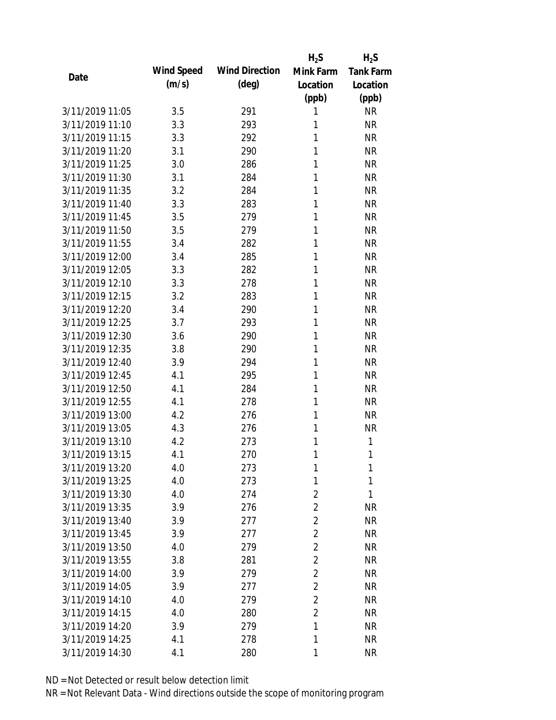|                 |            |                       | $H_2S$         | $H_2S$           |
|-----------------|------------|-----------------------|----------------|------------------|
|                 | Wind Speed | <b>Wind Direction</b> | Mink Farm      | <b>Tank Farm</b> |
| Date            | (m/s)      | $(\text{deg})$        | Location       | Location         |
|                 |            |                       | (ppb)          | (ppb)            |
| 3/11/2019 11:05 | 3.5        | 291                   | 1              | <b>NR</b>        |
| 3/11/2019 11:10 | 3.3        | 293                   | 1              | <b>NR</b>        |
| 3/11/2019 11:15 | 3.3        | 292                   | 1              | <b>NR</b>        |
| 3/11/2019 11:20 | 3.1        | 290                   | 1              | <b>NR</b>        |
| 3/11/2019 11:25 | 3.0        | 286                   | 1              | <b>NR</b>        |
| 3/11/2019 11:30 | 3.1        | 284                   | 1              | <b>NR</b>        |
| 3/11/2019 11:35 | 3.2        | 284                   | 1              | <b>NR</b>        |
| 3/11/2019 11:40 | 3.3        | 283                   | 1              | <b>NR</b>        |
| 3/11/2019 11:45 | 3.5        | 279                   | 1              | <b>NR</b>        |
| 3/11/2019 11:50 | 3.5        | 279                   | 1              | <b>NR</b>        |
| 3/11/2019 11:55 | 3.4        | 282                   | 1              | <b>NR</b>        |
| 3/11/2019 12:00 | 3.4        | 285                   | 1              | <b>NR</b>        |
| 3/11/2019 12:05 | 3.3        | 282                   | 1              | <b>NR</b>        |
| 3/11/2019 12:10 | 3.3        | 278                   | 1              | <b>NR</b>        |
| 3/11/2019 12:15 | 3.2        | 283                   | 1              | <b>NR</b>        |
| 3/11/2019 12:20 | 3.4        | 290                   | 1              | <b>NR</b>        |
| 3/11/2019 12:25 | 3.7        | 293                   | 1              | <b>NR</b>        |
| 3/11/2019 12:30 | 3.6        | 290                   | 1              | <b>NR</b>        |
| 3/11/2019 12:35 | 3.8        | 290                   | 1              | <b>NR</b>        |
| 3/11/2019 12:40 | 3.9        | 294                   | 1              | <b>NR</b>        |
| 3/11/2019 12:45 | 4.1        | 295                   | 1              | <b>NR</b>        |
| 3/11/2019 12:50 | 4.1        | 284                   | 1              | <b>NR</b>        |
| 3/11/2019 12:55 | 4.1        | 278                   | 1              | <b>NR</b>        |
| 3/11/2019 13:00 | 4.2        | 276                   | 1              | <b>NR</b>        |
| 3/11/2019 13:05 | 4.3        | 276                   | 1              | <b>NR</b>        |
| 3/11/2019 13:10 | 4.2        | 273                   | 1              | 1                |
| 3/11/2019 13:15 | 4.1        | 270                   | 1              | 1                |
| 3/11/2019 13:20 | 4.0        | 273                   | 1              | 1                |
| 3/11/2019 13:25 | 4.0        | 273                   | 1              | 1                |
| 3/11/2019 13:30 | 4.0        | 274                   | $\overline{2}$ | 1                |
| 3/11/2019 13:35 | 3.9        | 276                   | $\overline{2}$ | <b>NR</b>        |
| 3/11/2019 13:40 | 3.9        | 277                   | $\overline{2}$ | <b>NR</b>        |
| 3/11/2019 13:45 | 3.9        | 277                   | $\overline{2}$ | <b>NR</b>        |
| 3/11/2019 13:50 | 4.0        | 279                   | $\overline{2}$ | <b>NR</b>        |
| 3/11/2019 13:55 | 3.8        | 281                   | $\overline{2}$ | <b>NR</b>        |
| 3/11/2019 14:00 | 3.9        | 279                   | $\overline{2}$ | <b>NR</b>        |
| 3/11/2019 14:05 | 3.9        | 277                   | $\overline{2}$ | NR               |
| 3/11/2019 14:10 | 4.0        | 279                   | $\overline{2}$ | NR               |
| 3/11/2019 14:15 | 4.0        | 280                   | $\overline{2}$ | <b>NR</b>        |
| 3/11/2019 14:20 | 3.9        | 279                   | 1              | <b>NR</b>        |
| 3/11/2019 14:25 | 4.1        | 278                   | 1              | <b>NR</b>        |
| 3/11/2019 14:30 | 4.1        | 280                   | 1              | <b>NR</b>        |
|                 |            |                       |                |                  |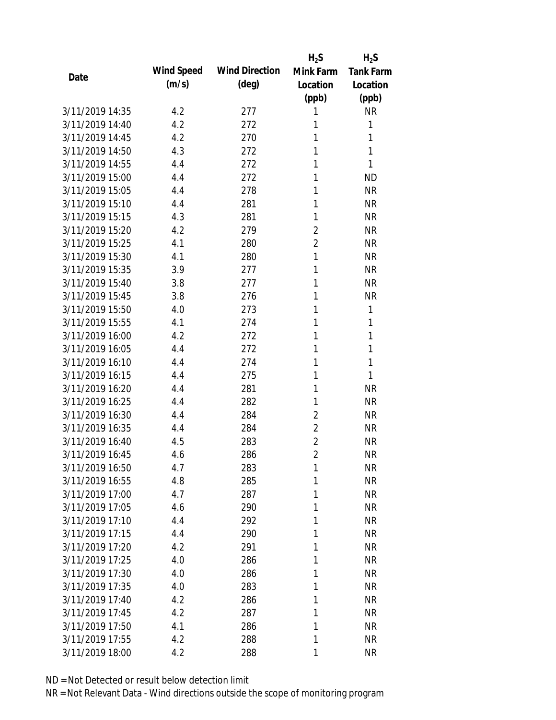|                 |            |                       | $H_2S$         | $H_2S$           |
|-----------------|------------|-----------------------|----------------|------------------|
| Date            | Wind Speed | <b>Wind Direction</b> | Mink Farm      | <b>Tank Farm</b> |
|                 | (m/s)      | $(\text{deg})$        | Location       | Location         |
|                 |            |                       | (ppb)          | (ppb)            |
| 3/11/2019 14:35 | 4.2        | 277                   | 1              | <b>NR</b>        |
| 3/11/2019 14:40 | 4.2        | 272                   | 1              | 1                |
| 3/11/2019 14:45 | 4.2        | 270                   | 1              | 1                |
| 3/11/2019 14:50 | 4.3        | 272                   | 1              | 1                |
| 3/11/2019 14:55 | 4.4        | 272                   | 1              | 1                |
| 3/11/2019 15:00 | 4.4        | 272                   | 1              | <b>ND</b>        |
| 3/11/2019 15:05 | 4.4        | 278                   | 1              | <b>NR</b>        |
| 3/11/2019 15:10 | 4.4        | 281                   | 1              | <b>NR</b>        |
| 3/11/2019 15:15 | 4.3        | 281                   | 1              | <b>NR</b>        |
| 3/11/2019 15:20 | 4.2        | 279                   | $\overline{2}$ | <b>NR</b>        |
| 3/11/2019 15:25 | 4.1        | 280                   | $\overline{2}$ | <b>NR</b>        |
| 3/11/2019 15:30 | 4.1        | 280                   | 1              | <b>NR</b>        |
| 3/11/2019 15:35 | 3.9        | 277                   | 1              | <b>NR</b>        |
| 3/11/2019 15:40 | 3.8        | 277                   | 1              | <b>NR</b>        |
| 3/11/2019 15:45 | 3.8        | 276                   | 1              | <b>NR</b>        |
| 3/11/2019 15:50 | 4.0        | 273                   | 1              | 1                |
| 3/11/2019 15:55 | 4.1        | 274                   | 1              | 1                |
| 3/11/2019 16:00 | 4.2        | 272                   | 1              | 1                |
| 3/11/2019 16:05 | 4.4        | 272                   | 1              | 1                |
| 3/11/2019 16:10 | 4.4        | 274                   | 1              | 1                |
| 3/11/2019 16:15 | 4.4        | 275                   | 1              | 1                |
| 3/11/2019 16:20 | 4.4        | 281                   | 1              | <b>NR</b>        |
| 3/11/2019 16:25 | 4.4        | 282                   | 1              | <b>NR</b>        |
| 3/11/2019 16:30 | 4.4        | 284                   | $\overline{2}$ | <b>NR</b>        |
| 3/11/2019 16:35 | 4.4        | 284                   | $\overline{2}$ | <b>NR</b>        |
| 3/11/2019 16:40 | 4.5        | 283                   | $\overline{2}$ | <b>NR</b>        |
| 3/11/2019 16:45 | 4.6        | 286                   | $\overline{2}$ | <b>NR</b>        |
| 3/11/2019 16:50 | 4.7        | 283                   | 1              | <b>NR</b>        |
| 3/11/2019 16:55 | 4.8        | 285                   | 1              | <b>NR</b>        |
| 3/11/2019 17:00 | 4.7        | 287                   | 1              | <b>NR</b>        |
| 3/11/2019 17:05 | 4.6        | 290                   | 1              | <b>NR</b>        |
| 3/11/2019 17:10 | 4.4        | 292                   | 1              | <b>NR</b>        |
| 3/11/2019 17:15 | 4.4        | 290                   | 1              | <b>NR</b>        |
| 3/11/2019 17:20 | 4.2        | 291                   | 1              | <b>NR</b>        |
| 3/11/2019 17:25 | 4.0        | 286                   | 1              | <b>NR</b>        |
| 3/11/2019 17:30 | 4.0        | 286                   | 1              | <b>NR</b>        |
| 3/11/2019 17:35 | 4.0        | 283                   | 1              | <b>NR</b>        |
| 3/11/2019 17:40 | 4.2        | 286                   | 1              | <b>NR</b>        |
| 3/11/2019 17:45 | 4.2        | 287                   | 1              | <b>NR</b>        |
| 3/11/2019 17:50 | 4.1        | 286                   | 1              | <b>NR</b>        |
| 3/11/2019 17:55 | 4.2        | 288                   | 1              | <b>NR</b>        |
| 3/11/2019 18:00 | 4.2        | 288                   | 1              | <b>NR</b>        |
|                 |            |                       |                |                  |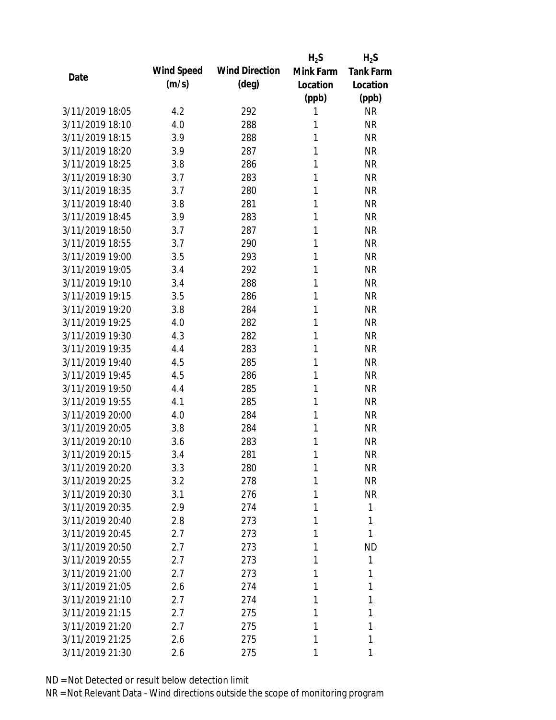|                 |            |                       | $H_2S$    | $H_2S$           |
|-----------------|------------|-----------------------|-----------|------------------|
| Date            | Wind Speed | <b>Wind Direction</b> | Mink Farm | <b>Tank Farm</b> |
|                 | (m/s)      | $(\text{deg})$        | Location  | Location         |
|                 |            |                       | (ppb)     | (ppb)            |
| 3/11/2019 18:05 | 4.2        | 292                   | 1         | <b>NR</b>        |
| 3/11/2019 18:10 | 4.0        | 288                   | 1         | <b>NR</b>        |
| 3/11/2019 18:15 | 3.9        | 288                   | 1         | <b>NR</b>        |
| 3/11/2019 18:20 | 3.9        | 287                   | 1         | <b>NR</b>        |
| 3/11/2019 18:25 | 3.8        | 286                   | 1         | <b>NR</b>        |
| 3/11/2019 18:30 | 3.7        | 283                   | 1         | <b>NR</b>        |
| 3/11/2019 18:35 | 3.7        | 280                   | 1         | <b>NR</b>        |
| 3/11/2019 18:40 | 3.8        | 281                   | 1         | <b>NR</b>        |
| 3/11/2019 18:45 | 3.9        | 283                   | 1         | <b>NR</b>        |
| 3/11/2019 18:50 | 3.7        | 287                   | 1         | <b>NR</b>        |
| 3/11/2019 18:55 | 3.7        | 290                   | 1         | <b>NR</b>        |
| 3/11/2019 19:00 | 3.5        | 293                   | 1         | <b>NR</b>        |
| 3/11/2019 19:05 | 3.4        | 292                   | 1         | <b>NR</b>        |
| 3/11/2019 19:10 | 3.4        | 288                   | 1         | <b>NR</b>        |
| 3/11/2019 19:15 | 3.5        | 286                   | 1         | <b>NR</b>        |
| 3/11/2019 19:20 | 3.8        | 284                   | 1         | <b>NR</b>        |
| 3/11/2019 19:25 | 4.0        | 282                   | 1         | <b>NR</b>        |
| 3/11/2019 19:30 | 4.3        | 282                   | 1         | <b>NR</b>        |
| 3/11/2019 19:35 | 4.4        | 283                   | 1         | <b>NR</b>        |
| 3/11/2019 19:40 | 4.5        | 285                   | 1         | <b>NR</b>        |
| 3/11/2019 19:45 | 4.5        | 286                   | 1         | <b>NR</b>        |
| 3/11/2019 19:50 | 4.4        | 285                   | 1         | <b>NR</b>        |
| 3/11/2019 19:55 | 4.1        | 285                   | 1         | <b>NR</b>        |
| 3/11/2019 20:00 | 4.0        | 284                   | 1         | <b>NR</b>        |
| 3/11/2019 20:05 | 3.8        | 284                   | 1         | <b>NR</b>        |
| 3/11/2019 20:10 | 3.6        | 283                   | 1         | <b>NR</b>        |
| 3/11/2019 20:15 | 3.4        | 281                   | 1         | <b>NR</b>        |
| 3/11/2019 20:20 | 3.3        | 280                   | 1         | <b>NR</b>        |
| 3/11/2019 20:25 | 3.2        | 278                   | 1         | <b>NR</b>        |
| 3/11/2019 20:30 | 3.1        | 276                   | 1         | <b>NR</b>        |
| 3/11/2019 20:35 | 2.9        | 274                   | 1         | 1                |
| 3/11/2019 20:40 | 2.8        | 273                   | 1         | 1                |
| 3/11/2019 20:45 | 2.7        | 273                   | 1         | 1                |
| 3/11/2019 20:50 | 2.7        | 273                   | 1         | <b>ND</b>        |
| 3/11/2019 20:55 | 2.7        | 273                   | 1         | 1                |
| 3/11/2019 21:00 | 2.7        | 273                   | 1         | 1                |
| 3/11/2019 21:05 | 2.6        | 274                   | 1         | 1                |
| 3/11/2019 21:10 | 2.7        | 274                   | 1         | 1                |
| 3/11/2019 21:15 | 2.7        | 275                   | 1         | 1                |
| 3/11/2019 21:20 | 2.7        | 275                   | 1         | 1                |
| 3/11/2019 21:25 | 2.6        | 275                   | 1         | 1                |
| 3/11/2019 21:30 | 2.6        | 275                   | 1         | 1                |
|                 |            |                       |           |                  |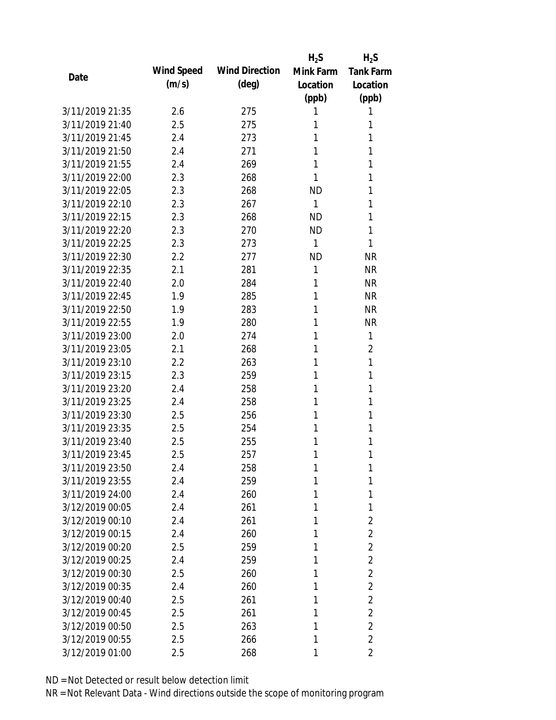|                 |            |                       | $H_2S$       | $H_2S$           |
|-----------------|------------|-----------------------|--------------|------------------|
| Date            | Wind Speed | <b>Wind Direction</b> | Mink Farm    | <b>Tank Farm</b> |
|                 | (m/s)      | $(\text{deg})$        | Location     | Location         |
|                 |            |                       | (ppb)        | (ppb)            |
| 3/11/2019 21:35 | 2.6        | 275                   | 1            | 1                |
| 3/11/2019 21:40 | 2.5        | 275                   | 1            | 1                |
| 3/11/2019 21:45 | 2.4        | 273                   | 1            | 1                |
| 3/11/2019 21:50 | 2.4        | 271                   | 1            | 1                |
| 3/11/2019 21:55 | 2.4        | 269                   | 1            | 1                |
| 3/11/2019 22:00 | 2.3        | 268                   | 1            | 1                |
| 3/11/2019 22:05 | 2.3        | 268                   | <b>ND</b>    | 1                |
| 3/11/2019 22:10 | 2.3        | 267                   | $\mathbf{1}$ | 1                |
| 3/11/2019 22:15 | 2.3        | 268                   | <b>ND</b>    | 1                |
| 3/11/2019 22:20 | 2.3        | 270                   | <b>ND</b>    | 1                |
| 3/11/2019 22:25 | 2.3        | 273                   | $\mathbf{1}$ | 1                |
| 3/11/2019 22:30 | 2.2        | 277                   | <b>ND</b>    | <b>NR</b>        |
| 3/11/2019 22:35 | 2.1        | 281                   | $\mathbf{1}$ | <b>NR</b>        |
| 3/11/2019 22:40 | 2.0        | 284                   | 1            | <b>NR</b>        |
| 3/11/2019 22:45 | 1.9        | 285                   | 1            | <b>NR</b>        |
| 3/11/2019 22:50 | 1.9        | 283                   | 1            | <b>NR</b>        |
| 3/11/2019 22:55 | 1.9        | 280                   | 1            | <b>NR</b>        |
| 3/11/2019 23:00 | 2.0        | 274                   | 1            | 1                |
| 3/11/2019 23:05 | 2.1        | 268                   | 1            | $\overline{2}$   |
| 3/11/2019 23:10 | 2.2        | 263                   | 1            | 1                |
| 3/11/2019 23:15 | 2.3        | 259                   | 1            | 1                |
| 3/11/2019 23:20 | 2.4        | 258                   | 1            | 1                |
| 3/11/2019 23:25 | 2.4        | 258                   | 1            | 1                |
| 3/11/2019 23:30 | 2.5        | 256                   | 1            | 1                |
| 3/11/2019 23:35 | 2.5        | 254                   | 1            | 1                |
| 3/11/2019 23:40 | 2.5        | 255                   | 1            | 1                |
| 3/11/2019 23:45 | 2.5        | 257                   | 1            | 1                |
| 3/11/2019 23:50 | 2.4        | 258                   | 1            | 1                |
| 3/11/2019 23:55 | 2.4        | 259                   | 1            | 1                |
| 3/11/2019 24:00 | 2.4        | 260                   | 1            | 1                |
| 3/12/2019 00:05 | 2.4        | 261                   | 1            | 1                |
| 3/12/2019 00:10 | 2.4        | 261                   | 1            | $\overline{2}$   |
| 3/12/2019 00:15 | 2.4        | 260                   | 1            | $\overline{2}$   |
| 3/12/2019 00:20 | 2.5        | 259                   | 1            | $\overline{2}$   |
| 3/12/2019 00:25 | 2.4        | 259                   | 1            | $\overline{2}$   |
| 3/12/2019 00:30 | 2.5        | 260                   | 1            | $\overline{2}$   |
| 3/12/2019 00:35 | 2.4        | 260                   | 1            | $\overline{2}$   |
| 3/12/2019 00:40 | 2.5        | 261                   | 1            | $\overline{2}$   |
| 3/12/2019 00:45 | 2.5        | 261                   | 1            | $\overline{2}$   |
| 3/12/2019 00:50 | 2.5        | 263                   | 1            | $\overline{2}$   |
| 3/12/2019 00:55 | 2.5        | 266                   | 1            | $\overline{2}$   |
| 3/12/2019 01:00 | 2.5        | 268                   | 1            | 2                |
|                 |            |                       |              |                  |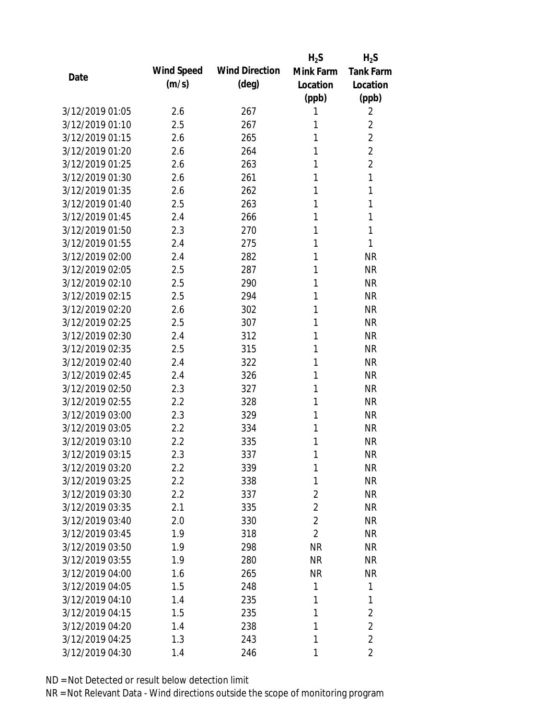|                 |            |                       | $H_2S$         | $H_2S$                  |
|-----------------|------------|-----------------------|----------------|-------------------------|
| Date            | Wind Speed | <b>Wind Direction</b> | Mink Farm      | <b>Tank Farm</b>        |
|                 | (m/s)      | $(\text{deg})$        | Location       | Location                |
|                 |            |                       | (ppb)          | (ppb)                   |
| 3/12/2019 01:05 | 2.6        | 267                   | 1              | 2                       |
| 3/12/2019 01:10 | 2.5        | 267                   | 1              | $\overline{2}$          |
| 3/12/2019 01:15 | 2.6        | 265                   | 1              | $\overline{2}$          |
| 3/12/2019 01:20 | 2.6        | 264                   | 1              | $\overline{2}$          |
| 3/12/2019 01:25 | 2.6        | 263                   | 1              | $\overline{2}$          |
| 3/12/2019 01:30 | 2.6        | 261                   | 1              | 1                       |
| 3/12/2019 01:35 | 2.6        | 262                   | 1              | 1                       |
| 3/12/2019 01:40 | 2.5        | 263                   | 1              | 1                       |
| 3/12/2019 01:45 | 2.4        | 266                   | 1              | 1                       |
| 3/12/2019 01:50 | 2.3        | 270                   | 1              | 1                       |
| 3/12/2019 01:55 | 2.4        | 275                   | 1              | 1                       |
| 3/12/2019 02:00 | 2.4        | 282                   | 1              | <b>NR</b>               |
| 3/12/2019 02:05 | 2.5        | 287                   | 1              | <b>NR</b>               |
| 3/12/2019 02:10 | 2.5        | 290                   | 1              | <b>NR</b>               |
| 3/12/2019 02:15 | 2.5        | 294                   | 1              | <b>NR</b>               |
| 3/12/2019 02:20 | 2.6        | 302                   | 1              | <b>NR</b>               |
| 3/12/2019 02:25 | 2.5        | 307                   | 1              | <b>NR</b>               |
| 3/12/2019 02:30 | 2.4        | 312                   | 1              | <b>NR</b>               |
| 3/12/2019 02:35 | 2.5        | 315                   | 1              | <b>NR</b>               |
| 3/12/2019 02:40 | 2.4        | 322                   | 1              | <b>NR</b>               |
| 3/12/2019 02:45 | 2.4        | 326                   | 1              | <b>NR</b>               |
| 3/12/2019 02:50 | 2.3        | 327                   | 1              | <b>NR</b>               |
| 3/12/2019 02:55 | 2.2        | 328                   | 1              | <b>NR</b>               |
| 3/12/2019 03:00 | 2.3        | 329                   | 1              | <b>NR</b>               |
| 3/12/2019 03:05 | 2.2        | 334                   | 1              | <b>NR</b>               |
| 3/12/2019 03:10 | 2.2        | 335                   | 1              | <b>NR</b>               |
| 3/12/2019 03:15 | 2.3        | 337                   | 1              | <b>NR</b>               |
| 3/12/2019 03:20 | $2.2\,$    | 339                   | 1              | <b>NR</b>               |
| 3/12/2019 03:25 | 2.2        | 338                   | 1              | <b>NR</b>               |
| 3/12/2019 03:30 | 2.2        | 337                   | $\overline{2}$ | NR                      |
| 3/12/2019 03:35 | 2.1        | 335                   | $\overline{2}$ | <b>NR</b>               |
| 3/12/2019 03:40 | 2.0        | 330                   | $\overline{2}$ | NR                      |
| 3/12/2019 03:45 | 1.9        | 318                   | $\overline{2}$ | NR                      |
| 3/12/2019 03:50 | 1.9        | 298                   | <b>NR</b>      | <b>NR</b>               |
| 3/12/2019 03:55 | 1.9        | 280                   | <b>NR</b>      | <b>NR</b>               |
| 3/12/2019 04:00 | 1.6        | 265                   | <b>NR</b>      | <b>NR</b>               |
| 3/12/2019 04:05 | 1.5        | 248                   | 1              | 1                       |
| 3/12/2019 04:10 | 1.4        | 235                   | 1              | 1                       |
| 3/12/2019 04:15 | 1.5        | 235                   | 1              | $\overline{2}$          |
| 3/12/2019 04:20 | 1.4        | 238                   | 1              | $\overline{2}$          |
| 3/12/2019 04:25 | 1.3        | 243                   | 1              | $\overline{2}$          |
| 3/12/2019 04:30 | 1.4        | 246                   | 1              | $\overline{\mathbf{2}}$ |
|                 |            |                       |                |                         |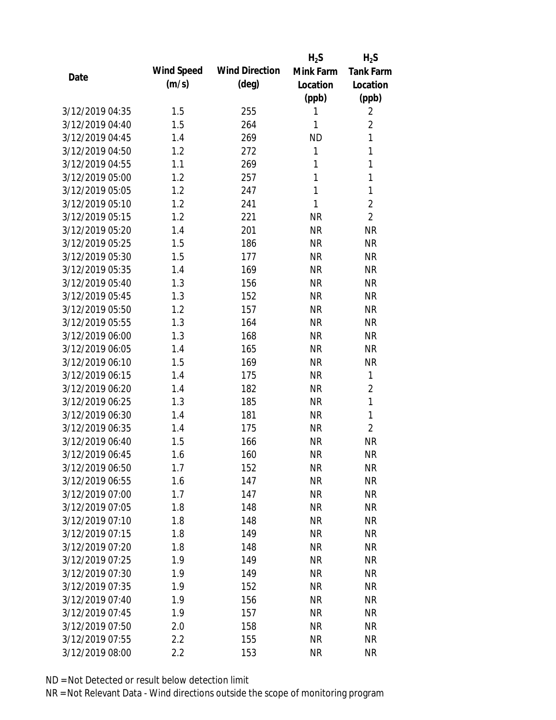|                 |            |                       | $H_2S$       | $H_2S$           |
|-----------------|------------|-----------------------|--------------|------------------|
| Date            | Wind Speed | <b>Wind Direction</b> | Mink Farm    | <b>Tank Farm</b> |
|                 | (m/s)      | $(\text{deg})$        | Location     | Location         |
|                 |            |                       | (ppb)        | (ppb)            |
| 3/12/2019 04:35 | 1.5        | 255                   | 1            | $\overline{2}$   |
| 3/12/2019 04:40 | 1.5        | 264                   | 1            | $\overline{2}$   |
| 3/12/2019 04:45 | 1.4        | 269                   | <b>ND</b>    | 1                |
| 3/12/2019 04:50 | 1.2        | 272                   | $\mathbf{1}$ | 1                |
| 3/12/2019 04:55 | 1.1        | 269                   | 1            | $\mathbf{1}$     |
| 3/12/2019 05:00 | 1.2        | 257                   | 1            | 1                |
| 3/12/2019 05:05 | 1.2        | 247                   | 1            | 1                |
| 3/12/2019 05:10 | 1.2        | 241                   | $\mathbf{1}$ | $\overline{2}$   |
| 3/12/2019 05:15 | 1.2        | 221                   | <b>NR</b>    | $\overline{2}$   |
| 3/12/2019 05:20 | 1.4        | 201                   | <b>NR</b>    | <b>NR</b>        |
| 3/12/2019 05:25 | 1.5        | 186                   | <b>NR</b>    | <b>NR</b>        |
| 3/12/2019 05:30 | 1.5        | 177                   | <b>NR</b>    | <b>NR</b>        |
| 3/12/2019 05:35 | 1.4        | 169                   | <b>NR</b>    | <b>NR</b>        |
| 3/12/2019 05:40 | 1.3        | 156                   | <b>NR</b>    | <b>NR</b>        |
| 3/12/2019 05:45 | 1.3        | 152                   | <b>NR</b>    | <b>NR</b>        |
| 3/12/2019 05:50 | 1.2        | 157                   | <b>NR</b>    | <b>NR</b>        |
| 3/12/2019 05:55 | 1.3        | 164                   | <b>NR</b>    | <b>NR</b>        |
| 3/12/2019 06:00 | 1.3        | 168                   | <b>NR</b>    | <b>NR</b>        |
| 3/12/2019 06:05 | 1.4        | 165                   | <b>NR</b>    | <b>NR</b>        |
| 3/12/2019 06:10 | 1.5        | 169                   | <b>NR</b>    | <b>NR</b>        |
| 3/12/2019 06:15 | 1.4        | 175                   | <b>NR</b>    | 1                |
| 3/12/2019 06:20 | 1.4        | 182                   | <b>NR</b>    | $\overline{2}$   |
| 3/12/2019 06:25 | 1.3        | 185                   | <b>NR</b>    | $\mathbf{1}$     |
| 3/12/2019 06:30 | 1.4        | 181                   | <b>NR</b>    | $\mathbf{1}$     |
| 3/12/2019 06:35 | 1.4        | 175                   | <b>NR</b>    | $\overline{2}$   |
| 3/12/2019 06:40 | 1.5        | 166                   | <b>NR</b>    | <b>NR</b>        |
| 3/12/2019 06:45 | 1.6        | 160                   | <b>NR</b>    | <b>NR</b>        |
| 3/12/2019 06:50 | 1.7        | 152                   | <b>NR</b>    | <b>NR</b>        |
| 3/12/2019 06:55 | 1.6        | 147                   | <b>NR</b>    | <b>NR</b>        |
| 3/12/2019 07:00 | 1.7        | 147                   | <b>NR</b>    | <b>NR</b>        |
| 3/12/2019 07:05 | 1.8        | 148                   | <b>NR</b>    | <b>NR</b>        |
| 3/12/2019 07:10 | 1.8        | 148                   | <b>NR</b>    | <b>NR</b>        |
| 3/12/2019 07:15 | 1.8        | 149                   | <b>NR</b>    | <b>NR</b>        |
| 3/12/2019 07:20 | 1.8        | 148                   | <b>NR</b>    | <b>NR</b>        |
| 3/12/2019 07:25 | 1.9        | 149                   | <b>NR</b>    | <b>NR</b>        |
| 3/12/2019 07:30 | 1.9        | 149                   | <b>NR</b>    | <b>NR</b>        |
| 3/12/2019 07:35 | 1.9        | 152                   | <b>NR</b>    | <b>NR</b>        |
| 3/12/2019 07:40 | 1.9        | 156                   | NR           | <b>NR</b>        |
| 3/12/2019 07:45 | 1.9        | 157                   | <b>NR</b>    | <b>NR</b>        |
| 3/12/2019 07:50 | 2.0        | 158                   | <b>NR</b>    | <b>NR</b>        |
| 3/12/2019 07:55 | 2.2        | 155                   | <b>NR</b>    | <b>NR</b>        |
| 3/12/2019 08:00 | 2.2        | 153                   | <b>NR</b>    | <b>NR</b>        |
|                 |            |                       |              |                  |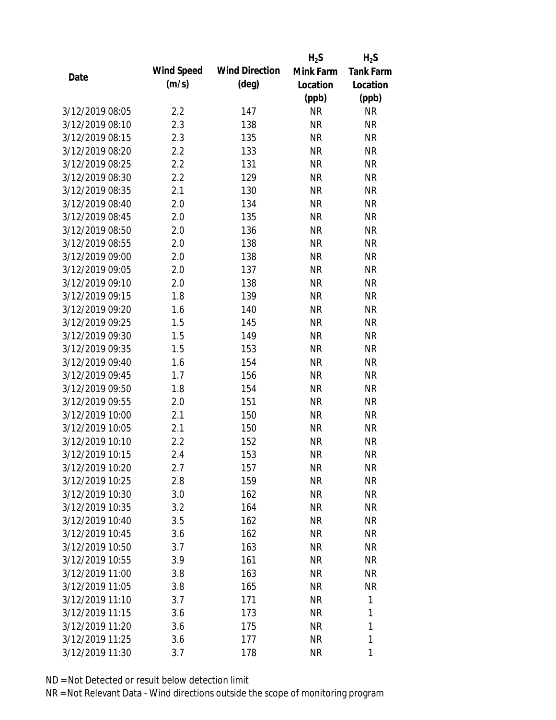|                 |            |                       | $H_2S$    | $H_2S$           |
|-----------------|------------|-----------------------|-----------|------------------|
| Date            | Wind Speed | <b>Wind Direction</b> | Mink Farm | <b>Tank Farm</b> |
|                 | (m/s)      | $(\text{deg})$        | Location  | Location         |
|                 |            |                       | (ppb)     | (ppb)            |
| 3/12/2019 08:05 | 2.2        | 147                   | <b>NR</b> | <b>NR</b>        |
| 3/12/2019 08:10 | 2.3        | 138                   | <b>NR</b> | <b>NR</b>        |
| 3/12/2019 08:15 | 2.3        | 135                   | <b>NR</b> | <b>NR</b>        |
| 3/12/2019 08:20 | 2.2        | 133                   | <b>NR</b> | <b>NR</b>        |
| 3/12/2019 08:25 | 2.2        | 131                   | <b>NR</b> | <b>NR</b>        |
| 3/12/2019 08:30 | 2.2        | 129                   | <b>NR</b> | <b>NR</b>        |
| 3/12/2019 08:35 | 2.1        | 130                   | <b>NR</b> | <b>NR</b>        |
| 3/12/2019 08:40 | 2.0        | 134                   | <b>NR</b> | <b>NR</b>        |
| 3/12/2019 08:45 | 2.0        | 135                   | <b>NR</b> | <b>NR</b>        |
| 3/12/2019 08:50 | 2.0        | 136                   | <b>NR</b> | <b>NR</b>        |
| 3/12/2019 08:55 | 2.0        | 138                   | <b>NR</b> | <b>NR</b>        |
| 3/12/2019 09:00 | 2.0        | 138                   | <b>NR</b> | <b>NR</b>        |
| 3/12/2019 09:05 | 2.0        | 137                   | <b>NR</b> | <b>NR</b>        |
| 3/12/2019 09:10 | 2.0        | 138                   | <b>NR</b> | <b>NR</b>        |
| 3/12/2019 09:15 | 1.8        | 139                   | <b>NR</b> | <b>NR</b>        |
| 3/12/2019 09:20 | 1.6        | 140                   | <b>NR</b> | <b>NR</b>        |
| 3/12/2019 09:25 | 1.5        | 145                   | <b>NR</b> | <b>NR</b>        |
| 3/12/2019 09:30 | 1.5        | 149                   | <b>NR</b> | <b>NR</b>        |
| 3/12/2019 09:35 | 1.5        | 153                   | <b>NR</b> | <b>NR</b>        |
| 3/12/2019 09:40 | 1.6        | 154                   | <b>NR</b> | <b>NR</b>        |
| 3/12/2019 09:45 | 1.7        | 156                   | <b>NR</b> | <b>NR</b>        |
| 3/12/2019 09:50 | 1.8        | 154                   | <b>NR</b> | <b>NR</b>        |
| 3/12/2019 09:55 | 2.0        | 151                   | <b>NR</b> | <b>NR</b>        |
| 3/12/2019 10:00 | 2.1        | 150                   | <b>NR</b> | <b>NR</b>        |
| 3/12/2019 10:05 | 2.1        | 150                   | <b>NR</b> | <b>NR</b>        |
| 3/12/2019 10:10 | 2.2        | 152                   | <b>NR</b> | <b>NR</b>        |
| 3/12/2019 10:15 | 2.4        | 153                   | <b>NR</b> | <b>NR</b>        |
| 3/12/2019 10:20 | 2.7        | 157                   | <b>NR</b> | <b>NR</b>        |
| 3/12/2019 10:25 | 2.8        | 159                   | <b>NR</b> | <b>NR</b>        |
| 3/12/2019 10:30 | 3.0        | 162                   | <b>NR</b> | <b>NR</b>        |
| 3/12/2019 10:35 | 3.2        | 164                   | <b>NR</b> | <b>NR</b>        |
| 3/12/2019 10:40 | 3.5        | 162                   | <b>NR</b> | NR               |
| 3/12/2019 10:45 | 3.6        | 162                   | <b>NR</b> | <b>NR</b>        |
| 3/12/2019 10:50 | 3.7        | 163                   | <b>NR</b> | NR               |
| 3/12/2019 10:55 | 3.9        | 161                   | <b>NR</b> | NR               |
| 3/12/2019 11:00 | 3.8        | 163                   | <b>NR</b> | <b>NR</b>        |
| 3/12/2019 11:05 | 3.8        | 165                   | <b>NR</b> | <b>NR</b>        |
| 3/12/2019 11:10 | 3.7        | 171                   | <b>NR</b> | 1                |
| 3/12/2019 11:15 | 3.6        | 173                   | <b>NR</b> | 1                |
| 3/12/2019 11:20 | 3.6        | 175                   | <b>NR</b> | 1                |
| 3/12/2019 11:25 | 3.6        | 177                   | <b>NR</b> | 1                |
| 3/12/2019 11:30 | 3.7        | 178                   | <b>NR</b> | 1                |
|                 |            |                       |           |                  |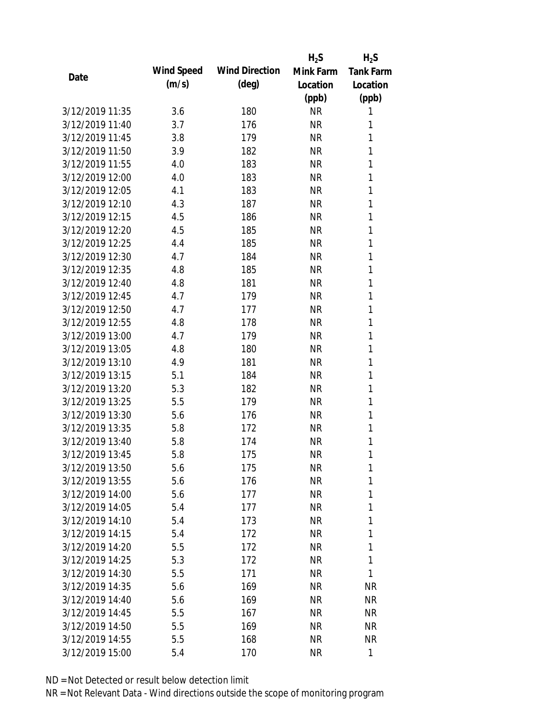|                 |            |                       | $H_2S$    | $H_2S$           |
|-----------------|------------|-----------------------|-----------|------------------|
| Date            | Wind Speed | <b>Wind Direction</b> | Mink Farm | <b>Tank Farm</b> |
|                 | (m/s)      | $(\text{deg})$        | Location  | Location         |
|                 |            |                       | (ppb)     | (ppb)            |
| 3/12/2019 11:35 | 3.6        | 180                   | <b>NR</b> | 1                |
| 3/12/2019 11:40 | 3.7        | 176                   | <b>NR</b> | 1                |
| 3/12/2019 11:45 | 3.8        | 179                   | <b>NR</b> | 1                |
| 3/12/2019 11:50 | 3.9        | 182                   | <b>NR</b> | 1                |
| 3/12/2019 11:55 | 4.0        | 183                   | <b>NR</b> | 1                |
| 3/12/2019 12:00 | 4.0        | 183                   | <b>NR</b> | 1                |
| 3/12/2019 12:05 | 4.1        | 183                   | <b>NR</b> | 1                |
| 3/12/2019 12:10 | 4.3        | 187                   | <b>NR</b> | 1                |
| 3/12/2019 12:15 | 4.5        | 186                   | <b>NR</b> | 1                |
| 3/12/2019 12:20 | 4.5        | 185                   | <b>NR</b> | 1                |
| 3/12/2019 12:25 | 4.4        | 185                   | <b>NR</b> | 1                |
| 3/12/2019 12:30 | 4.7        | 184                   | <b>NR</b> | 1                |
| 3/12/2019 12:35 | 4.8        | 185                   | <b>NR</b> | 1                |
| 3/12/2019 12:40 | 4.8        | 181                   | <b>NR</b> | 1                |
| 3/12/2019 12:45 | 4.7        | 179                   | <b>NR</b> | 1                |
| 3/12/2019 12:50 | 4.7        | 177                   | <b>NR</b> | 1                |
| 3/12/2019 12:55 | 4.8        | 178                   | <b>NR</b> | 1                |
| 3/12/2019 13:00 | 4.7        | 179                   | <b>NR</b> | 1                |
| 3/12/2019 13:05 | 4.8        | 180                   | <b>NR</b> | 1                |
| 3/12/2019 13:10 | 4.9        | 181                   | <b>NR</b> | 1                |
| 3/12/2019 13:15 | 5.1        | 184                   | <b>NR</b> | 1                |
| 3/12/2019 13:20 | 5.3        | 182                   | <b>NR</b> | 1                |
| 3/12/2019 13:25 | 5.5        | 179                   | <b>NR</b> | 1                |
| 3/12/2019 13:30 | 5.6        | 176                   | <b>NR</b> | 1                |
| 3/12/2019 13:35 | 5.8        | 172                   | <b>NR</b> | 1                |
| 3/12/2019 13:40 | 5.8        | 174                   | <b>NR</b> | 1                |
| 3/12/2019 13:45 | 5.8        | 175                   | <b>NR</b> | 1                |
| 3/12/2019 13:50 | 5.6        | 175                   | <b>NR</b> | 1                |
| 3/12/2019 13:55 | 5.6        | 176                   | <b>NR</b> | 1                |
| 3/12/2019 14:00 | 5.6        | 177                   | <b>NR</b> | 1                |
| 3/12/2019 14:05 | 5.4        | 177                   | <b>NR</b> | 1                |
| 3/12/2019 14:10 | 5.4        | 173                   | <b>NR</b> | 1                |
| 3/12/2019 14:15 | 5.4        | 172                   | <b>NR</b> | 1                |
| 3/12/2019 14:20 | 5.5        | 172                   | <b>NR</b> | 1                |
| 3/12/2019 14:25 | 5.3        | 172                   | <b>NR</b> | 1                |
| 3/12/2019 14:30 | 5.5        | 171                   | <b>NR</b> | 1                |
|                 |            |                       |           |                  |
| 3/12/2019 14:35 | 5.6        | 169                   | <b>NR</b> | <b>NR</b>        |
| 3/12/2019 14:40 | 5.6        | 169                   | NR        | NR               |
| 3/12/2019 14:45 | 5.5        | 167                   | <b>NR</b> | NR               |
| 3/12/2019 14:50 | 5.5        | 169                   | <b>NR</b> | NR               |
| 3/12/2019 14:55 | 5.5        | 168                   | <b>NR</b> | NR               |
| 3/12/2019 15:00 | 5.4        | 170                   | <b>NR</b> | $\mathbf{1}$     |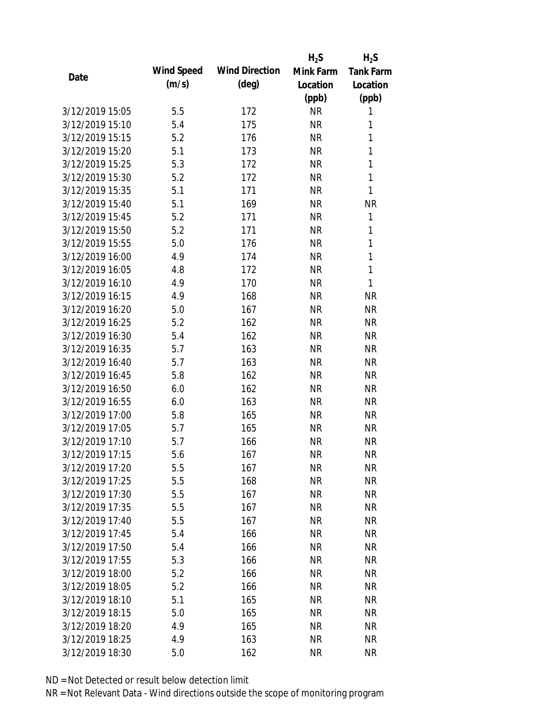|                 |            |                       | $H_2S$    | $H_2S$           |
|-----------------|------------|-----------------------|-----------|------------------|
|                 | Wind Speed | <b>Wind Direction</b> | Mink Farm | <b>Tank Farm</b> |
| Date            | (m/s)      | $(\text{deg})$        | Location  | Location         |
|                 |            |                       | (ppb)     | (ppb)            |
| 3/12/2019 15:05 | 5.5        | 172                   | <b>NR</b> | 1                |
| 3/12/2019 15:10 | 5.4        | 175                   | <b>NR</b> | 1                |
| 3/12/2019 15:15 | 5.2        | 176                   | <b>NR</b> | 1                |
| 3/12/2019 15:20 | 5.1        | 173                   | <b>NR</b> | 1                |
| 3/12/2019 15:25 | 5.3        | 172                   | <b>NR</b> | 1                |
| 3/12/2019 15:30 | 5.2        | 172                   | <b>NR</b> | 1                |
| 3/12/2019 15:35 | 5.1        | 171                   | <b>NR</b> | 1                |
| 3/12/2019 15:40 | 5.1        | 169                   | <b>NR</b> | <b>NR</b>        |
| 3/12/2019 15:45 | 5.2        | 171                   | <b>NR</b> | 1                |
| 3/12/2019 15:50 | 5.2        | 171                   | <b>NR</b> | 1                |
| 3/12/2019 15:55 | 5.0        | 176                   | <b>NR</b> | 1                |
| 3/12/2019 16:00 | 4.9        | 174                   | <b>NR</b> | 1                |
| 3/12/2019 16:05 | 4.8        | 172                   | <b>NR</b> | 1                |
| 3/12/2019 16:10 | 4.9        | 170                   | <b>NR</b> | 1                |
| 3/12/2019 16:15 | 4.9        | 168                   | <b>NR</b> | <b>NR</b>        |
| 3/12/2019 16:20 | 5.0        | 167                   | <b>NR</b> | <b>NR</b>        |
| 3/12/2019 16:25 | 5.2        | 162                   | <b>NR</b> | <b>NR</b>        |
| 3/12/2019 16:30 | 5.4        | 162                   | <b>NR</b> | <b>NR</b>        |
| 3/12/2019 16:35 | 5.7        | 163                   | <b>NR</b> | <b>NR</b>        |
| 3/12/2019 16:40 | 5.7        | 163                   | <b>NR</b> | <b>NR</b>        |
| 3/12/2019 16:45 | 5.8        | 162                   | <b>NR</b> | <b>NR</b>        |
| 3/12/2019 16:50 | 6.0        | 162                   | <b>NR</b> | <b>NR</b>        |
| 3/12/2019 16:55 | 6.0        | 163                   | <b>NR</b> | <b>NR</b>        |
| 3/12/2019 17:00 | 5.8        | 165                   | <b>NR</b> | <b>NR</b>        |
| 3/12/2019 17:05 | 5.7        | 165                   | <b>NR</b> | <b>NR</b>        |
| 3/12/2019 17:10 | 5.7        | 166                   | <b>NR</b> | <b>NR</b>        |
| 3/12/2019 17:15 | 5.6        | 167                   | <b>NR</b> | <b>NR</b>        |
| 3/12/2019 17:20 | 5.5        | 167                   | <b>NR</b> | <b>NR</b>        |
| 3/12/2019 17:25 | 5.5        | 168                   | <b>NR</b> | <b>NR</b>        |
| 3/12/2019 17:30 | 5.5        | 167                   | NR        | <b>NR</b>        |
| 3/12/2019 17:35 | 5.5        | 167                   | <b>NR</b> | <b>NR</b>        |
| 3/12/2019 17:40 | 5.5        | 167                   | <b>NR</b> | <b>NR</b>        |
| 3/12/2019 17:45 | 5.4        | 166                   | <b>NR</b> | <b>NR</b>        |
| 3/12/2019 17:50 | 5.4        | 166                   | <b>NR</b> | <b>NR</b>        |
| 3/12/2019 17:55 | 5.3        | 166                   | <b>NR</b> | <b>NR</b>        |
| 3/12/2019 18:00 | 5.2        | 166                   | <b>NR</b> | <b>NR</b>        |
| 3/12/2019 18:05 | 5.2        | 166                   | <b>NR</b> | <b>NR</b>        |
| 3/12/2019 18:10 | 5.1        | 165                   | NR        | <b>NR</b>        |
| 3/12/2019 18:15 | 5.0        | 165                   | <b>NR</b> | <b>NR</b>        |
| 3/12/2019 18:20 | 4.9        | 165                   | <b>NR</b> | <b>NR</b>        |
| 3/12/2019 18:25 | 4.9        | 163                   | <b>NR</b> | <b>NR</b>        |
| 3/12/2019 18:30 | 5.0        | 162                   | <b>NR</b> | <b>NR</b>        |
|                 |            |                       |           |                  |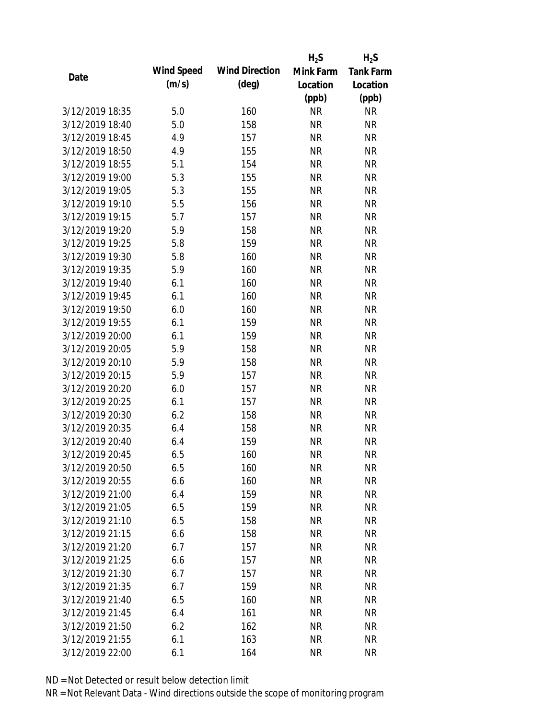|                 |            |                       | $H_2S$    | $H_2S$           |
|-----------------|------------|-----------------------|-----------|------------------|
|                 | Wind Speed | <b>Wind Direction</b> | Mink Farm | <b>Tank Farm</b> |
| Date            | (m/s)      | $(\text{deg})$        | Location  | Location         |
|                 |            |                       | (ppb)     | (ppb)            |
| 3/12/2019 18:35 | 5.0        | 160                   | <b>NR</b> | <b>NR</b>        |
| 3/12/2019 18:40 | 5.0        | 158                   | <b>NR</b> | <b>NR</b>        |
| 3/12/2019 18:45 | 4.9        | 157                   | <b>NR</b> | <b>NR</b>        |
| 3/12/2019 18:50 | 4.9        | 155                   | <b>NR</b> | <b>NR</b>        |
| 3/12/2019 18:55 | 5.1        | 154                   | <b>NR</b> | <b>NR</b>        |
| 3/12/2019 19:00 | 5.3        | 155                   | <b>NR</b> | <b>NR</b>        |
| 3/12/2019 19:05 | 5.3        | 155                   | <b>NR</b> | <b>NR</b>        |
| 3/12/2019 19:10 | 5.5        | 156                   | <b>NR</b> | <b>NR</b>        |
| 3/12/2019 19:15 | 5.7        | 157                   | <b>NR</b> | <b>NR</b>        |
| 3/12/2019 19:20 | 5.9        | 158                   | <b>NR</b> | <b>NR</b>        |
| 3/12/2019 19:25 | 5.8        | 159                   | <b>NR</b> | <b>NR</b>        |
| 3/12/2019 19:30 | 5.8        | 160                   | <b>NR</b> | <b>NR</b>        |
| 3/12/2019 19:35 | 5.9        | 160                   | <b>NR</b> | <b>NR</b>        |
| 3/12/2019 19:40 | 6.1        | 160                   | <b>NR</b> | <b>NR</b>        |
| 3/12/2019 19:45 | 6.1        | 160                   | <b>NR</b> | <b>NR</b>        |
| 3/12/2019 19:50 | 6.0        | 160                   | <b>NR</b> | <b>NR</b>        |
| 3/12/2019 19:55 | 6.1        | 159                   | <b>NR</b> | <b>NR</b>        |
| 3/12/2019 20:00 | 6.1        | 159                   | <b>NR</b> | <b>NR</b>        |
| 3/12/2019 20:05 | 5.9        | 158                   | <b>NR</b> | <b>NR</b>        |
| 3/12/2019 20:10 | 5.9        | 158                   | <b>NR</b> | <b>NR</b>        |
| 3/12/2019 20:15 | 5.9        | 157                   | <b>NR</b> | <b>NR</b>        |
| 3/12/2019 20:20 | 6.0        | 157                   | <b>NR</b> | <b>NR</b>        |
| 3/12/2019 20:25 | 6.1        | 157                   | <b>NR</b> | <b>NR</b>        |
| 3/12/2019 20:30 | 6.2        | 158                   | <b>NR</b> | <b>NR</b>        |
| 3/12/2019 20:35 | 6.4        | 158                   | <b>NR</b> | <b>NR</b>        |
| 3/12/2019 20:40 | 6.4        | 159                   | <b>NR</b> | <b>NR</b>        |
| 3/12/2019 20:45 | 6.5        | 160                   | <b>NR</b> | <b>NR</b>        |
| 3/12/2019 20:50 | 6.5        | 160                   | <b>NR</b> | <b>NR</b>        |
| 3/12/2019 20:55 | 6.6        | 160                   | <b>NR</b> | <b>NR</b>        |
| 3/12/2019 21:00 | 6.4        | 159                   | <b>NR</b> | <b>NR</b>        |
| 3/12/2019 21:05 | 6.5        | 159                   | <b>NR</b> | <b>NR</b>        |
| 3/12/2019 21:10 | 6.5        | 158                   | <b>NR</b> | <b>NR</b>        |
| 3/12/2019 21:15 | 6.6        | 158                   | <b>NR</b> | <b>NR</b>        |
| 3/12/2019 21:20 | 6.7        | 157                   | <b>NR</b> | <b>NR</b>        |
| 3/12/2019 21:25 | 6.6        | 157                   | <b>NR</b> | <b>NR</b>        |
| 3/12/2019 21:30 | 6.7        | 157                   | <b>NR</b> | <b>NR</b>        |
| 3/12/2019 21:35 | 6.7        | 159                   | <b>NR</b> | <b>NR</b>        |
| 3/12/2019 21:40 | 6.5        | 160                   | <b>NR</b> | NR               |
| 3/12/2019 21:45 | 6.4        | 161                   | <b>NR</b> | NR               |
| 3/12/2019 21:50 | 6.2        | 162                   | <b>NR</b> | NR               |
| 3/12/2019 21:55 | 6.1        | 163                   | <b>NR</b> | <b>NR</b>        |
|                 |            |                       |           |                  |
| 3/12/2019 22:00 | 6.1        | 164                   | <b>NR</b> | <b>NR</b>        |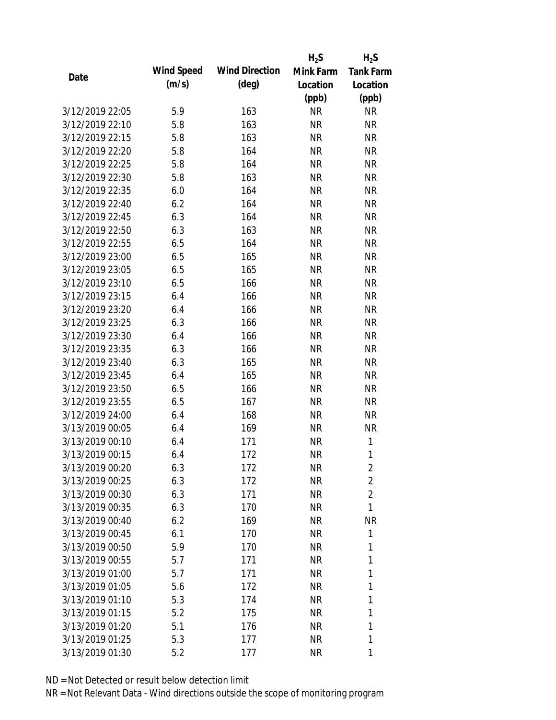|                 |            |                       | $H_2S$    | $H_2S$           |
|-----------------|------------|-----------------------|-----------|------------------|
|                 | Wind Speed | <b>Wind Direction</b> | Mink Farm | <b>Tank Farm</b> |
| Date            | (m/s)      | $(\text{deg})$        | Location  | Location         |
|                 |            |                       | (ppb)     | (ppb)            |
| 3/12/2019 22:05 | 5.9        | 163                   | <b>NR</b> | <b>NR</b>        |
| 3/12/2019 22:10 | 5.8        | 163                   | <b>NR</b> | <b>NR</b>        |
| 3/12/2019 22:15 | 5.8        | 163                   | <b>NR</b> | <b>NR</b>        |
| 3/12/2019 22:20 | 5.8        | 164                   | <b>NR</b> | <b>NR</b>        |
| 3/12/2019 22:25 | 5.8        | 164                   | <b>NR</b> | <b>NR</b>        |
| 3/12/2019 22:30 | 5.8        | 163                   | <b>NR</b> | <b>NR</b>        |
| 3/12/2019 22:35 | 6.0        | 164                   | <b>NR</b> | <b>NR</b>        |
| 3/12/2019 22:40 | 6.2        | 164                   | <b>NR</b> | <b>NR</b>        |
| 3/12/2019 22:45 | 6.3        | 164                   | <b>NR</b> | <b>NR</b>        |
| 3/12/2019 22:50 | 6.3        | 163                   | <b>NR</b> | <b>NR</b>        |
| 3/12/2019 22:55 | 6.5        | 164                   | <b>NR</b> | <b>NR</b>        |
| 3/12/2019 23:00 | 6.5        | 165                   | NR        | <b>NR</b>        |
| 3/12/2019 23:05 | 6.5        | 165                   | <b>NR</b> | <b>NR</b>        |
| 3/12/2019 23:10 | 6.5        | 166                   | <b>NR</b> | <b>NR</b>        |
| 3/12/2019 23:15 | 6.4        | 166                   | <b>NR</b> | <b>NR</b>        |
| 3/12/2019 23:20 | 6.4        | 166                   | <b>NR</b> | <b>NR</b>        |
| 3/12/2019 23:25 | 6.3        | 166                   | <b>NR</b> | <b>NR</b>        |
| 3/12/2019 23:30 | 6.4        | 166                   | <b>NR</b> | <b>NR</b>        |
| 3/12/2019 23:35 | 6.3        | 166                   | <b>NR</b> | <b>NR</b>        |
| 3/12/2019 23:40 | 6.3        | 165                   | <b>NR</b> | <b>NR</b>        |
| 3/12/2019 23:45 | 6.4        | 165                   | <b>NR</b> | <b>NR</b>        |
| 3/12/2019 23:50 | 6.5        | 166                   | NR        | <b>NR</b>        |
| 3/12/2019 23:55 | 6.5        | 167                   | <b>NR</b> | <b>NR</b>        |
| 3/12/2019 24:00 | 6.4        | 168                   | <b>NR</b> | <b>NR</b>        |
| 3/13/2019 00:05 | 6.4        | 169                   | <b>NR</b> | <b>NR</b>        |
| 3/13/2019 00:10 | 6.4        | 171                   | <b>NR</b> | 1                |
| 3/13/2019 00:15 | 6.4        | 172                   | <b>NR</b> | 1                |
| 3/13/2019 00:20 | 6.3        | 172                   | <b>NR</b> | $\overline{2}$   |
| 3/13/2019 00:25 | 6.3        | 172                   | NR        | $\overline{2}$   |
| 3/13/2019 00:30 | 6.3        | 171                   | NR        | $\overline{2}$   |
| 3/13/2019 00:35 | 6.3        | 170                   | NR        | 1                |
| 3/13/2019 00:40 | 6.2        | 169                   | NR        | <b>NR</b>        |
| 3/13/2019 00:45 | 6.1        | 170                   | NR        | 1                |
| 3/13/2019 00:50 | 5.9        | 170                   | NR        | 1                |
| 3/13/2019 00:55 | 5.7        | 171                   | NR        | 1                |
| 3/13/2019 01:00 | 5.7        | 171                   | <b>NR</b> | 1                |
| 3/13/2019 01:05 | 5.6        | 172                   | NR        | 1                |
| 3/13/2019 01:10 | 5.3        | 174                   | NR        | 1                |
| 3/13/2019 01:15 | 5.2        | 175                   | NR        | 1                |
| 3/13/2019 01:20 | 5.1        | 176                   | NR        | 1                |
| 3/13/2019 01:25 | 5.3        | 177                   | <b>NR</b> | 1                |
| 3/13/2019 01:30 | 5.2        | 177                   | <b>NR</b> | 1                |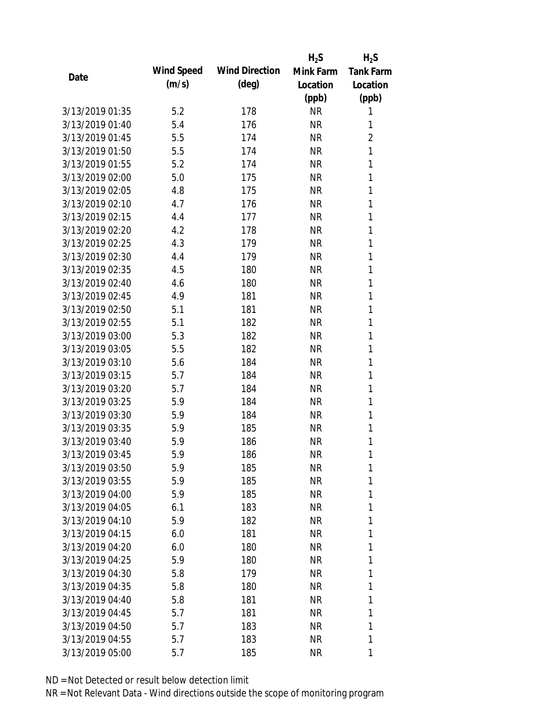|                 |            |                       | $H_2S$    | $H_2S$           |
|-----------------|------------|-----------------------|-----------|------------------|
| Date            | Wind Speed | <b>Wind Direction</b> | Mink Farm | <b>Tank Farm</b> |
|                 | (m/s)      | $(\text{deg})$        | Location  | Location         |
|                 |            |                       | (ppb)     | (ppb)            |
| 3/13/2019 01:35 | 5.2        | 178                   | <b>NR</b> | 1                |
| 3/13/2019 01:40 | 5.4        | 176                   | <b>NR</b> | 1                |
| 3/13/2019 01:45 | 5.5        | 174                   | <b>NR</b> | $\overline{2}$   |
| 3/13/2019 01:50 | 5.5        | 174                   | <b>NR</b> | 1                |
| 3/13/2019 01:55 | 5.2        | 174                   | <b>NR</b> | 1                |
| 3/13/2019 02:00 | 5.0        | 175                   | <b>NR</b> | 1                |
| 3/13/2019 02:05 | 4.8        | 175                   | <b>NR</b> | 1                |
| 3/13/2019 02:10 | 4.7        | 176                   | <b>NR</b> | 1                |
| 3/13/2019 02:15 | 4.4        | 177                   | <b>NR</b> | 1                |
| 3/13/2019 02:20 | 4.2        | 178                   | <b>NR</b> | 1                |
| 3/13/2019 02:25 | 4.3        | 179                   | <b>NR</b> | 1                |
| 3/13/2019 02:30 | 4.4        | 179                   | <b>NR</b> | 1                |
| 3/13/2019 02:35 | 4.5        | 180                   | <b>NR</b> | 1                |
| 3/13/2019 02:40 | 4.6        | 180                   | <b>NR</b> | 1                |
| 3/13/2019 02:45 | 4.9        | 181                   | <b>NR</b> | 1                |
| 3/13/2019 02:50 | 5.1        | 181                   | <b>NR</b> | 1                |
| 3/13/2019 02:55 | 5.1        | 182                   | <b>NR</b> | 1                |
| 3/13/2019 03:00 | 5.3        | 182                   | <b>NR</b> | 1                |
| 3/13/2019 03:05 | 5.5        | 182                   | <b>NR</b> | 1                |
| 3/13/2019 03:10 | 5.6        | 184                   | <b>NR</b> | 1                |
| 3/13/2019 03:15 | 5.7        | 184                   | <b>NR</b> | 1                |
| 3/13/2019 03:20 | 5.7        | 184                   | <b>NR</b> | 1                |
| 3/13/2019 03:25 | 5.9        | 184                   | <b>NR</b> | 1                |
| 3/13/2019 03:30 | 5.9        | 184                   | <b>NR</b> | 1                |
| 3/13/2019 03:35 | 5.9        | 185                   | <b>NR</b> | 1                |
| 3/13/2019 03:40 | 5.9        | 186                   | <b>NR</b> | 1                |
| 3/13/2019 03:45 | 5.9        | 186                   | <b>NR</b> | 1                |
| 3/13/2019 03:50 | 5.9        | 185                   | <b>NR</b> | 1                |
| 3/13/2019 03:55 | 5.9        | 185                   | <b>NR</b> | 1                |
| 3/13/2019 04:00 | 5.9        | 185                   | <b>NR</b> | 1                |
| 3/13/2019 04:05 | 6.1        | 183                   | <b>NR</b> | 1                |
| 3/13/2019 04:10 | 5.9        | 182                   | <b>NR</b> | 1                |
| 3/13/2019 04:15 | 6.0        | 181                   | <b>NR</b> | 1                |
| 3/13/2019 04:20 | 6.0        | 180                   | <b>NR</b> | 1                |
| 3/13/2019 04:25 | 5.9        | 180                   | <b>NR</b> | 1                |
| 3/13/2019 04:30 | 5.8        | 179                   | <b>NR</b> | 1                |
| 3/13/2019 04:35 | 5.8        | 180                   | <b>NR</b> | 1                |
| 3/13/2019 04:40 | 5.8        | 181                   | <b>NR</b> | 1                |
| 3/13/2019 04:45 | 5.7        | 181                   | <b>NR</b> | 1                |
| 3/13/2019 04:50 | 5.7        | 183                   | <b>NR</b> | 1                |
| 3/13/2019 04:55 | 5.7        | 183                   | <b>NR</b> | 1                |
| 3/13/2019 05:00 | 5.7        | 185                   | <b>NR</b> | 1                |
|                 |            |                       |           |                  |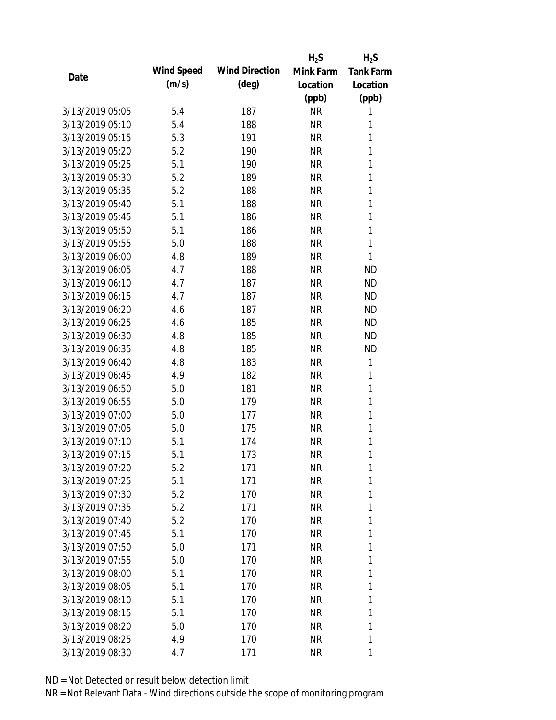|                 |            |                       | $H_2S$    | $H_2S$           |
|-----------------|------------|-----------------------|-----------|------------------|
| Date            | Wind Speed | <b>Wind Direction</b> | Mink Farm | <b>Tank Farm</b> |
|                 | (m/s)      | $(\text{deg})$        | Location  | Location         |
|                 |            |                       | (ppb)     | (ppb)            |
| 3/13/2019 05:05 | 5.4        | 187                   | <b>NR</b> | 1                |
| 3/13/2019 05:10 | 5.4        | 188                   | <b>NR</b> | 1                |
| 3/13/2019 05:15 | 5.3        | 191                   | <b>NR</b> | 1                |
| 3/13/2019 05:20 | 5.2        | 190                   | <b>NR</b> | 1                |
| 3/13/2019 05:25 | 5.1        | 190                   | <b>NR</b> | 1                |
| 3/13/2019 05:30 | 5.2        | 189                   | <b>NR</b> | 1                |
| 3/13/2019 05:35 | 5.2        | 188                   | <b>NR</b> | 1                |
| 3/13/2019 05:40 | 5.1        | 188                   | <b>NR</b> | 1                |
| 3/13/2019 05:45 | 5.1        | 186                   | <b>NR</b> | 1                |
| 3/13/2019 05:50 | 5.1        | 186                   | <b>NR</b> | $\mathbf{1}$     |
| 3/13/2019 05:55 | 5.0        | 188                   | <b>NR</b> | 1                |
| 3/13/2019 06:00 | 4.8        | 189                   | <b>NR</b> | 1                |
| 3/13/2019 06:05 | 4.7        | 188                   | <b>NR</b> | <b>ND</b>        |
| 3/13/2019 06:10 | 4.7        | 187                   | <b>NR</b> | <b>ND</b>        |
| 3/13/2019 06:15 | 4.7        | 187                   | <b>NR</b> | <b>ND</b>        |
| 3/13/2019 06:20 | 4.6        | 187                   | <b>NR</b> | <b>ND</b>        |
| 3/13/2019 06:25 | 4.6        | 185                   | <b>NR</b> | <b>ND</b>        |
| 3/13/2019 06:30 | 4.8        | 185                   | <b>NR</b> | <b>ND</b>        |
| 3/13/2019 06:35 | 4.8        | 185                   | <b>NR</b> | <b>ND</b>        |
| 3/13/2019 06:40 | 4.8        | 183                   | <b>NR</b> | 1                |
| 3/13/2019 06:45 | 4.9        | 182                   | <b>NR</b> | 1                |
| 3/13/2019 06:50 | 5.0        | 181                   | <b>NR</b> | 1                |
| 3/13/2019 06:55 | 5.0        | 179                   | <b>NR</b> | 1                |
| 3/13/2019 07:00 | 5.0        | 177                   | <b>NR</b> | 1                |
| 3/13/2019 07:05 | 5.0        | 175                   | <b>NR</b> | 1                |
| 3/13/2019 07:10 | 5.1        | 174                   | <b>NR</b> | 1                |
| 3/13/2019 07:15 | 5.1        | 173                   | <b>NR</b> | 1                |
| 3/13/2019 07:20 | 5.2        | 171                   | <b>NR</b> | 1                |
| 3/13/2019 07:25 | 5.1        | 171                   | <b>NR</b> | 1                |
| 3/13/2019 07:30 | 5.2        | 170                   | <b>NR</b> | 1                |
| 3/13/2019 07:35 | 5.2        | 171                   | <b>NR</b> | 1                |
| 3/13/2019 07:40 | 5.2        | 170                   | <b>NR</b> | 1                |
| 3/13/2019 07:45 | 5.1        | 170                   | <b>NR</b> | 1                |
| 3/13/2019 07:50 | 5.0        | 171                   | <b>NR</b> | 1                |
| 3/13/2019 07:55 | 5.0        | 170                   | <b>NR</b> | 1                |
| 3/13/2019 08:00 | 5.1        | 170                   | <b>NR</b> | 1                |
| 3/13/2019 08:05 | 5.1        | 170                   | <b>NR</b> | 1                |
| 3/13/2019 08:10 | 5.1        | 170                   | NR        | 1                |
| 3/13/2019 08:15 | 5.1        | 170                   | <b>NR</b> | 1                |
| 3/13/2019 08:20 | 5.0        | 170                   | <b>NR</b> | 1                |
| 3/13/2019 08:25 | 4.9        | 170                   | <b>NR</b> | 1                |
| 3/13/2019 08:30 | 4.7        | 171                   | <b>NR</b> | 1                |
|                 |            |                       |           |                  |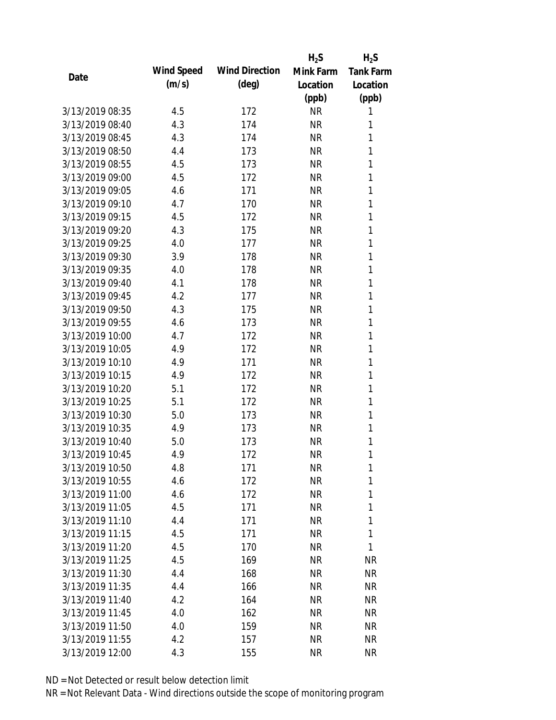|                 |            |                       | $H_2S$    | $H_2S$           |
|-----------------|------------|-----------------------|-----------|------------------|
| Date            | Wind Speed | <b>Wind Direction</b> | Mink Farm | <b>Tank Farm</b> |
|                 | (m/s)      | $(\text{deg})$        | Location  | Location         |
|                 |            |                       | (ppb)     | (ppb)            |
| 3/13/2019 08:35 | 4.5        | 172                   | <b>NR</b> | 1                |
| 3/13/2019 08:40 | 4.3        | 174                   | <b>NR</b> | 1                |
| 3/13/2019 08:45 | 4.3        | 174                   | <b>NR</b> | 1                |
| 3/13/2019 08:50 | 4.4        | 173                   | <b>NR</b> | 1                |
| 3/13/2019 08:55 | 4.5        | 173                   | <b>NR</b> | 1                |
| 3/13/2019 09:00 | 4.5        | 172                   | <b>NR</b> | 1                |
| 3/13/2019 09:05 | 4.6        | 171                   | <b>NR</b> | 1                |
| 3/13/2019 09:10 | 4.7        | 170                   | <b>NR</b> | 1                |
| 3/13/2019 09:15 | 4.5        | 172                   | <b>NR</b> | 1                |
| 3/13/2019 09:20 | 4.3        | 175                   | <b>NR</b> | 1                |
| 3/13/2019 09:25 | 4.0        | 177                   | <b>NR</b> | 1                |
| 3/13/2019 09:30 | 3.9        | 178                   | <b>NR</b> | 1                |
| 3/13/2019 09:35 | 4.0        | 178                   | <b>NR</b> | 1                |
| 3/13/2019 09:40 | 4.1        | 178                   | <b>NR</b> | 1                |
| 3/13/2019 09:45 | 4.2        | 177                   | <b>NR</b> | 1                |
| 3/13/2019 09:50 | 4.3        | 175                   | <b>NR</b> | 1                |
| 3/13/2019 09:55 | 4.6        | 173                   | <b>NR</b> | 1                |
| 3/13/2019 10:00 | 4.7        | 172                   | <b>NR</b> | 1                |
| 3/13/2019 10:05 | 4.9        | 172                   | <b>NR</b> | 1                |
| 3/13/2019 10:10 | 4.9        | 171                   | <b>NR</b> | 1                |
| 3/13/2019 10:15 | 4.9        | 172                   | <b>NR</b> | 1                |
| 3/13/2019 10:20 | 5.1        | 172                   | <b>NR</b> | 1                |
| 3/13/2019 10:25 | 5.1        | 172                   | <b>NR</b> | 1                |
| 3/13/2019 10:30 | 5.0        | 173                   | <b>NR</b> | 1                |
| 3/13/2019 10:35 | 4.9        | 173                   | <b>NR</b> | 1                |
| 3/13/2019 10:40 | 5.0        | 173                   | <b>NR</b> | 1                |
| 3/13/2019 10:45 | 4.9        | 172                   | <b>NR</b> | 1                |
| 3/13/2019 10:50 | 4.8        | 171                   | <b>NR</b> | 1                |
| 3/13/2019 10:55 | 4.6        | 172                   | <b>NR</b> | 1                |
| 3/13/2019 11:00 | 4.6        | 172                   | <b>NR</b> | 1                |
| 3/13/2019 11:05 | 4.5        | 171                   | <b>NR</b> | 1                |
| 3/13/2019 11:10 | 4.4        | 171                   | <b>NR</b> | 1                |
| 3/13/2019 11:15 | 4.5        | 171                   | <b>NR</b> | 1                |
| 3/13/2019 11:20 | 4.5        | 170                   | <b>NR</b> | 1                |
| 3/13/2019 11:25 | 4.5        | 169                   | <b>NR</b> | <b>NR</b>        |
| 3/13/2019 11:30 | 4.4        | 168                   | <b>NR</b> | <b>NR</b>        |
| 3/13/2019 11:35 | 4.4        | 166                   | <b>NR</b> | NR               |
| 3/13/2019 11:40 | 4.2        | 164                   | <b>NR</b> | NR               |
| 3/13/2019 11:45 | 4.0        | 162                   | <b>NR</b> | NR               |
| 3/13/2019 11:50 | 4.0        | 159                   | <b>NR</b> | NR               |
| 3/13/2019 11:55 | 4.2        | 157                   | <b>NR</b> | <b>NR</b>        |
|                 |            |                       |           |                  |
| 3/13/2019 12:00 | 4.3        | 155                   | <b>NR</b> | <b>NR</b>        |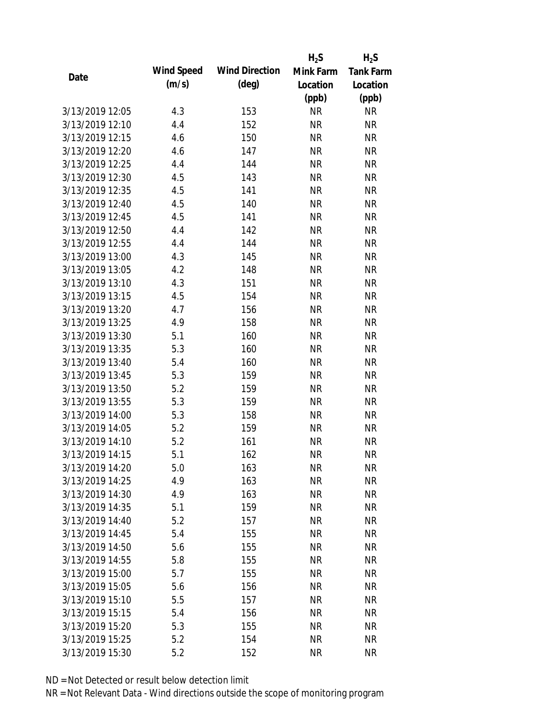|                 |            |                       | $H_2S$    | $H_2S$           |
|-----------------|------------|-----------------------|-----------|------------------|
|                 | Wind Speed | <b>Wind Direction</b> | Mink Farm | <b>Tank Farm</b> |
| Date            | (m/s)      | $(\text{deg})$        | Location  | Location         |
|                 |            |                       | (ppb)     | (ppb)            |
| 3/13/2019 12:05 | 4.3        | 153                   | <b>NR</b> | <b>NR</b>        |
| 3/13/2019 12:10 | 4.4        | 152                   | <b>NR</b> | <b>NR</b>        |
| 3/13/2019 12:15 | 4.6        | 150                   | <b>NR</b> | <b>NR</b>        |
| 3/13/2019 12:20 | 4.6        | 147                   | <b>NR</b> | <b>NR</b>        |
| 3/13/2019 12:25 | 4.4        | 144                   | <b>NR</b> | <b>NR</b>        |
| 3/13/2019 12:30 | 4.5        | 143                   | <b>NR</b> | <b>NR</b>        |
| 3/13/2019 12:35 | 4.5        | 141                   | <b>NR</b> | <b>NR</b>        |
| 3/13/2019 12:40 | 4.5        | 140                   | <b>NR</b> | <b>NR</b>        |
| 3/13/2019 12:45 | 4.5        | 141                   | <b>NR</b> | <b>NR</b>        |
| 3/13/2019 12:50 | 4.4        | 142                   | <b>NR</b> | <b>NR</b>        |
| 3/13/2019 12:55 | 4.4        | 144                   | <b>NR</b> | <b>NR</b>        |
| 3/13/2019 13:00 | 4.3        | 145                   | <b>NR</b> | <b>NR</b>        |
| 3/13/2019 13:05 | 4.2        | 148                   | <b>NR</b> | <b>NR</b>        |
| 3/13/2019 13:10 | 4.3        | 151                   | <b>NR</b> | <b>NR</b>        |
| 3/13/2019 13:15 | 4.5        | 154                   | <b>NR</b> | <b>NR</b>        |
| 3/13/2019 13:20 | 4.7        | 156                   | <b>NR</b> | <b>NR</b>        |
| 3/13/2019 13:25 | 4.9        | 158                   | <b>NR</b> | <b>NR</b>        |
| 3/13/2019 13:30 | 5.1        | 160                   | <b>NR</b> | <b>NR</b>        |
| 3/13/2019 13:35 | 5.3        | 160                   | <b>NR</b> | <b>NR</b>        |
| 3/13/2019 13:40 | 5.4        | 160                   | <b>NR</b> | <b>NR</b>        |
| 3/13/2019 13:45 | 5.3        | 159                   | <b>NR</b> | <b>NR</b>        |
| 3/13/2019 13:50 | 5.2        | 159                   | <b>NR</b> | <b>NR</b>        |
| 3/13/2019 13:55 | 5.3        | 159                   | <b>NR</b> | <b>NR</b>        |
| 3/13/2019 14:00 | 5.3        | 158                   | <b>NR</b> | <b>NR</b>        |
| 3/13/2019 14:05 | 5.2        | 159                   | <b>NR</b> | <b>NR</b>        |
| 3/13/2019 14:10 | 5.2        | 161                   | <b>NR</b> | <b>NR</b>        |
| 3/13/2019 14:15 | 5.1        | 162                   | <b>NR</b> | <b>NR</b>        |
| 3/13/2019 14:20 | 5.0        | 163                   | <b>NR</b> | <b>NR</b>        |
| 3/13/2019 14:25 | 4.9        | 163                   | <b>NR</b> | <b>NR</b>        |
| 3/13/2019 14:30 | 4.9        | 163                   | <b>NR</b> | <b>NR</b>        |
| 3/13/2019 14:35 | 5.1        | 159                   | <b>NR</b> | <b>NR</b>        |
| 3/13/2019 14:40 | 5.2        | 157                   | <b>NR</b> | <b>NR</b>        |
| 3/13/2019 14:45 | 5.4        | 155                   | <b>NR</b> | <b>NR</b>        |
| 3/13/2019 14:50 | 5.6        | 155                   | <b>NR</b> | <b>NR</b>        |
| 3/13/2019 14:55 | 5.8        | 155                   | <b>NR</b> | <b>NR</b>        |
| 3/13/2019 15:00 | 5.7        | 155                   | <b>NR</b> | <b>NR</b>        |
| 3/13/2019 15:05 | 5.6        | 156                   | <b>NR</b> | NR               |
| 3/13/2019 15:10 | 5.5        | 157                   | <b>NR</b> | NR               |
| 3/13/2019 15:15 | 5.4        | 156                   | <b>NR</b> | NR               |
| 3/13/2019 15:20 | 5.3        | 155                   | <b>NR</b> | NR               |
| 3/13/2019 15:25 | 5.2        | 154                   | <b>NR</b> | <b>NR</b>        |
| 3/13/2019 15:30 | 5.2        | 152                   | <b>NR</b> | <b>NR</b>        |
|                 |            |                       |           |                  |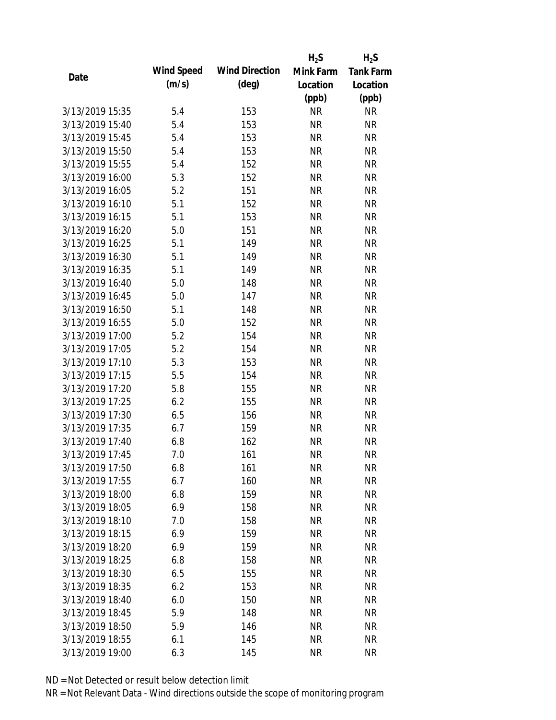|                 |            |                       | $H_2S$    | $H_2S$           |
|-----------------|------------|-----------------------|-----------|------------------|
|                 | Wind Speed | <b>Wind Direction</b> | Mink Farm | <b>Tank Farm</b> |
| Date            | (m/s)      | $(\text{deg})$        | Location  | Location         |
|                 |            |                       | (ppb)     | (ppb)            |
| 3/13/2019 15:35 | 5.4        | 153                   | <b>NR</b> | <b>NR</b>        |
| 3/13/2019 15:40 | 5.4        | 153                   | <b>NR</b> | <b>NR</b>        |
| 3/13/2019 15:45 | 5.4        | 153                   | <b>NR</b> | <b>NR</b>        |
| 3/13/2019 15:50 | 5.4        | 153                   | <b>NR</b> | <b>NR</b>        |
| 3/13/2019 15:55 | 5.4        | 152                   | <b>NR</b> | <b>NR</b>        |
| 3/13/2019 16:00 | 5.3        | 152                   | <b>NR</b> | <b>NR</b>        |
| 3/13/2019 16:05 | 5.2        | 151                   | <b>NR</b> | <b>NR</b>        |
| 3/13/2019 16:10 | 5.1        | 152                   | <b>NR</b> | <b>NR</b>        |
| 3/13/2019 16:15 | 5.1        | 153                   | <b>NR</b> | <b>NR</b>        |
| 3/13/2019 16:20 | 5.0        | 151                   | <b>NR</b> | <b>NR</b>        |
| 3/13/2019 16:25 | 5.1        | 149                   | <b>NR</b> | <b>NR</b>        |
| 3/13/2019 16:30 | 5.1        | 149                   | <b>NR</b> | <b>NR</b>        |
| 3/13/2019 16:35 | 5.1        | 149                   | <b>NR</b> | <b>NR</b>        |
| 3/13/2019 16:40 | 5.0        | 148                   | <b>NR</b> | <b>NR</b>        |
| 3/13/2019 16:45 | 5.0        | 147                   | <b>NR</b> | <b>NR</b>        |
| 3/13/2019 16:50 | 5.1        | 148                   | <b>NR</b> | <b>NR</b>        |
| 3/13/2019 16:55 | 5.0        | 152                   | <b>NR</b> | <b>NR</b>        |
| 3/13/2019 17:00 | 5.2        | 154                   | <b>NR</b> | <b>NR</b>        |
| 3/13/2019 17:05 | 5.2        | 154                   | <b>NR</b> | <b>NR</b>        |
| 3/13/2019 17:10 | 5.3        | 153                   | <b>NR</b> | <b>NR</b>        |
| 3/13/2019 17:15 | 5.5        | 154                   | <b>NR</b> | <b>NR</b>        |
| 3/13/2019 17:20 | 5.8        | 155                   | <b>NR</b> | <b>NR</b>        |
| 3/13/2019 17:25 | 6.2        | 155                   | <b>NR</b> | <b>NR</b>        |
| 3/13/2019 17:30 | 6.5        | 156                   | <b>NR</b> | <b>NR</b>        |
| 3/13/2019 17:35 | 6.7        | 159                   | <b>NR</b> | <b>NR</b>        |
| 3/13/2019 17:40 | 6.8        | 162                   | <b>NR</b> | <b>NR</b>        |
| 3/13/2019 17:45 | 7.0        | 161                   | <b>NR</b> | <b>NR</b>        |
| 3/13/2019 17:50 | 6.8        | 161                   | <b>NR</b> | <b>NR</b>        |
| 3/13/2019 17:55 | 6.7        | 160                   | <b>NR</b> | <b>NR</b>        |
| 3/13/2019 18:00 | 6.8        | 159                   | <b>NR</b> | <b>NR</b>        |
| 3/13/2019 18:05 | 6.9        | 158                   | <b>NR</b> | <b>NR</b>        |
| 3/13/2019 18:10 | 7.0        | 158                   | <b>NR</b> | <b>NR</b>        |
| 3/13/2019 18:15 | 6.9        | 159                   | <b>NR</b> | <b>NR</b>        |
| 3/13/2019 18:20 | 6.9        | 159                   | <b>NR</b> | <b>NR</b>        |
| 3/13/2019 18:25 | 6.8        | 158                   | <b>NR</b> | <b>NR</b>        |
| 3/13/2019 18:30 | 6.5        | 155                   | <b>NR</b> | <b>NR</b>        |
| 3/13/2019 18:35 | 6.2        | 153                   | <b>NR</b> | <b>NR</b>        |
| 3/13/2019 18:40 | 6.0        | 150                   | <b>NR</b> | <b>NR</b>        |
| 3/13/2019 18:45 | 5.9        | 148                   | <b>NR</b> | NR               |
| 3/13/2019 18:50 | 5.9        | 146                   | <b>NR</b> | NR               |
| 3/13/2019 18:55 | 6.1        | 145                   | <b>NR</b> | <b>NR</b>        |
| 3/13/2019 19:00 | 6.3        | 145                   | <b>NR</b> | <b>NR</b>        |
|                 |            |                       |           |                  |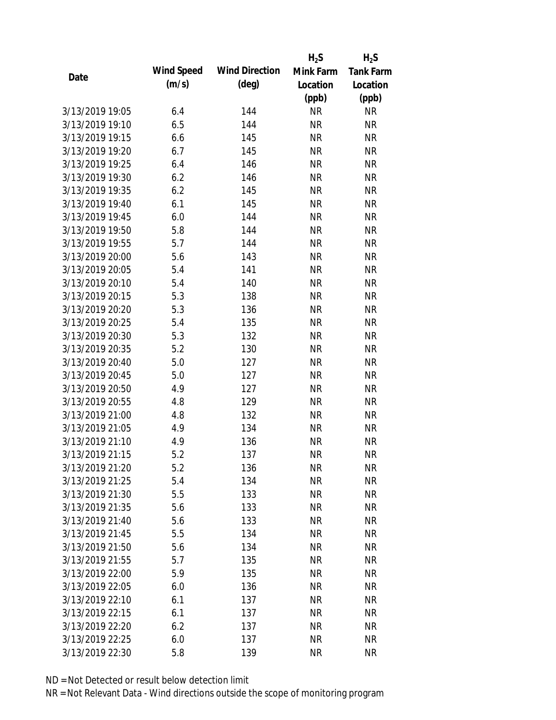|                 |            |                       | $H_2S$    | $H_2S$           |
|-----------------|------------|-----------------------|-----------|------------------|
| Date            | Wind Speed | <b>Wind Direction</b> | Mink Farm | <b>Tank Farm</b> |
|                 | (m/s)      | $(\text{deg})$        | Location  | Location         |
|                 |            |                       | (ppb)     | (ppb)            |
| 3/13/2019 19:05 | 6.4        | 144                   | <b>NR</b> | <b>NR</b>        |
| 3/13/2019 19:10 | 6.5        | 144                   | <b>NR</b> | <b>NR</b>        |
| 3/13/2019 19:15 | 6.6        | 145                   | <b>NR</b> | <b>NR</b>        |
| 3/13/2019 19:20 | 6.7        | 145                   | <b>NR</b> | <b>NR</b>        |
| 3/13/2019 19:25 | 6.4        | 146                   | <b>NR</b> | <b>NR</b>        |
| 3/13/2019 19:30 | 6.2        | 146                   | <b>NR</b> | <b>NR</b>        |
| 3/13/2019 19:35 | 6.2        | 145                   | <b>NR</b> | <b>NR</b>        |
| 3/13/2019 19:40 | 6.1        | 145                   | <b>NR</b> | <b>NR</b>        |
| 3/13/2019 19:45 | 6.0        | 144                   | <b>NR</b> | <b>NR</b>        |
| 3/13/2019 19:50 | 5.8        | 144                   | <b>NR</b> | <b>NR</b>        |
| 3/13/2019 19:55 | 5.7        | 144                   | <b>NR</b> | <b>NR</b>        |
| 3/13/2019 20:00 | 5.6        | 143                   | <b>NR</b> | <b>NR</b>        |
| 3/13/2019 20:05 | 5.4        | 141                   | <b>NR</b> | <b>NR</b>        |
| 3/13/2019 20:10 | 5.4        | 140                   | <b>NR</b> | <b>NR</b>        |
| 3/13/2019 20:15 | 5.3        | 138                   | <b>NR</b> | <b>NR</b>        |
| 3/13/2019 20:20 | 5.3        | 136                   | <b>NR</b> | <b>NR</b>        |
| 3/13/2019 20:25 | 5.4        | 135                   | <b>NR</b> | <b>NR</b>        |
| 3/13/2019 20:30 | 5.3        | 132                   | <b>NR</b> | <b>NR</b>        |
| 3/13/2019 20:35 | 5.2        | 130                   | <b>NR</b> | <b>NR</b>        |
| 3/13/2019 20:40 | 5.0        | 127                   | <b>NR</b> | <b>NR</b>        |
| 3/13/2019 20:45 | 5.0        | 127                   | <b>NR</b> | <b>NR</b>        |
| 3/13/2019 20:50 | 4.9        | 127                   | <b>NR</b> | <b>NR</b>        |
| 3/13/2019 20:55 | 4.8        | 129                   | <b>NR</b> | <b>NR</b>        |
| 3/13/2019 21:00 | 4.8        | 132                   | <b>NR</b> | <b>NR</b>        |
| 3/13/2019 21:05 | 4.9        | 134                   | <b>NR</b> | <b>NR</b>        |
| 3/13/2019 21:10 | 4.9        | 136                   | <b>NR</b> | <b>NR</b>        |
| 3/13/2019 21:15 | 5.2        | 137                   | <b>NR</b> | <b>NR</b>        |
| 3/13/2019 21:20 | 5.2        | 136                   | <b>NR</b> | <b>NR</b>        |
| 3/13/2019 21:25 | 5.4        | 134                   | <b>NR</b> | <b>NR</b>        |
| 3/13/2019 21:30 | 5.5        | 133                   | <b>NR</b> | <b>NR</b>        |
| 3/13/2019 21:35 | 5.6        | 133                   | <b>NR</b> | <b>NR</b>        |
| 3/13/2019 21:40 | 5.6        | 133                   | <b>NR</b> | NR               |
| 3/13/2019 21:45 | 5.5        | 134                   | <b>NR</b> | <b>NR</b>        |
| 3/13/2019 21:50 | 5.6        | 134                   | <b>NR</b> | <b>NR</b>        |
| 3/13/2019 21:55 | 5.7        | 135                   | <b>NR</b> | <b>NR</b>        |
| 3/13/2019 22:00 | 5.9        | 135                   | <b>NR</b> | <b>NR</b>        |
| 3/13/2019 22:05 | 6.0        | 136                   | <b>NR</b> | <b>NR</b>        |
| 3/13/2019 22:10 | 6.1        | 137                   | NR        | <b>NR</b>        |
| 3/13/2019 22:15 | 6.1        | 137                   | <b>NR</b> | <b>NR</b>        |
| 3/13/2019 22:20 | 6.2        | 137                   | <b>NR</b> | <b>NR</b>        |
| 3/13/2019 22:25 | 6.0        | 137                   | <b>NR</b> | <b>NR</b>        |
| 3/13/2019 22:30 | 5.8        | 139                   | <b>NR</b> | <b>NR</b>        |
|                 |            |                       |           |                  |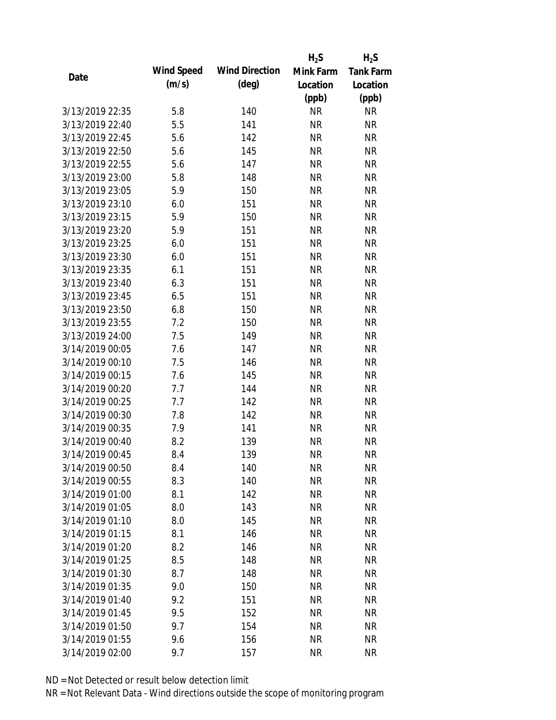|                 |            |                       | $H_2S$    | $H_2S$           |
|-----------------|------------|-----------------------|-----------|------------------|
| Date            | Wind Speed | <b>Wind Direction</b> | Mink Farm | <b>Tank Farm</b> |
|                 | (m/s)      | $(\text{deg})$        | Location  | Location         |
|                 |            |                       | (ppb)     | (ppb)            |
| 3/13/2019 22:35 | 5.8        | 140                   | <b>NR</b> | <b>NR</b>        |
| 3/13/2019 22:40 | 5.5        | 141                   | <b>NR</b> | <b>NR</b>        |
| 3/13/2019 22:45 | 5.6        | 142                   | <b>NR</b> | <b>NR</b>        |
| 3/13/2019 22:50 | 5.6        | 145                   | <b>NR</b> | <b>NR</b>        |
| 3/13/2019 22:55 | 5.6        | 147                   | <b>NR</b> | <b>NR</b>        |
| 3/13/2019 23:00 | 5.8        | 148                   | <b>NR</b> | <b>NR</b>        |
| 3/13/2019 23:05 | 5.9        | 150                   | <b>NR</b> | <b>NR</b>        |
| 3/13/2019 23:10 | 6.0        | 151                   | <b>NR</b> | <b>NR</b>        |
| 3/13/2019 23:15 | 5.9        | 150                   | <b>NR</b> | <b>NR</b>        |
| 3/13/2019 23:20 | 5.9        | 151                   | <b>NR</b> | <b>NR</b>        |
| 3/13/2019 23:25 | 6.0        | 151                   | <b>NR</b> | <b>NR</b>        |
| 3/13/2019 23:30 | 6.0        | 151                   | <b>NR</b> | <b>NR</b>        |
| 3/13/2019 23:35 | 6.1        | 151                   | <b>NR</b> | <b>NR</b>        |
| 3/13/2019 23:40 | 6.3        | 151                   | <b>NR</b> | <b>NR</b>        |
| 3/13/2019 23:45 | 6.5        | 151                   | <b>NR</b> | <b>NR</b>        |
| 3/13/2019 23:50 | 6.8        | 150                   | <b>NR</b> | <b>NR</b>        |
| 3/13/2019 23:55 | 7.2        | 150                   | <b>NR</b> | <b>NR</b>        |
| 3/13/2019 24:00 | 7.5        | 149                   | <b>NR</b> | <b>NR</b>        |
| 3/14/2019 00:05 | 7.6        | 147                   | <b>NR</b> | <b>NR</b>        |
| 3/14/2019 00:10 | 7.5        | 146                   | <b>NR</b> | <b>NR</b>        |
| 3/14/2019 00:15 | 7.6        | 145                   | <b>NR</b> | <b>NR</b>        |
| 3/14/2019 00:20 | 7.7        | 144                   | <b>NR</b> | <b>NR</b>        |
| 3/14/2019 00:25 | 7.7        | 142                   | <b>NR</b> | <b>NR</b>        |
| 3/14/2019 00:30 | 7.8        | 142                   | <b>NR</b> | <b>NR</b>        |
| 3/14/2019 00:35 | 7.9        | 141                   | <b>NR</b> | <b>NR</b>        |
| 3/14/2019 00:40 | 8.2        | 139                   | <b>NR</b> | <b>NR</b>        |
| 3/14/2019 00:45 | 8.4        | 139                   | <b>NR</b> | <b>NR</b>        |
| 3/14/2019 00:50 | 8.4        | 140                   | <b>NR</b> | <b>NR</b>        |
| 3/14/2019 00:55 | 8.3        | 140                   | <b>NR</b> | <b>NR</b>        |
| 3/14/2019 01:00 | 8.1        | 142                   | <b>NR</b> | <b>NR</b>        |
| 3/14/2019 01:05 | 8.0        | 143                   | <b>NR</b> | <b>NR</b>        |
| 3/14/2019 01:10 | 8.0        | 145                   | <b>NR</b> | <b>NR</b>        |
| 3/14/2019 01:15 | 8.1        | 146                   | <b>NR</b> | <b>NR</b>        |
| 3/14/2019 01:20 | 8.2        | 146                   | <b>NR</b> | <b>NR</b>        |
| 3/14/2019 01:25 | 8.5        | 148                   | <b>NR</b> | <b>NR</b>        |
| 3/14/2019 01:30 | 8.7        | 148                   | <b>NR</b> | <b>NR</b>        |
| 3/14/2019 01:35 | 9.0        | 150                   | <b>NR</b> | <b>NR</b>        |
| 3/14/2019 01:40 | 9.2        | 151                   | NR        | <b>NR</b>        |
| 3/14/2019 01:45 | 9.5        | 152                   | <b>NR</b> | <b>NR</b>        |
| 3/14/2019 01:50 | 9.7        | 154                   | <b>NR</b> | <b>NR</b>        |
| 3/14/2019 01:55 | 9.6        | 156                   | <b>NR</b> | <b>NR</b>        |
| 3/14/2019 02:00 | 9.7        | 157                   | <b>NR</b> | <b>NR</b>        |
|                 |            |                       |           |                  |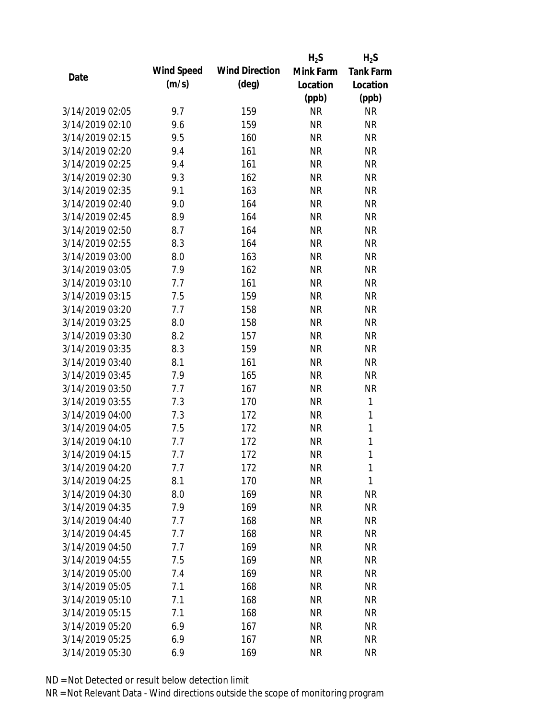|                 |            |                       | $H_2S$    | $H_2S$           |
|-----------------|------------|-----------------------|-----------|------------------|
| Date            | Wind Speed | <b>Wind Direction</b> | Mink Farm | <b>Tank Farm</b> |
|                 | (m/s)      | $(\text{deg})$        | Location  | Location         |
|                 |            |                       | (ppb)     | (ppb)            |
| 3/14/2019 02:05 | 9.7        | 159                   | <b>NR</b> | <b>NR</b>        |
| 3/14/2019 02:10 | 9.6        | 159                   | <b>NR</b> | <b>NR</b>        |
| 3/14/2019 02:15 | 9.5        | 160                   | <b>NR</b> | <b>NR</b>        |
| 3/14/2019 02:20 | 9.4        | 161                   | <b>NR</b> | <b>NR</b>        |
| 3/14/2019 02:25 | 9.4        | 161                   | <b>NR</b> | <b>NR</b>        |
| 3/14/2019 02:30 | 9.3        | 162                   | <b>NR</b> | <b>NR</b>        |
| 3/14/2019 02:35 | 9.1        | 163                   | <b>NR</b> | <b>NR</b>        |
| 3/14/2019 02:40 | 9.0        | 164                   | <b>NR</b> | <b>NR</b>        |
| 3/14/2019 02:45 | 8.9        | 164                   | <b>NR</b> | <b>NR</b>        |
| 3/14/2019 02:50 | 8.7        | 164                   | <b>NR</b> | <b>NR</b>        |
| 3/14/2019 02:55 | 8.3        | 164                   | <b>NR</b> | <b>NR</b>        |
| 3/14/2019 03:00 | 8.0        | 163                   | <b>NR</b> | <b>NR</b>        |
| 3/14/2019 03:05 | 7.9        | 162                   | <b>NR</b> | <b>NR</b>        |
| 3/14/2019 03:10 | 7.7        | 161                   | <b>NR</b> | <b>NR</b>        |
| 3/14/2019 03:15 | 7.5        | 159                   | <b>NR</b> | <b>NR</b>        |
| 3/14/2019 03:20 | 7.7        | 158                   | <b>NR</b> | <b>NR</b>        |
| 3/14/2019 03:25 | 8.0        | 158                   | <b>NR</b> | <b>NR</b>        |
| 3/14/2019 03:30 | 8.2        | 157                   | <b>NR</b> | <b>NR</b>        |
| 3/14/2019 03:35 | 8.3        | 159                   | <b>NR</b> | <b>NR</b>        |
| 3/14/2019 03:40 | 8.1        | 161                   | <b>NR</b> | <b>NR</b>        |
| 3/14/2019 03:45 | 7.9        | 165                   | <b>NR</b> | <b>NR</b>        |
| 3/14/2019 03:50 | 7.7        | 167                   | <b>NR</b> | <b>NR</b>        |
| 3/14/2019 03:55 | 7.3        | 170                   | <b>NR</b> | 1                |
| 3/14/2019 04:00 | 7.3        | 172                   | <b>NR</b> | $\mathbf{1}$     |
| 3/14/2019 04:05 | 7.5        | 172                   | <b>NR</b> | 1                |
| 3/14/2019 04:10 | 7.7        | 172                   | <b>NR</b> | $\mathbf{1}$     |
| 3/14/2019 04:15 | 7.7        | 172                   | <b>NR</b> | 1                |
| 3/14/2019 04:20 | 7.7        | 172                   | <b>NR</b> | 1                |
| 3/14/2019 04:25 | 8.1        | 170                   | <b>NR</b> | 1                |
| 3/14/2019 04:30 | 8.0        | 169                   | <b>NR</b> | <b>NR</b>        |
| 3/14/2019 04:35 | 7.9        | 169                   | <b>NR</b> | <b>NR</b>        |
| 3/14/2019 04:40 | 7.7        | 168                   | <b>NR</b> | <b>NR</b>        |
| 3/14/2019 04:45 | 7.7        | 168                   | <b>NR</b> | <b>NR</b>        |
| 3/14/2019 04:50 | 7.7        | 169                   | <b>NR</b> | <b>NR</b>        |
| 3/14/2019 04:55 | 7.5        | 169                   | <b>NR</b> | <b>NR</b>        |
| 3/14/2019 05:00 | 7.4        | 169                   | <b>NR</b> | <b>NR</b>        |
| 3/14/2019 05:05 | 7.1        | 168                   | <b>NR</b> | <b>NR</b>        |
| 3/14/2019 05:10 | 7.1        | 168                   | NR        | <b>NR</b>        |
| 3/14/2019 05:15 | 7.1        | 168                   | <b>NR</b> | <b>NR</b>        |
| 3/14/2019 05:20 | 6.9        | 167                   | <b>NR</b> | NR               |
| 3/14/2019 05:25 | 6.9        | 167                   | <b>NR</b> | <b>NR</b>        |
| 3/14/2019 05:30 | 6.9        | 169                   | <b>NR</b> | <b>NR</b>        |
|                 |            |                       |           |                  |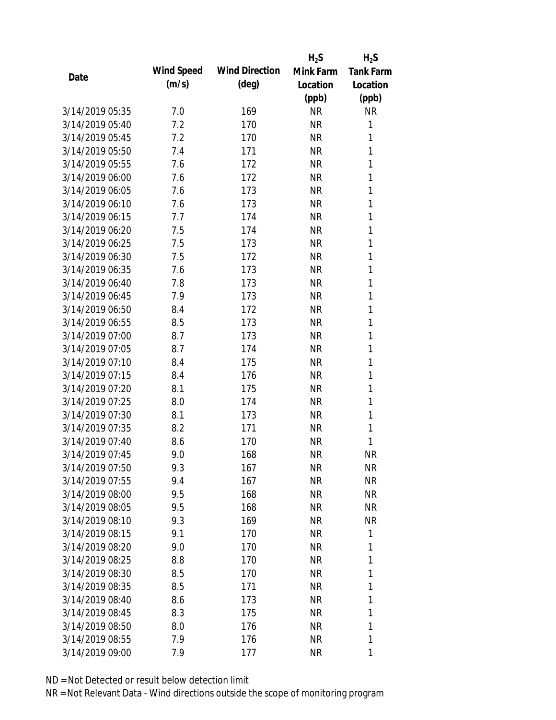|                 |            |                       | $H_2S$    | $H_2S$           |
|-----------------|------------|-----------------------|-----------|------------------|
| Date            | Wind Speed | <b>Wind Direction</b> | Mink Farm | <b>Tank Farm</b> |
|                 | (m/s)      | $(\text{deg})$        | Location  | Location         |
|                 |            |                       | (ppb)     | (ppb)            |
| 3/14/2019 05:35 | 7.0        | 169                   | <b>NR</b> | <b>NR</b>        |
| 3/14/2019 05:40 | 7.2        | 170                   | <b>NR</b> | 1                |
| 3/14/2019 05:45 | 7.2        | 170                   | <b>NR</b> | 1                |
| 3/14/2019 05:50 | 7.4        | 171                   | <b>NR</b> | 1                |
| 3/14/2019 05:55 | 7.6        | 172                   | <b>NR</b> | 1                |
| 3/14/2019 06:00 | 7.6        | 172                   | <b>NR</b> | 1                |
| 3/14/2019 06:05 | 7.6        | 173                   | <b>NR</b> | 1                |
| 3/14/2019 06:10 | 7.6        | 173                   | <b>NR</b> | 1                |
| 3/14/2019 06:15 | 7.7        | 174                   | <b>NR</b> | 1                |
| 3/14/2019 06:20 | 7.5        | 174                   | <b>NR</b> | 1                |
| 3/14/2019 06:25 | 7.5        | 173                   | <b>NR</b> | 1                |
| 3/14/2019 06:30 | 7.5        | 172                   | <b>NR</b> | 1                |
| 3/14/2019 06:35 | 7.6        | 173                   | <b>NR</b> | 1                |
| 3/14/2019 06:40 | 7.8        | 173                   | <b>NR</b> | 1                |
| 3/14/2019 06:45 | 7.9        | 173                   | <b>NR</b> | 1                |
| 3/14/2019 06:50 | 8.4        | 172                   | <b>NR</b> | 1                |
| 3/14/2019 06:55 | 8.5        | 173                   | <b>NR</b> | 1                |
| 3/14/2019 07:00 | 8.7        | 173                   | <b>NR</b> | 1                |
| 3/14/2019 07:05 | 8.7        | 174                   | <b>NR</b> | 1                |
| 3/14/2019 07:10 | 8.4        | 175                   | <b>NR</b> | 1                |
| 3/14/2019 07:15 | 8.4        | 176                   | <b>NR</b> | 1                |
| 3/14/2019 07:20 | 8.1        | 175                   | <b>NR</b> | 1                |
| 3/14/2019 07:25 | 8.0        | 174                   | <b>NR</b> | 1                |
| 3/14/2019 07:30 | 8.1        | 173                   | <b>NR</b> | 1                |
| 3/14/2019 07:35 | 8.2        | 171                   | <b>NR</b> | 1                |
| 3/14/2019 07:40 | 8.6        | 170                   | <b>NR</b> | 1                |
| 3/14/2019 07:45 | 9.0        | 168                   | <b>NR</b> | <b>NR</b>        |
| 3/14/2019 07:50 | 9.3        | 167                   | <b>NR</b> | <b>NR</b>        |
| 3/14/2019 07:55 | 9.4        | 167                   | <b>NR</b> | <b>NR</b>        |
| 3/14/2019 08:00 | 9.5        | 168                   | NR        | <b>NR</b>        |
| 3/14/2019 08:05 | 9.5        | 168                   | <b>NR</b> | <b>NR</b>        |
| 3/14/2019 08:10 | 9.3        | 169                   | NR        | NR               |
| 3/14/2019 08:15 | 9.1        | 170                   | NR        | 1                |
| 3/14/2019 08:20 | 9.0        | 170                   | <b>NR</b> | 1                |
| 3/14/2019 08:25 | 8.8        | 170                   | NR        | 1                |
| 3/14/2019 08:30 | 8.5        | 170                   | <b>NR</b> | 1                |
| 3/14/2019 08:35 | 8.5        | 171                   | <b>NR</b> | 1                |
| 3/14/2019 08:40 | 8.6        | 173                   | NR        | 1                |
| 3/14/2019 08:45 | 8.3        | 175                   | NR        | 1                |
| 3/14/2019 08:50 | 8.0        | 176                   | <b>NR</b> | 1                |
| 3/14/2019 08:55 | 7.9        | 176                   | <b>NR</b> | 1                |
| 3/14/2019 09:00 | 7.9        | 177                   | <b>NR</b> | 1                |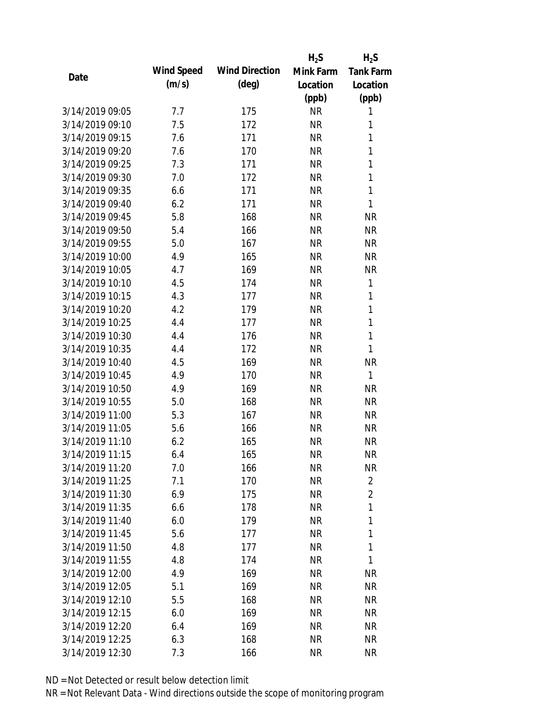|                 |            |                       | $H_2S$    | $H_2S$           |
|-----------------|------------|-----------------------|-----------|------------------|
| Date            | Wind Speed | <b>Wind Direction</b> | Mink Farm | <b>Tank Farm</b> |
|                 | (m/s)      | $(\text{deg})$        | Location  | Location         |
|                 |            |                       | (ppb)     | (ppb)            |
| 3/14/2019 09:05 | 7.7        | 175                   | <b>NR</b> | 1                |
| 3/14/2019 09:10 | 7.5        | 172                   | <b>NR</b> | 1                |
| 3/14/2019 09:15 | 7.6        | 171                   | <b>NR</b> | 1                |
| 3/14/2019 09:20 | 7.6        | 170                   | <b>NR</b> | 1                |
| 3/14/2019 09:25 | 7.3        | 171                   | <b>NR</b> | 1                |
| 3/14/2019 09:30 | 7.0        | 172                   | <b>NR</b> | 1                |
| 3/14/2019 09:35 | 6.6        | 171                   | <b>NR</b> | 1                |
| 3/14/2019 09:40 | 6.2        | 171                   | <b>NR</b> | $\mathbf{1}$     |
| 3/14/2019 09:45 | 5.8        | 168                   | <b>NR</b> | <b>NR</b>        |
| 3/14/2019 09:50 | 5.4        | 166                   | <b>NR</b> | <b>NR</b>        |
| 3/14/2019 09:55 | 5.0        | 167                   | <b>NR</b> | <b>NR</b>        |
| 3/14/2019 10:00 | 4.9        | 165                   | <b>NR</b> | <b>NR</b>        |
| 3/14/2019 10:05 | 4.7        | 169                   | <b>NR</b> | <b>NR</b>        |
| 3/14/2019 10:10 | 4.5        | 174                   | <b>NR</b> | 1                |
| 3/14/2019 10:15 | 4.3        | 177                   | <b>NR</b> | 1                |
| 3/14/2019 10:20 | 4.2        | 179                   | <b>NR</b> | 1                |
| 3/14/2019 10:25 | 4.4        | 177                   | <b>NR</b> | $\mathbf{1}$     |
| 3/14/2019 10:30 | 4.4        | 176                   | <b>NR</b> | 1                |
| 3/14/2019 10:35 | 4.4        | 172                   | <b>NR</b> | 1                |
| 3/14/2019 10:40 | 4.5        | 169                   | <b>NR</b> | <b>NR</b>        |
| 3/14/2019 10:45 | 4.9        | 170                   | <b>NR</b> | 1                |
| 3/14/2019 10:50 | 4.9        | 169                   | <b>NR</b> | <b>NR</b>        |
| 3/14/2019 10:55 | 5.0        | 168                   | <b>NR</b> | <b>NR</b>        |
| 3/14/2019 11:00 | 5.3        | 167                   | <b>NR</b> | <b>NR</b>        |
| 3/14/2019 11:05 | 5.6        | 166                   | <b>NR</b> | <b>NR</b>        |
| 3/14/2019 11:10 | 6.2        | 165                   | <b>NR</b> | <b>NR</b>        |
| 3/14/2019 11:15 | 6.4        | 165                   | <b>NR</b> | <b>NR</b>        |
| 3/14/2019 11:20 | 7.0        | 166                   | <b>NR</b> | <b>NR</b>        |
| 3/14/2019 11:25 | 7.1        | 170                   | <b>NR</b> | $\overline{2}$   |
| 3/14/2019 11:30 | 6.9        | 175                   | <b>NR</b> | $\overline{2}$   |
| 3/14/2019 11:35 | 6.6        | 178                   | <b>NR</b> | 1                |
| 3/14/2019 11:40 | 6.0        | 179                   | <b>NR</b> | 1                |
| 3/14/2019 11:45 | 5.6        | 177                   | <b>NR</b> | 1                |
| 3/14/2019 11:50 | 4.8        | 177                   | <b>NR</b> | 1                |
| 3/14/2019 11:55 | 4.8        | 174                   | <b>NR</b> | 1                |
| 3/14/2019 12:00 | 4.9        | 169                   | <b>NR</b> | <b>NR</b>        |
| 3/14/2019 12:05 | 5.1        | 169                   | <b>NR</b> | <b>NR</b>        |
| 3/14/2019 12:10 | 5.5        | 168                   | <b>NR</b> | <b>NR</b>        |
| 3/14/2019 12:15 | 6.0        | 169                   | <b>NR</b> | NR               |
| 3/14/2019 12:20 | 6.4        | 169                   | <b>NR</b> | NR               |
| 3/14/2019 12:25 | 6.3        | 168                   | <b>NR</b> | <b>NR</b>        |
| 3/14/2019 12:30 | 7.3        | 166                   | <b>NR</b> | <b>NR</b>        |
|                 |            |                       |           |                  |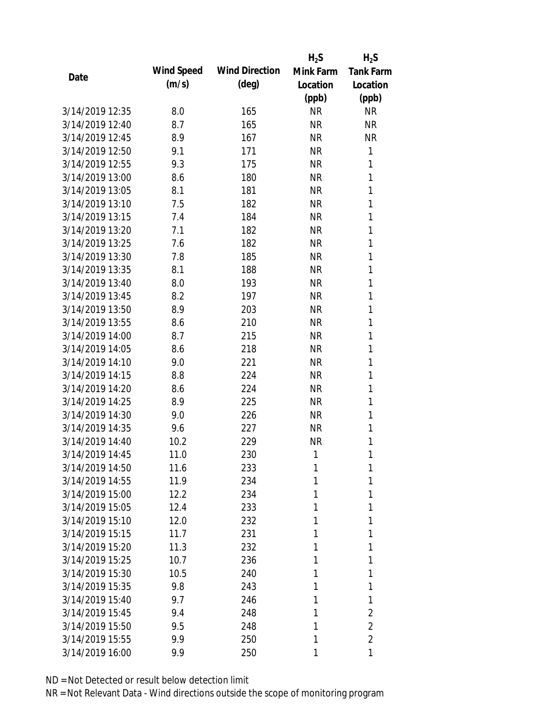|                 |            |                       | $H_2S$    | $H_2S$           |
|-----------------|------------|-----------------------|-----------|------------------|
| Date            | Wind Speed | <b>Wind Direction</b> | Mink Farm | <b>Tank Farm</b> |
|                 | (m/s)      | $(\text{deg})$        | Location  | Location         |
|                 |            |                       | (ppb)     | (ppb)            |
| 3/14/2019 12:35 | 8.0        | 165                   | <b>NR</b> | <b>NR</b>        |
| 3/14/2019 12:40 | 8.7        | 165                   | <b>NR</b> | <b>NR</b>        |
| 3/14/2019 12:45 | 8.9        | 167                   | <b>NR</b> | <b>NR</b>        |
| 3/14/2019 12:50 | 9.1        | 171                   | <b>NR</b> | 1                |
| 3/14/2019 12:55 | 9.3        | 175                   | <b>NR</b> | 1                |
| 3/14/2019 13:00 | 8.6        | 180                   | <b>NR</b> | 1                |
| 3/14/2019 13:05 | 8.1        | 181                   | <b>NR</b> | 1                |
| 3/14/2019 13:10 | 7.5        | 182                   | <b>NR</b> | 1                |
| 3/14/2019 13:15 | 7.4        | 184                   | <b>NR</b> | 1                |
| 3/14/2019 13:20 | 7.1        | 182                   | <b>NR</b> | 1                |
| 3/14/2019 13:25 | 7.6        | 182                   | <b>NR</b> | 1                |
| 3/14/2019 13:30 | 7.8        | 185                   | <b>NR</b> | 1                |
| 3/14/2019 13:35 | 8.1        | 188                   | <b>NR</b> | 1                |
| 3/14/2019 13:40 | 8.0        | 193                   | <b>NR</b> | 1                |
| 3/14/2019 13:45 | 8.2        | 197                   | <b>NR</b> | 1                |
| 3/14/2019 13:50 | 8.9        | 203                   | <b>NR</b> | 1                |
| 3/14/2019 13:55 | 8.6        | 210                   | <b>NR</b> | 1                |
| 3/14/2019 14:00 | 8.7        | 215                   | <b>NR</b> | 1                |
| 3/14/2019 14:05 | 8.6        | 218                   | <b>NR</b> | 1                |
| 3/14/2019 14:10 | 9.0        | 221                   | <b>NR</b> | 1                |
| 3/14/2019 14:15 | 8.8        | 224                   | <b>NR</b> | 1                |
| 3/14/2019 14:20 | 8.6        | 224                   | <b>NR</b> | 1                |
| 3/14/2019 14:25 | 8.9        | 225                   | <b>NR</b> | 1                |
| 3/14/2019 14:30 | 9.0        | 226                   | <b>NR</b> | 1                |
| 3/14/2019 14:35 | 9.6        | 227                   | <b>NR</b> | 1                |
| 3/14/2019 14:40 | 10.2       | 229                   | <b>NR</b> | 1                |
| 3/14/2019 14:45 | 11.0       | 230                   | 1         | 1                |
| 3/14/2019 14:50 | 11.6       | 233                   | 1         | 1                |
| 3/14/2019 14:55 | 11.9       | 234                   | 1         | 1                |
| 3/14/2019 15:00 | 12.2       | 234                   | 1         | 1                |
| 3/14/2019 15:05 | 12.4       | 233                   | 1         | 1                |
| 3/14/2019 15:10 | 12.0       | 232                   | 1         | 1                |
| 3/14/2019 15:15 | 11.7       | 231                   | 1         | 1                |
| 3/14/2019 15:20 | 11.3       | 232                   | 1         | 1                |
| 3/14/2019 15:25 | 10.7       | 236                   | 1         | 1                |
| 3/14/2019 15:30 | 10.5       | 240                   | 1         | 1                |
| 3/14/2019 15:35 | 9.8        | 243                   | 1         | 1                |
| 3/14/2019 15:40 | 9.7        | 246                   | 1         | 1                |
| 3/14/2019 15:45 | 9.4        | 248                   | 1         | 2                |
| 3/14/2019 15:50 | 9.5        | 248                   | 1         | 2                |
| 3/14/2019 15:55 | 9.9        | 250                   | 1         | $\overline{2}$   |
| 3/14/2019 16:00 | 9.9        | 250                   | 1         | 1                |
|                 |            |                       |           |                  |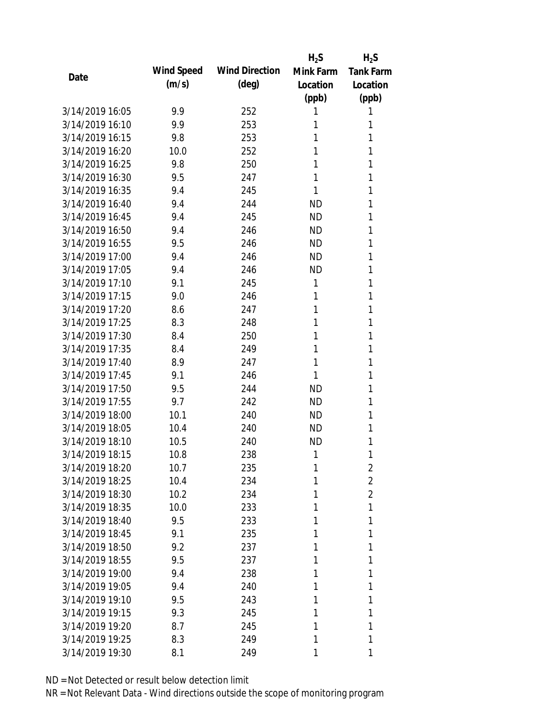|                 |            |                       | $H_2S$    | $H_2S$           |
|-----------------|------------|-----------------------|-----------|------------------|
|                 | Wind Speed | <b>Wind Direction</b> | Mink Farm | <b>Tank Farm</b> |
| Date            | (m/s)      | $(\text{deg})$        | Location  | Location         |
|                 |            |                       | (ppb)     | (ppb)            |
| 3/14/2019 16:05 | 9.9        | 252                   | 1         | 1                |
| 3/14/2019 16:10 | 9.9        | 253                   | 1         | 1                |
| 3/14/2019 16:15 | 9.8        | 253                   | 1         | 1                |
| 3/14/2019 16:20 | 10.0       | 252                   | 1         | 1                |
| 3/14/2019 16:25 | 9.8        | 250                   | 1         | 1                |
| 3/14/2019 16:30 | 9.5        | 247                   | 1         | 1                |
| 3/14/2019 16:35 | 9.4        | 245                   | 1         | 1                |
| 3/14/2019 16:40 | 9.4        | 244                   | <b>ND</b> | 1                |
| 3/14/2019 16:45 | 9.4        | 245                   | <b>ND</b> | 1                |
| 3/14/2019 16:50 | 9.4        | 246                   | <b>ND</b> | 1                |
| 3/14/2019 16:55 | 9.5        | 246                   | <b>ND</b> | 1                |
| 3/14/2019 17:00 | 9.4        | 246                   | <b>ND</b> | 1                |
| 3/14/2019 17:05 | 9.4        | 246                   | <b>ND</b> | 1                |
| 3/14/2019 17:10 | 9.1        | 245                   | 1         | 1                |
| 3/14/2019 17:15 | 9.0        | 246                   | 1         | 1                |
| 3/14/2019 17:20 | 8.6        | 247                   | 1         | 1                |
| 3/14/2019 17:25 | 8.3        | 248                   | 1         | 1                |
| 3/14/2019 17:30 | 8.4        | 250                   | 1         | 1                |
| 3/14/2019 17:35 | 8.4        | 249                   | 1         | 1                |
| 3/14/2019 17:40 | 8.9        | 247                   | 1         | 1                |
| 3/14/2019 17:45 | 9.1        | 246                   | 1         | 1                |
| 3/14/2019 17:50 | 9.5        | 244                   | <b>ND</b> | 1                |
| 3/14/2019 17:55 | 9.7        | 242                   | <b>ND</b> | 1                |
| 3/14/2019 18:00 | 10.1       | 240                   | <b>ND</b> | 1                |
| 3/14/2019 18:05 | 10.4       | 240                   | <b>ND</b> | 1                |
| 3/14/2019 18:10 | 10.5       | 240                   | <b>ND</b> | 1                |
| 3/14/2019 18:15 | 10.8       | 238                   | 1         | 1                |
| 3/14/2019 18:20 | 10.7       | 235                   | 1         | 2                |
| 3/14/2019 18:25 | 10.4       | 234                   | 1         | $\overline{2}$   |
| 3/14/2019 18:30 | 10.2       | 234                   | 1         | $\overline{2}$   |
| 3/14/2019 18:35 | 10.0       | 233                   | 1         | 1                |
| 3/14/2019 18:40 | 9.5        | 233                   | 1         | 1                |
| 3/14/2019 18:45 | 9.1        | 235                   | 1         | 1                |
| 3/14/2019 18:50 | 9.2        | 237                   | 1         | 1                |
| 3/14/2019 18:55 | 9.5        | 237                   | 1         | 1                |
| 3/14/2019 19:00 | 9.4        | 238                   | 1         | 1                |
| 3/14/2019 19:05 | 9.4        | 240                   | 1         | 1                |
| 3/14/2019 19:10 | 9.5        | 243                   | 1         | 1                |
| 3/14/2019 19:15 | 9.3        | 245                   | 1         | 1                |
| 3/14/2019 19:20 | 8.7        | 245                   | 1         | 1                |
| 3/14/2019 19:25 | 8.3        |                       | 1         | 1                |
|                 |            | 249                   |           |                  |
| 3/14/2019 19:30 | 8.1        | 249                   | 1         | 1                |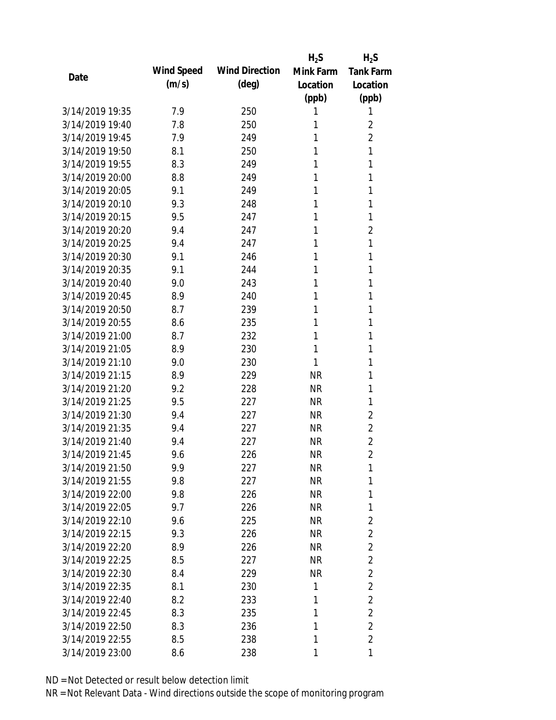|                 |            |                       | $H_2S$    | $H_2S$           |
|-----------------|------------|-----------------------|-----------|------------------|
|                 | Wind Speed | <b>Wind Direction</b> | Mink Farm | <b>Tank Farm</b> |
| Date            | (m/s)      | $(\text{deg})$        | Location  | Location         |
|                 |            |                       | (ppb)     | (ppb)            |
| 3/14/2019 19:35 | 7.9        | 250                   | 1         | 1                |
| 3/14/2019 19:40 | 7.8        | 250                   | 1         | 2                |
| 3/14/2019 19:45 | 7.9        | 249                   | 1         | $\overline{2}$   |
| 3/14/2019 19:50 | 8.1        | 250                   | 1         | 1                |
| 3/14/2019 19:55 | 8.3        | 249                   | 1         | 1                |
| 3/14/2019 20:00 | 8.8        | 249                   | 1         | 1                |
| 3/14/2019 20:05 | 9.1        | 249                   | 1         | 1                |
| 3/14/2019 20:10 | 9.3        | 248                   | 1         | 1                |
| 3/14/2019 20:15 | 9.5        | 247                   | 1         | 1                |
| 3/14/2019 20:20 | 9.4        | 247                   | 1         | $\overline{2}$   |
| 3/14/2019 20:25 | 9.4        | 247                   | 1         | 1                |
| 3/14/2019 20:30 | 9.1        | 246                   | 1         | 1                |
| 3/14/2019 20:35 | 9.1        | 244                   | 1         | 1                |
| 3/14/2019 20:40 | 9.0        | 243                   | 1         | 1                |
| 3/14/2019 20:45 | 8.9        | 240                   | 1         | 1                |
| 3/14/2019 20:50 | 8.7        | 239                   | 1         | 1                |
| 3/14/2019 20:55 | 8.6        | 235                   | 1         | 1                |
| 3/14/2019 21:00 | 8.7        | 232                   | 1         | 1                |
| 3/14/2019 21:05 | 8.9        | 230                   | 1         | 1                |
| 3/14/2019 21:10 | 9.0        | 230                   | 1         | 1                |
| 3/14/2019 21:15 | 8.9        | 229                   | <b>NR</b> | 1                |
| 3/14/2019 21:20 | 9.2        | 228                   | <b>NR</b> | 1                |
| 3/14/2019 21:25 | 9.5        | 227                   | <b>NR</b> | 1                |
| 3/14/2019 21:30 | 9.4        | 227                   | <b>NR</b> | $\overline{2}$   |
| 3/14/2019 21:35 | 9.4        | 227                   | <b>NR</b> | $\overline{2}$   |
| 3/14/2019 21:40 | 9.4        | 227                   | <b>NR</b> | $\overline{2}$   |
| 3/14/2019 21:45 | 9.6        | 226                   | <b>NR</b> | $\overline{2}$   |
| 3/14/2019 21:50 | 9.9        | 227                   | NR        | 1                |
| 3/14/2019 21:55 | 9.8        | 227                   | <b>NR</b> | 1                |
| 3/14/2019 22:00 | 9.8        | 226                   | <b>NR</b> | 1                |
| 3/14/2019 22:05 | 9.7        | 226                   | <b>NR</b> | 1                |
| 3/14/2019 22:10 | 9.6        | 225                   | <b>NR</b> | $\overline{2}$   |
| 3/14/2019 22:15 | 9.3        | 226                   | <b>NR</b> | $\overline{2}$   |
| 3/14/2019 22:20 | 8.9        | 226                   | <b>NR</b> | $\overline{2}$   |
| 3/14/2019 22:25 | 8.5        | 227                   | <b>NR</b> | $\overline{2}$   |
| 3/14/2019 22:30 | 8.4        | 229                   | <b>NR</b> | $\overline{2}$   |
| 3/14/2019 22:35 | 8.1        | 230                   | 1         | $\overline{2}$   |
| 3/14/2019 22:40 | 8.2        | 233                   | 1         | $\overline{2}$   |
| 3/14/2019 22:45 | 8.3        | 235                   | 1         | $\overline{2}$   |
| 3/14/2019 22:50 | 8.3        | 236                   | 1         | $\overline{2}$   |
| 3/14/2019 22:55 | 8.5        | 238                   | 1         | $\overline{2}$   |
| 3/14/2019 23:00 | 8.6        | 238                   | 1         | 1                |
|                 |            |                       |           |                  |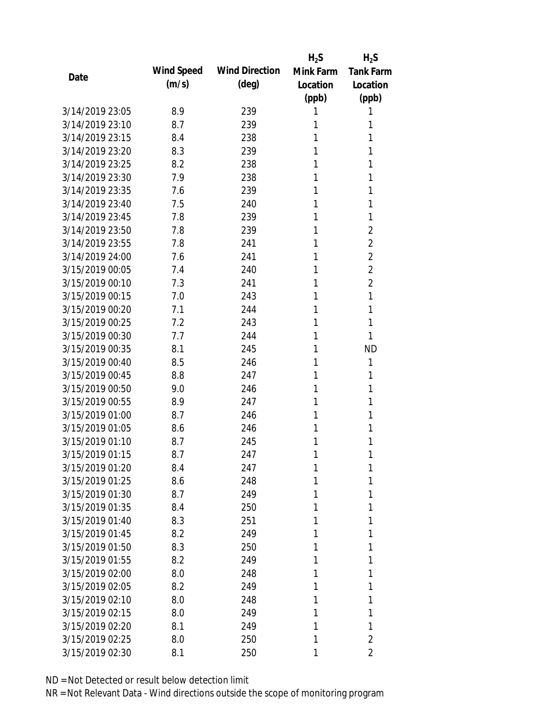|                 |            |                       | $H_2S$    | $H_2S$           |
|-----------------|------------|-----------------------|-----------|------------------|
| Date            | Wind Speed | <b>Wind Direction</b> | Mink Farm | <b>Tank Farm</b> |
|                 | (m/s)      | $(\text{deg})$        | Location  | Location         |
|                 |            |                       | (ppb)     | (ppb)            |
| 3/14/2019 23:05 | 8.9        | 239                   | 1         | 1                |
| 3/14/2019 23:10 | 8.7        | 239                   | 1         | 1                |
| 3/14/2019 23:15 | 8.4        | 238                   | 1         | 1                |
| 3/14/2019 23:20 | 8.3        | 239                   | 1         | 1                |
| 3/14/2019 23:25 | 8.2        | 238                   | 1         | 1                |
| 3/14/2019 23:30 | 7.9        | 238                   | 1         | 1                |
| 3/14/2019 23:35 | 7.6        | 239                   | 1         | 1                |
| 3/14/2019 23:40 | 7.5        | 240                   | 1         | 1                |
| 3/14/2019 23:45 | 7.8        | 239                   | 1         | 1                |
| 3/14/2019 23:50 | 7.8        | 239                   | 1         | $\overline{2}$   |
| 3/14/2019 23:55 | 7.8        | 241                   | 1         | $\overline{2}$   |
| 3/14/2019 24:00 | 7.6        | 241                   | 1         | $\overline{2}$   |
| 3/15/2019 00:05 | 7.4        | 240                   | 1         | $\overline{2}$   |
| 3/15/2019 00:10 | 7.3        | 241                   | 1         | $\overline{2}$   |
| 3/15/2019 00:15 | 7.0        | 243                   | 1         | 1                |
| 3/15/2019 00:20 | 7.1        | 244                   | 1         | 1                |
| 3/15/2019 00:25 | 7.2        | 243                   | 1         | 1                |
| 3/15/2019 00:30 | 7.7        | 244                   | 1         | 1                |
| 3/15/2019 00:35 | 8.1        | 245                   | 1         | <b>ND</b>        |
| 3/15/2019 00:40 | 8.5        | 246                   | 1         | 1                |
| 3/15/2019 00:45 | 8.8        | 247                   | 1         | 1                |
| 3/15/2019 00:50 | 9.0        | 246                   | 1         | 1                |
| 3/15/2019 00:55 | 8.9        | 247                   | 1         | 1                |
| 3/15/2019 01:00 | 8.7        | 246                   | 1         | 1                |
| 3/15/2019 01:05 | 8.6        | 246                   | 1         | 1                |
| 3/15/2019 01:10 | 8.7        | 245                   | 1         | 1                |
| 3/15/2019 01:15 | 8.7        | 247                   | 1         | 1                |
| 3/15/2019 01:20 | 8.4        | 247                   | 1         | 1                |
| 3/15/2019 01:25 | 8.6        | 248                   | 1         | 1                |
| 3/15/2019 01:30 | 8.7        | 249                   | 1         | 1                |
| 3/15/2019 01:35 | 8.4        | 250                   | 1         | 1                |
| 3/15/2019 01:40 | 8.3        | 251                   | 1         | 1                |
| 3/15/2019 01:45 | 8.2        | 249                   | 1         | 1                |
| 3/15/2019 01:50 | 8.3        | 250                   | 1         | 1                |
| 3/15/2019 01:55 | 8.2        | 249                   | 1         | 1                |
| 3/15/2019 02:00 | 8.0        | 248                   | 1         | 1                |
| 3/15/2019 02:05 | 8.2        | 249                   | 1         | 1                |
| 3/15/2019 02:10 | 8.0        | 248                   | 1         | 1                |
| 3/15/2019 02:15 | 8.0        | 249                   | 1         | 1                |
| 3/15/2019 02:20 | 8.1        | 249                   | 1         | 1                |
| 3/15/2019 02:25 | 8.0        | 250                   | 1         | $\overline{2}$   |
| 3/15/2019 02:30 | 8.1        | 250                   | 1         | 2                |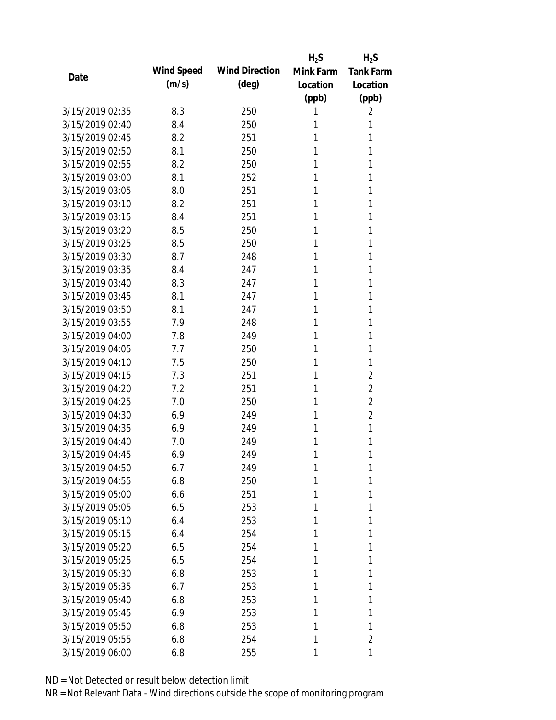|                 |            |                       | $H_2S$    | $H_2S$           |
|-----------------|------------|-----------------------|-----------|------------------|
| Date            | Wind Speed | <b>Wind Direction</b> | Mink Farm | <b>Tank Farm</b> |
|                 | (m/s)      | $(\text{deg})$        | Location  | Location         |
|                 |            |                       | (ppb)     | (ppb)            |
| 3/15/2019 02:35 | 8.3        | 250                   | 1         | 2                |
| 3/15/2019 02:40 | 8.4        | 250                   | 1         | 1                |
| 3/15/2019 02:45 | 8.2        | 251                   | 1         | 1                |
| 3/15/2019 02:50 | 8.1        | 250                   | 1         | 1                |
| 3/15/2019 02:55 | 8.2        | 250                   | 1         | 1                |
| 3/15/2019 03:00 | 8.1        | 252                   | 1         | 1                |
| 3/15/2019 03:05 | 8.0        | 251                   | 1         | 1                |
| 3/15/2019 03:10 | 8.2        | 251                   | 1         | 1                |
| 3/15/2019 03:15 | 8.4        | 251                   | 1         | 1                |
| 3/15/2019 03:20 | 8.5        | 250                   | 1         | 1                |
| 3/15/2019 03:25 | 8.5        | 250                   | 1         | 1                |
| 3/15/2019 03:30 | 8.7        | 248                   | 1         | 1                |
| 3/15/2019 03:35 | 8.4        | 247                   | 1         | 1                |
| 3/15/2019 03:40 | 8.3        | 247                   | 1         | 1                |
| 3/15/2019 03:45 | 8.1        | 247                   | 1         | 1                |
| 3/15/2019 03:50 | 8.1        | 247                   | 1         | 1                |
| 3/15/2019 03:55 | 7.9        | 248                   | 1         | 1                |
| 3/15/2019 04:00 | 7.8        | 249                   | 1         | 1                |
| 3/15/2019 04:05 | 7.7        | 250                   | 1         | 1                |
| 3/15/2019 04:10 | 7.5        | 250                   | 1         | 1                |
| 3/15/2019 04:15 | 7.3        | 251                   | 1         | $\overline{2}$   |
| 3/15/2019 04:20 | 7.2        | 251                   | 1         | 2                |
| 3/15/2019 04:25 | 7.0        | 250                   | 1         | $\overline{2}$   |
| 3/15/2019 04:30 | 6.9        | 249                   | 1         | 2                |
| 3/15/2019 04:35 | 6.9        | 249                   | 1         | 1                |
| 3/15/2019 04:40 | 7.0        | 249                   | 1         | 1                |
| 3/15/2019 04:45 | 6.9        | 249                   | 1         | 1                |
| 3/15/2019 04:50 | 6.7        | 249                   | 1         | 1                |
| 3/15/2019 04:55 | 6.8        | 250                   | 1         | 1                |
| 3/15/2019 05:00 | 6.6        | 251                   | 1         | 1                |
| 3/15/2019 05:05 | 6.5        | 253                   | 1         | 1                |
| 3/15/2019 05:10 | 6.4        | 253                   | 1         | 1                |
| 3/15/2019 05:15 | 6.4        | 254                   | 1         | 1                |
| 3/15/2019 05:20 | 6.5        | 254                   | 1         | 1                |
| 3/15/2019 05:25 | 6.5        | 254                   | 1         | 1                |
| 3/15/2019 05:30 | 6.8        | 253                   | 1         | 1                |
| 3/15/2019 05:35 | 6.7        | 253                   | 1         | 1                |
| 3/15/2019 05:40 | 6.8        | 253                   | 1         | 1                |
| 3/15/2019 05:45 | 6.9        | 253                   | 1         | 1                |
| 3/15/2019 05:50 | 6.8        | 253                   | 1         | 1                |
| 3/15/2019 05:55 | 6.8        | 254                   | 1         | 2                |
| 3/15/2019 06:00 | 6.8        | 255                   | 1         | 1                |
|                 |            |                       |           |                  |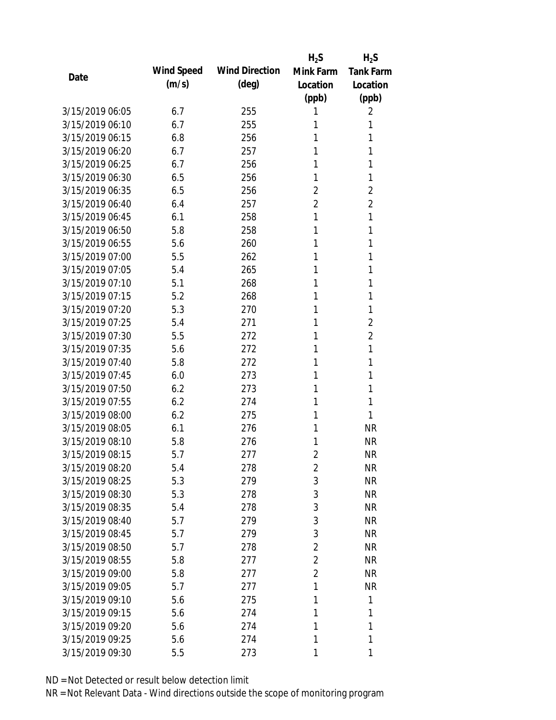|                 |            |                       | $H_2S$         | $H_2S$           |
|-----------------|------------|-----------------------|----------------|------------------|
| Date            | Wind Speed | <b>Wind Direction</b> | Mink Farm      | <b>Tank Farm</b> |
|                 | (m/s)      | $(\text{deg})$        | Location       | Location         |
|                 |            |                       | (ppb)          | (ppb)            |
| 3/15/2019 06:05 | 6.7        | 255                   | 1              | 2                |
| 3/15/2019 06:10 | 6.7        | 255                   | 1              | 1                |
| 3/15/2019 06:15 | 6.8        | 256                   | 1              | 1                |
| 3/15/2019 06:20 | 6.7        | 257                   | 1              | 1                |
| 3/15/2019 06:25 | 6.7        | 256                   | 1              | 1                |
| 3/15/2019 06:30 | 6.5        | 256                   | 1              | 1                |
| 3/15/2019 06:35 | 6.5        | 256                   | 2              | $\overline{2}$   |
| 3/15/2019 06:40 | 6.4        | 257                   | $\overline{2}$ | $\overline{2}$   |
| 3/15/2019 06:45 | 6.1        | 258                   | 1              | 1                |
| 3/15/2019 06:50 | 5.8        | 258                   | 1              | 1                |
| 3/15/2019 06:55 | 5.6        | 260                   | 1              | 1                |
| 3/15/2019 07:00 | 5.5        | 262                   | 1              | 1                |
| 3/15/2019 07:05 | 5.4        | 265                   | 1              | 1                |
| 3/15/2019 07:10 | 5.1        | 268                   | 1              | 1                |
| 3/15/2019 07:15 | 5.2        | 268                   | 1              | 1                |
| 3/15/2019 07:20 | 5.3        | 270                   | 1              | 1                |
| 3/15/2019 07:25 | 5.4        | 271                   | 1              | $\overline{2}$   |
| 3/15/2019 07:30 | 5.5        | 272                   | 1              | $\overline{2}$   |
| 3/15/2019 07:35 | 5.6        | 272                   | 1              | 1                |
| 3/15/2019 07:40 | 5.8        | 272                   | 1              | 1                |
| 3/15/2019 07:45 | 6.0        | 273                   | 1              | 1                |
| 3/15/2019 07:50 | 6.2        | 273                   | 1              | 1                |
| 3/15/2019 07:55 | 6.2        | 274                   | 1              | 1                |
| 3/15/2019 08:00 | 6.2        | 275                   | 1              | 1                |
| 3/15/2019 08:05 | 6.1        | 276                   | 1              | <b>NR</b>        |
| 3/15/2019 08:10 | 5.8        | 276                   | 1              | <b>NR</b>        |
| 3/15/2019 08:15 | 5.7        | 277                   | $\overline{2}$ | <b>NR</b>        |
| 3/15/2019 08:20 | 5.4        | 278                   | $\overline{2}$ | <b>NR</b>        |
| 3/15/2019 08:25 | 5.3        | 279                   | 3              | <b>NR</b>        |
| 3/15/2019 08:30 | 5.3        | 278                   | 3              | <b>NR</b>        |
| 3/15/2019 08:35 | 5.4        | 278                   | 3              | <b>NR</b>        |
| 3/15/2019 08:40 | 5.7        | 279                   | 3              | NR               |
| 3/15/2019 08:45 | 5.7        | 279                   | 3              | <b>NR</b>        |
| 3/15/2019 08:50 | 5.7        | 278                   | $\overline{2}$ | <b>NR</b>        |
| 3/15/2019 08:55 | 5.8        | 277                   | $\overline{2}$ | <b>NR</b>        |
| 3/15/2019 09:00 | 5.8        | 277                   | $\overline{2}$ | <b>NR</b>        |
| 3/15/2019 09:05 | 5.7        | 277                   | 1              | <b>NR</b>        |
| 3/15/2019 09:10 | 5.6        | 275                   | 1              | 1                |
| 3/15/2019 09:15 | 5.6        | 274                   | 1              | 1                |
| 3/15/2019 09:20 | 5.6        | 274                   | 1              | 1                |
| 3/15/2019 09:25 | 5.6        | 274                   | 1              | 1                |
| 3/15/2019 09:30 | 5.5        | 273                   | 1              | 1                |
|                 |            |                       |                |                  |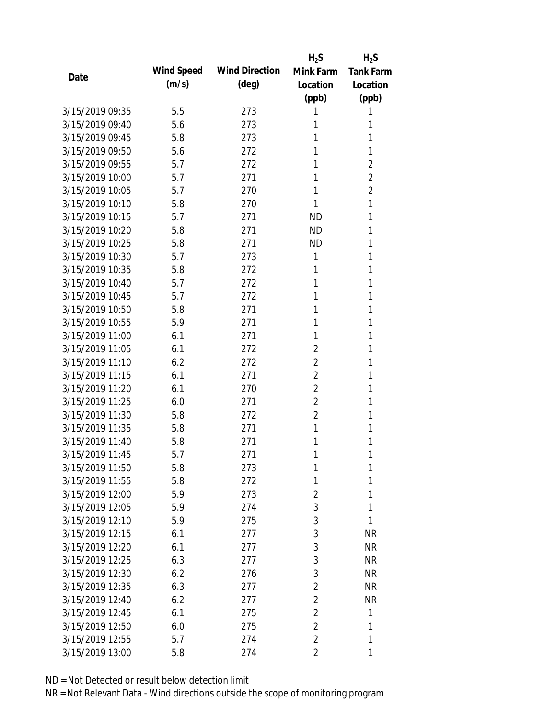|                 |            |                       | $H_2S$         | $H_2S$           |
|-----------------|------------|-----------------------|----------------|------------------|
| Date            | Wind Speed | <b>Wind Direction</b> | Mink Farm      | <b>Tank Farm</b> |
|                 | (m/s)      | $(\text{deg})$        | Location       | Location         |
|                 |            |                       | (ppb)          | (ppb)            |
| 3/15/2019 09:35 | 5.5        | 273                   | 1              | 1                |
| 3/15/2019 09:40 | 5.6        | 273                   | 1              | 1                |
| 3/15/2019 09:45 | 5.8        | 273                   | 1              | 1                |
| 3/15/2019 09:50 | 5.6        | 272                   | 1              | 1                |
| 3/15/2019 09:55 | 5.7        | 272                   | 1              | $\overline{2}$   |
| 3/15/2019 10:00 | 5.7        | 271                   | 1              | $\overline{2}$   |
| 3/15/2019 10:05 | 5.7        | 270                   | 1              | $\overline{2}$   |
| 3/15/2019 10:10 | 5.8        | 270                   | 1              | 1                |
| 3/15/2019 10:15 | 5.7        | 271                   | <b>ND</b>      | 1                |
| 3/15/2019 10:20 | 5.8        | 271                   | <b>ND</b>      | 1                |
| 3/15/2019 10:25 | 5.8        | 271                   | <b>ND</b>      | 1                |
| 3/15/2019 10:30 | 5.7        | 273                   | 1              | 1                |
| 3/15/2019 10:35 | 5.8        | 272                   | 1              | 1                |
| 3/15/2019 10:40 | 5.7        | 272                   | 1              | 1                |
| 3/15/2019 10:45 | 5.7        | 272                   | 1              | 1                |
| 3/15/2019 10:50 | 5.8        | 271                   | 1              | 1                |
| 3/15/2019 10:55 | 5.9        | 271                   | 1              | 1                |
| 3/15/2019 11:00 | 6.1        | 271                   | 1              | 1                |
| 3/15/2019 11:05 | 6.1        | 272                   | $\overline{2}$ | 1                |
| 3/15/2019 11:10 | 6.2        | 272                   | $\overline{2}$ | 1                |
| 3/15/2019 11:15 | 6.1        | 271                   | $\overline{2}$ | 1                |
| 3/15/2019 11:20 | 6.1        | 270                   | $\overline{2}$ | 1                |
| 3/15/2019 11:25 | 6.0        | 271                   | $\overline{2}$ | 1                |
| 3/15/2019 11:30 | 5.8        | 272                   | $\overline{2}$ | 1                |
| 3/15/2019 11:35 | 5.8        | 271                   | 1              | 1                |
| 3/15/2019 11:40 | 5.8        | 271                   | 1              | 1                |
| 3/15/2019 11:45 | 5.7        | 271                   | 1              | 1                |
| 3/15/2019 11:50 | 5.8        | 273                   | 1              | 1                |
| 3/15/2019 11:55 | 5.8        | 272                   | 1              | 1                |
| 3/15/2019 12:00 | 5.9        | 273                   | $\overline{2}$ | 1                |
| 3/15/2019 12:05 | 5.9        | 274                   | 3              | 1                |
| 3/15/2019 12:10 | 5.9        | 275                   | 3              | 1                |
| 3/15/2019 12:15 | 6.1        | 277                   | 3              | <b>NR</b>        |
| 3/15/2019 12:20 | 6.1        | 277                   | 3              | <b>NR</b>        |
| 3/15/2019 12:25 | 6.3        | 277                   | 3              | <b>NR</b>        |
| 3/15/2019 12:30 | 6.2        | 276                   | 3              | <b>NR</b>        |
| 3/15/2019 12:35 | 6.3        | 277                   | $\overline{2}$ | <b>NR</b>        |
| 3/15/2019 12:40 | 6.2        | 277                   | $\overline{2}$ | <b>NR</b>        |
| 3/15/2019 12:45 | 6.1        | 275                   | $\overline{2}$ | 1                |
| 3/15/2019 12:50 | 6.0        | 275                   | $\overline{2}$ | 1                |
| 3/15/2019 12:55 | 5.7        | 274                   | $\overline{2}$ | 1                |
|                 |            |                       |                |                  |
| 3/15/2019 13:00 | 5.8        | 274                   | $\overline{2}$ | 1                |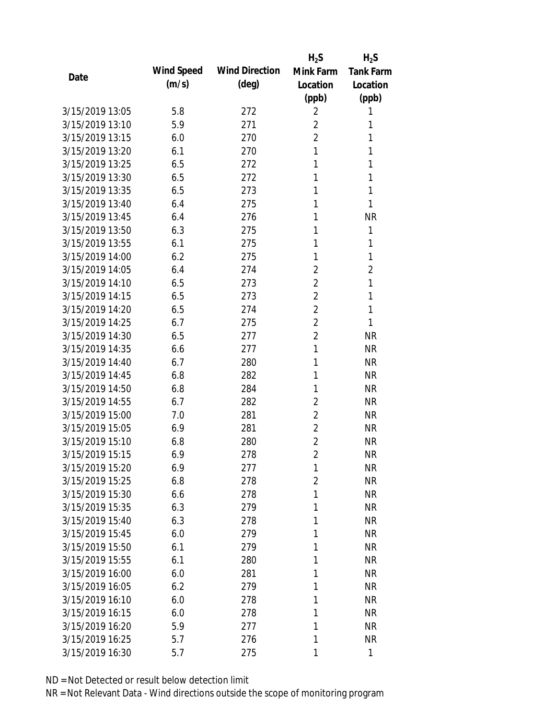|                 |            |                       | $H_2S$         | $H_2S$           |
|-----------------|------------|-----------------------|----------------|------------------|
| Date            | Wind Speed | <b>Wind Direction</b> | Mink Farm      | <b>Tank Farm</b> |
|                 | (m/s)      | $(\text{deg})$        | Location       | Location         |
|                 |            |                       | (ppb)          | (ppb)            |
| 3/15/2019 13:05 | 5.8        | 272                   | $\overline{2}$ | 1                |
| 3/15/2019 13:10 | 5.9        | 271                   | $\overline{2}$ | 1                |
| 3/15/2019 13:15 | 6.0        | 270                   | $\overline{2}$ | 1                |
| 3/15/2019 13:20 | 6.1        | 270                   | 1              | 1                |
| 3/15/2019 13:25 | 6.5        | 272                   | 1              | 1                |
| 3/15/2019 13:30 | 6.5        | 272                   | 1              | 1                |
| 3/15/2019 13:35 | 6.5        | 273                   | 1              | 1                |
| 3/15/2019 13:40 | 6.4        | 275                   | 1              | 1                |
| 3/15/2019 13:45 | 6.4        | 276                   | 1              | <b>NR</b>        |
| 3/15/2019 13:50 | 6.3        | 275                   | 1              | 1                |
| 3/15/2019 13:55 | 6.1        | 275                   | 1              | 1                |
| 3/15/2019 14:00 | 6.2        | 275                   | 1              | 1                |
| 3/15/2019 14:05 | 6.4        | 274                   | $\overline{2}$ | 2                |
| 3/15/2019 14:10 | 6.5        | 273                   | $\overline{2}$ | 1                |
| 3/15/2019 14:15 | 6.5        | 273                   | $\overline{2}$ | 1                |
| 3/15/2019 14:20 | 6.5        | 274                   | $\overline{2}$ | 1                |
| 3/15/2019 14:25 | 6.7        | 275                   | $\overline{2}$ | 1                |
| 3/15/2019 14:30 | 6.5        | 277                   | $\overline{2}$ | <b>NR</b>        |
| 3/15/2019 14:35 | 6.6        | 277                   | 1              | <b>NR</b>        |
| 3/15/2019 14:40 | 6.7        | 280                   | 1              | <b>NR</b>        |
| 3/15/2019 14:45 | 6.8        | 282                   | 1              | <b>NR</b>        |
| 3/15/2019 14:50 | 6.8        | 284                   | 1              | <b>NR</b>        |
| 3/15/2019 14:55 | 6.7        | 282                   | $\overline{2}$ | <b>NR</b>        |
| 3/15/2019 15:00 | 7.0        | 281                   | 2              | <b>NR</b>        |
| 3/15/2019 15:05 | 6.9        | 281                   | 2              | <b>NR</b>        |
| 3/15/2019 15:10 | 6.8        | 280                   | $\overline{2}$ | <b>NR</b>        |
| 3/15/2019 15:15 | 6.9        | 278                   | $\overline{2}$ | <b>NR</b>        |
| 3/15/2019 15:20 | 6.9        | 277                   | 1              | <b>NR</b>        |
| 3/15/2019 15:25 | 6.8        | 278                   | $\overline{2}$ | <b>NR</b>        |
| 3/15/2019 15:30 | 6.6        | 278                   | 1              | <b>NR</b>        |
| 3/15/2019 15:35 | 6.3        | 279                   | 1              | <b>NR</b>        |
| 3/15/2019 15:40 | 6.3        | 278                   | 1              | <b>NR</b>        |
| 3/15/2019 15:45 | 6.0        | 279                   | 1              | <b>NR</b>        |
| 3/15/2019 15:50 | 6.1        | 279                   | 1              | <b>NR</b>        |
| 3/15/2019 15:55 | 6.1        | 280                   | 1              | <b>NR</b>        |
| 3/15/2019 16:00 | 6.0        | 281                   | 1              | <b>NR</b>        |
| 3/15/2019 16:05 | 6.2        | 279                   | 1              | NR               |
| 3/15/2019 16:10 | 6.0        | 278                   | 1              | NR               |
| 3/15/2019 16:15 | 6.0        | 278                   | 1              | <b>NR</b>        |
| 3/15/2019 16:20 | 5.9        | 277                   | 1              | <b>NR</b>        |
| 3/15/2019 16:25 | 5.7        | 276                   | 1              | <b>NR</b>        |
| 3/15/2019 16:30 | 5.7        | 275                   | 1              | 1                |
|                 |            |                       |                |                  |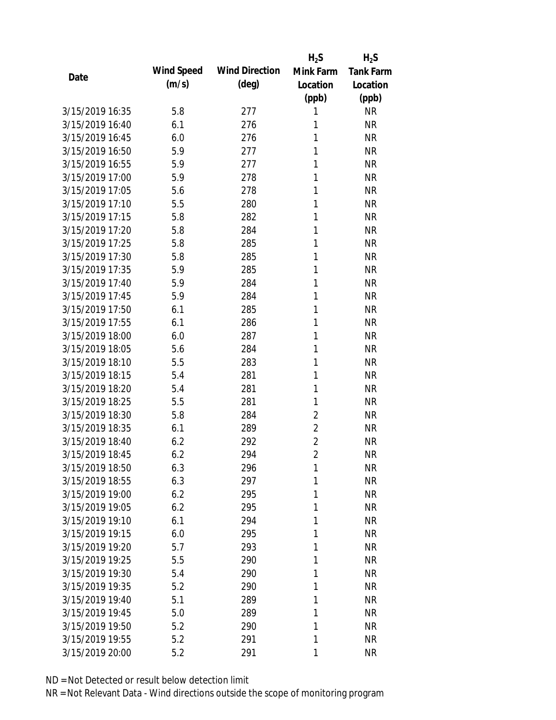|                 |            |                       | $H_2S$         | $H_2S$           |
|-----------------|------------|-----------------------|----------------|------------------|
| Date            | Wind Speed | <b>Wind Direction</b> | Mink Farm      | <b>Tank Farm</b> |
|                 | (m/s)      | $(\text{deg})$        | Location       | Location         |
|                 |            |                       | (ppb)          | (ppb)            |
| 3/15/2019 16:35 | 5.8        | 277                   | 1              | <b>NR</b>        |
| 3/15/2019 16:40 | 6.1        | 276                   | 1              | <b>NR</b>        |
| 3/15/2019 16:45 | 6.0        | 276                   | 1              | <b>NR</b>        |
| 3/15/2019 16:50 | 5.9        | 277                   | 1              | <b>NR</b>        |
| 3/15/2019 16:55 | 5.9        | 277                   | 1              | <b>NR</b>        |
| 3/15/2019 17:00 | 5.9        | 278                   | 1              | <b>NR</b>        |
| 3/15/2019 17:05 | 5.6        | 278                   | 1              | <b>NR</b>        |
| 3/15/2019 17:10 | 5.5        | 280                   | 1              | <b>NR</b>        |
| 3/15/2019 17:15 | 5.8        | 282                   | 1              | <b>NR</b>        |
| 3/15/2019 17:20 | 5.8        | 284                   | 1              | <b>NR</b>        |
| 3/15/2019 17:25 | 5.8        | 285                   | 1              | <b>NR</b>        |
| 3/15/2019 17:30 | 5.8        | 285                   | 1              | <b>NR</b>        |
| 3/15/2019 17:35 | 5.9        | 285                   | 1              | <b>NR</b>        |
| 3/15/2019 17:40 | 5.9        | 284                   | 1              | <b>NR</b>        |
| 3/15/2019 17:45 | 5.9        | 284                   | 1              | <b>NR</b>        |
| 3/15/2019 17:50 | 6.1        | 285                   | 1              | <b>NR</b>        |
| 3/15/2019 17:55 | 6.1        | 286                   | 1              | <b>NR</b>        |
| 3/15/2019 18:00 | 6.0        | 287                   | 1              | <b>NR</b>        |
| 3/15/2019 18:05 | 5.6        | 284                   | 1              | <b>NR</b>        |
| 3/15/2019 18:10 | 5.5        | 283                   | 1              | <b>NR</b>        |
| 3/15/2019 18:15 | 5.4        | 281                   | 1              | <b>NR</b>        |
| 3/15/2019 18:20 | 5.4        | 281                   | 1              | <b>NR</b>        |
| 3/15/2019 18:25 | 5.5        | 281                   | 1              | <b>NR</b>        |
| 3/15/2019 18:30 | 5.8        | 284                   | $\overline{2}$ | <b>NR</b>        |
| 3/15/2019 18:35 | 6.1        | 289                   | $\overline{2}$ | <b>NR</b>        |
| 3/15/2019 18:40 | 6.2        | 292                   | $\overline{2}$ | <b>NR</b>        |
| 3/15/2019 18:45 | 6.2        | 294                   | $\overline{2}$ | <b>NR</b>        |
| 3/15/2019 18:50 | 6.3        | 296                   | $\mathbf{1}$   | <b>NR</b>        |
| 3/15/2019 18:55 | 6.3        | 297                   | 1              | <b>NR</b>        |
| 3/15/2019 19:00 | 6.2        | 295                   | 1              | <b>NR</b>        |
| 3/15/2019 19:05 | 6.2        | 295                   | 1              | <b>NR</b>        |
| 3/15/2019 19:10 | 6.1        | 294                   | 1              | <b>NR</b>        |
| 3/15/2019 19:15 | 6.0        | 295                   | 1              | <b>NR</b>        |
| 3/15/2019 19:20 | 5.7        | 293                   | 1              | <b>NR</b>        |
| 3/15/2019 19:25 | 5.5        | 290                   | 1              | <b>NR</b>        |
| 3/15/2019 19:30 | 5.4        | 290                   | 1              | <b>NR</b>        |
| 3/15/2019 19:35 | 5.2        | 290                   | 1              | <b>NR</b>        |
| 3/15/2019 19:40 | 5.1        | 289                   | 1              | <b>NR</b>        |
| 3/15/2019 19:45 | 5.0        | 289                   | 1              | <b>NR</b>        |
| 3/15/2019 19:50 | 5.2        | 290                   | 1              | <b>NR</b>        |
| 3/15/2019 19:55 | 5.2        | 291                   | 1              | <b>NR</b>        |
| 3/15/2019 20:00 | 5.2        | 291                   | 1              | <b>NR</b>        |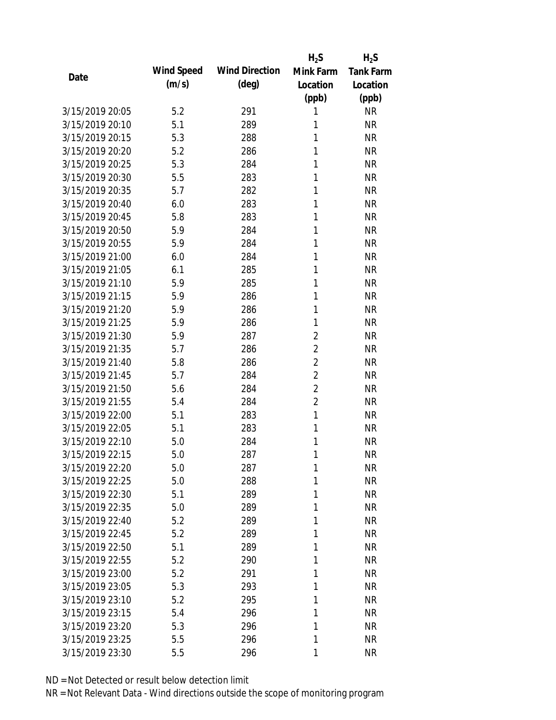|                 |            |                       | $H_2S$         | $H_2S$           |
|-----------------|------------|-----------------------|----------------|------------------|
| Date            | Wind Speed | <b>Wind Direction</b> | Mink Farm      | <b>Tank Farm</b> |
|                 | (m/s)      | $(\text{deg})$        | Location       | Location         |
|                 |            |                       | (ppb)          | (ppb)            |
| 3/15/2019 20:05 | 5.2        | 291                   | 1              | <b>NR</b>        |
| 3/15/2019 20:10 | 5.1        | 289                   | 1              | <b>NR</b>        |
| 3/15/2019 20:15 | 5.3        | 288                   | 1              | <b>NR</b>        |
| 3/15/2019 20:20 | 5.2        | 286                   | 1              | <b>NR</b>        |
| 3/15/2019 20:25 | 5.3        | 284                   | 1              | <b>NR</b>        |
| 3/15/2019 20:30 | 5.5        | 283                   | 1              | <b>NR</b>        |
| 3/15/2019 20:35 | 5.7        | 282                   | 1              | <b>NR</b>        |
| 3/15/2019 20:40 | 6.0        | 283                   | 1              | <b>NR</b>        |
| 3/15/2019 20:45 | 5.8        | 283                   | 1              | <b>NR</b>        |
| 3/15/2019 20:50 | 5.9        | 284                   | 1              | <b>NR</b>        |
| 3/15/2019 20:55 | 5.9        | 284                   | 1              | <b>NR</b>        |
| 3/15/2019 21:00 | 6.0        | 284                   | 1              | <b>NR</b>        |
| 3/15/2019 21:05 | 6.1        | 285                   | 1              | <b>NR</b>        |
| 3/15/2019 21:10 | 5.9        | 285                   | 1              | <b>NR</b>        |
| 3/15/2019 21:15 | 5.9        | 286                   | 1              | <b>NR</b>        |
| 3/15/2019 21:20 | 5.9        | 286                   | 1              | <b>NR</b>        |
| 3/15/2019 21:25 | 5.9        | 286                   | 1              | <b>NR</b>        |
| 3/15/2019 21:30 | 5.9        | 287                   | $\overline{2}$ | <b>NR</b>        |
| 3/15/2019 21:35 | 5.7        | 286                   | $\overline{2}$ | <b>NR</b>        |
| 3/15/2019 21:40 | 5.8        | 286                   | $\overline{2}$ | <b>NR</b>        |
| 3/15/2019 21:45 | 5.7        | 284                   | $\overline{2}$ | <b>NR</b>        |
| 3/15/2019 21:50 | 5.6        | 284                   | $\overline{2}$ | <b>NR</b>        |
| 3/15/2019 21:55 | 5.4        | 284                   | $\overline{2}$ | <b>NR</b>        |
| 3/15/2019 22:00 | 5.1        | 283                   | $\mathbf{1}$   | <b>NR</b>        |
| 3/15/2019 22:05 | 5.1        | 283                   | 1              | <b>NR</b>        |
| 3/15/2019 22:10 | 5.0        | 284                   | 1              | <b>NR</b>        |
| 3/15/2019 22:15 | 5.0        | 287                   | 1              | <b>NR</b>        |
| 3/15/2019 22:20 | 5.0        | 287                   | $\mathbf{1}$   | <b>NR</b>        |
| 3/15/2019 22:25 | 5.0        | 288                   | 1              | <b>NR</b>        |
| 3/15/2019 22:30 | 5.1        | 289                   | 1              | <b>NR</b>        |
| 3/15/2019 22:35 | 5.0        | 289                   | 1              | <b>NR</b>        |
| 3/15/2019 22:40 | 5.2        | 289                   | 1              | <b>NR</b>        |
| 3/15/2019 22:45 | 5.2        | 289                   | 1              | <b>NR</b>        |
| 3/15/2019 22:50 | 5.1        | 289                   | 1              | <b>NR</b>        |
| 3/15/2019 22:55 | 5.2        | 290                   | 1              | <b>NR</b>        |
| 3/15/2019 23:00 | 5.2        | 291                   | 1              | <b>NR</b>        |
| 3/15/2019 23:05 | 5.3        | 293                   | 1              | <b>NR</b>        |
| 3/15/2019 23:10 | 5.2        | 295                   | 1              | <b>NR</b>        |
| 3/15/2019 23:15 | 5.4        | 296                   | 1              | <b>NR</b>        |
| 3/15/2019 23:20 | 5.3        | 296                   | 1              | <b>NR</b>        |
| 3/15/2019 23:25 | 5.5        | 296                   | 1              | <b>NR</b>        |
| 3/15/2019 23:30 | 5.5        | 296                   | 1              | <b>NR</b>        |
|                 |            |                       |                |                  |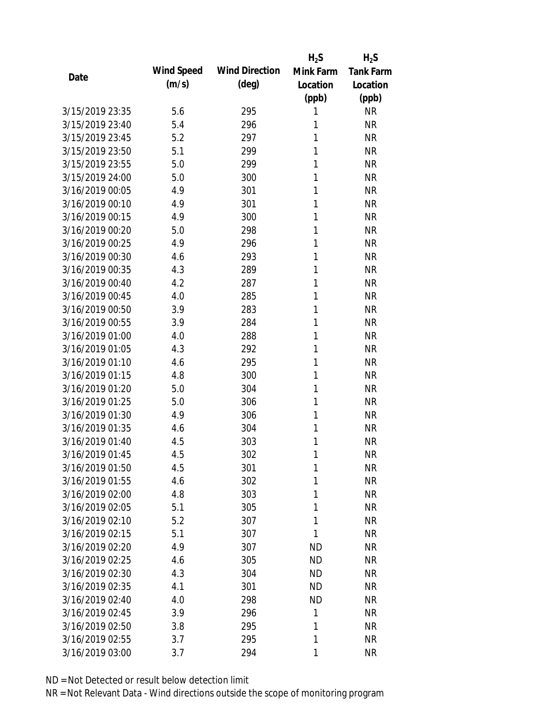|                 |            |                       | $H_2S$    | $H_2S$           |
|-----------------|------------|-----------------------|-----------|------------------|
| Date            | Wind Speed | <b>Wind Direction</b> | Mink Farm | <b>Tank Farm</b> |
|                 | (m/s)      | $(\text{deg})$        | Location  | Location         |
|                 |            |                       | (ppb)     | (ppb)            |
| 3/15/2019 23:35 | 5.6        | 295                   | 1         | <b>NR</b>        |
| 3/15/2019 23:40 | 5.4        | 296                   | 1         | <b>NR</b>        |
| 3/15/2019 23:45 | 5.2        | 297                   | 1         | <b>NR</b>        |
| 3/15/2019 23:50 | 5.1        | 299                   | 1         | <b>NR</b>        |
| 3/15/2019 23:55 | 5.0        | 299                   | 1         | <b>NR</b>        |
| 3/15/2019 24:00 | 5.0        | 300                   | 1         | <b>NR</b>        |
| 3/16/2019 00:05 | 4.9        | 301                   | 1         | <b>NR</b>        |
| 3/16/2019 00:10 | 4.9        | 301                   | 1         | <b>NR</b>        |
| 3/16/2019 00:15 | 4.9        | 300                   | 1         | <b>NR</b>        |
| 3/16/2019 00:20 | 5.0        | 298                   | 1         | <b>NR</b>        |
| 3/16/2019 00:25 | 4.9        | 296                   | 1         | <b>NR</b>        |
| 3/16/2019 00:30 | 4.6        | 293                   | 1         | <b>NR</b>        |
| 3/16/2019 00:35 | 4.3        | 289                   | 1         | <b>NR</b>        |
| 3/16/2019 00:40 | 4.2        | 287                   | 1         | <b>NR</b>        |
| 3/16/2019 00:45 | 4.0        | 285                   | 1         | <b>NR</b>        |
| 3/16/2019 00:50 | 3.9        | 283                   | 1         | <b>NR</b>        |
| 3/16/2019 00:55 | 3.9        | 284                   | 1         | <b>NR</b>        |
| 3/16/2019 01:00 | 4.0        | 288                   | 1         | <b>NR</b>        |
| 3/16/2019 01:05 | 4.3        | 292                   | 1         | <b>NR</b>        |
| 3/16/2019 01:10 | 4.6        | 295                   | 1         | <b>NR</b>        |
| 3/16/2019 01:15 | 4.8        | 300                   | 1         | <b>NR</b>        |
| 3/16/2019 01:20 | 5.0        | 304                   | 1         | <b>NR</b>        |
| 3/16/2019 01:25 | 5.0        | 306                   | 1         | <b>NR</b>        |
| 3/16/2019 01:30 | 4.9        | 306                   | 1         | <b>NR</b>        |
| 3/16/2019 01:35 | 4.6        | 304                   | 1         | <b>NR</b>        |
| 3/16/2019 01:40 | 4.5        | 303                   | 1         | <b>NR</b>        |
| 3/16/2019 01:45 | 4.5        | 302                   | 1         | <b>NR</b>        |
| 3/16/2019 01:50 | 4.5        | 301                   | 1         | <b>NR</b>        |
| 3/16/2019 01:55 | 4.6        | 302                   | 1         | <b>NR</b>        |
| 3/16/2019 02:00 | 4.8        | 303                   | 1         | <b>NR</b>        |
| 3/16/2019 02:05 | 5.1        | 305                   | 1         | <b>NR</b>        |
| 3/16/2019 02:10 | 5.2        | 307                   | 1         | <b>NR</b>        |
| 3/16/2019 02:15 | 5.1        | 307                   | 1         | <b>NR</b>        |
| 3/16/2019 02:20 | 4.9        | 307                   | <b>ND</b> | <b>NR</b>        |
| 3/16/2019 02:25 | 4.6        | 305                   | ND        | <b>NR</b>        |
| 3/16/2019 02:30 | 4.3        | 304                   | <b>ND</b> | <b>NR</b>        |
| 3/16/2019 02:35 | 4.1        | 301                   | ND        | <b>NR</b>        |
| 3/16/2019 02:40 | 4.0        | 298                   | <b>ND</b> | <b>NR</b>        |
| 3/16/2019 02:45 | 3.9        | 296                   | 1         | <b>NR</b>        |
| 3/16/2019 02:50 | 3.8        | 295                   | 1         | <b>NR</b>        |
| 3/16/2019 02:55 | 3.7        | 295                   | 1         | <b>NR</b>        |
| 3/16/2019 03:00 | 3.7        | 294                   | 1         | <b>NR</b>        |
|                 |            |                       |           |                  |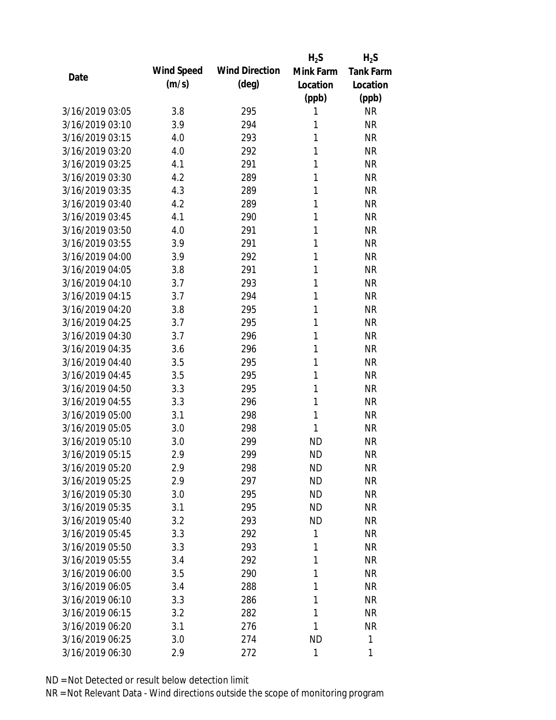|                 |            |                       | $H_2S$    | $H_2S$           |
|-----------------|------------|-----------------------|-----------|------------------|
| Date            | Wind Speed | <b>Wind Direction</b> | Mink Farm | <b>Tank Farm</b> |
|                 | (m/s)      | $(\text{deg})$        | Location  | Location         |
|                 |            |                       | (ppb)     | (ppb)            |
| 3/16/2019 03:05 | 3.8        | 295                   | 1         | <b>NR</b>        |
| 3/16/2019 03:10 | 3.9        | 294                   | 1         | <b>NR</b>        |
| 3/16/2019 03:15 | 4.0        | 293                   | 1         | <b>NR</b>        |
| 3/16/2019 03:20 | 4.0        | 292                   | 1         | <b>NR</b>        |
| 3/16/2019 03:25 | 4.1        | 291                   | 1         | <b>NR</b>        |
| 3/16/2019 03:30 | 4.2        | 289                   | 1         | <b>NR</b>        |
| 3/16/2019 03:35 | 4.3        | 289                   | 1         | <b>NR</b>        |
| 3/16/2019 03:40 | 4.2        | 289                   | 1         | <b>NR</b>        |
| 3/16/2019 03:45 | 4.1        | 290                   | 1         | <b>NR</b>        |
| 3/16/2019 03:50 | 4.0        | 291                   | 1         | <b>NR</b>        |
| 3/16/2019 03:55 | 3.9        | 291                   | 1         | <b>NR</b>        |
| 3/16/2019 04:00 | 3.9        | 292                   | 1         | <b>NR</b>        |
| 3/16/2019 04:05 | 3.8        | 291                   | 1         | <b>NR</b>        |
| 3/16/2019 04:10 | 3.7        | 293                   | 1         | <b>NR</b>        |
| 3/16/2019 04:15 | 3.7        | 294                   | 1         | <b>NR</b>        |
| 3/16/2019 04:20 | 3.8        | 295                   | 1         | <b>NR</b>        |
| 3/16/2019 04:25 | 3.7        | 295                   | 1         | <b>NR</b>        |
| 3/16/2019 04:30 | 3.7        | 296                   | 1         | <b>NR</b>        |
| 3/16/2019 04:35 | 3.6        | 296                   | 1         | <b>NR</b>        |
| 3/16/2019 04:40 | 3.5        | 295                   | 1         | <b>NR</b>        |
| 3/16/2019 04:45 | 3.5        | 295                   | 1         | <b>NR</b>        |
| 3/16/2019 04:50 | 3.3        | 295                   | 1         | <b>NR</b>        |
| 3/16/2019 04:55 | 3.3        | 296                   | 1         | <b>NR</b>        |
| 3/16/2019 05:00 | 3.1        | 298                   | 1         | <b>NR</b>        |
| 3/16/2019 05:05 | 3.0        | 298                   | 1         | <b>NR</b>        |
| 3/16/2019 05:10 | 3.0        | 299                   | <b>ND</b> | <b>NR</b>        |
| 3/16/2019 05:15 | 2.9        | 299                   | <b>ND</b> | <b>NR</b>        |
| 3/16/2019 05:20 | 2.9        | 298                   | <b>ND</b> | <b>NR</b>        |
| 3/16/2019 05:25 | 2.9        | 297                   | <b>ND</b> | <b>NR</b>        |
| 3/16/2019 05:30 | 3.0        | 295                   | <b>ND</b> | <b>NR</b>        |
| 3/16/2019 05:35 | 3.1        | 295                   | <b>ND</b> | <b>NR</b>        |
| 3/16/2019 05:40 | 3.2        | 293                   | <b>ND</b> | <b>NR</b>        |
| 3/16/2019 05:45 | 3.3        | 292                   | 1         | <b>NR</b>        |
| 3/16/2019 05:50 | 3.3        | 293                   | 1         | <b>NR</b>        |
| 3/16/2019 05:55 | 3.4        | 292                   | 1         | <b>NR</b>        |
| 3/16/2019 06:00 | 3.5        | 290                   | 1         | <b>NR</b>        |
| 3/16/2019 06:05 | 3.4        | 288                   | 1         | <b>NR</b>        |
| 3/16/2019 06:10 | 3.3        | 286                   | 1         | <b>NR</b>        |
| 3/16/2019 06:15 | 3.2        | 282                   | 1         | <b>NR</b>        |
| 3/16/2019 06:20 | 3.1        | 276                   | 1         | <b>NR</b>        |
| 3/16/2019 06:25 | 3.0        | 274                   | <b>ND</b> | 1                |
| 3/16/2019 06:30 | 2.9        | 272                   | 1         | 1                |
|                 |            |                       |           |                  |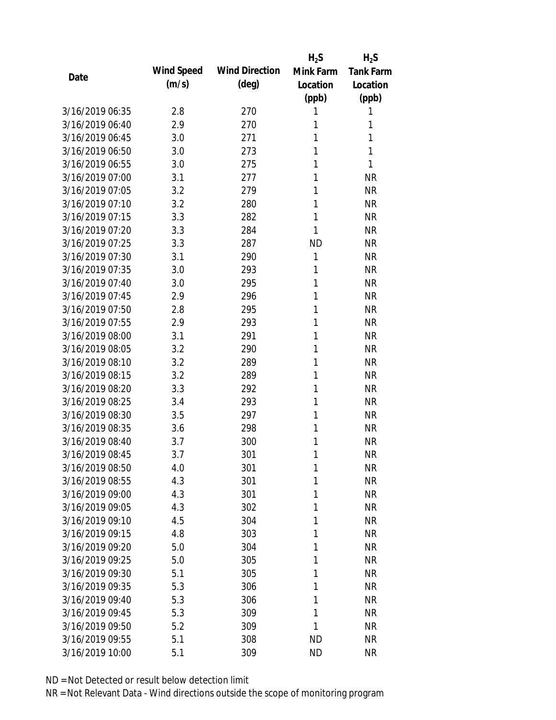|                 |            |                       | $H_2S$    | $H_2S$           |
|-----------------|------------|-----------------------|-----------|------------------|
| Date            | Wind Speed | <b>Wind Direction</b> | Mink Farm | <b>Tank Farm</b> |
|                 | (m/s)      | $(\text{deg})$        | Location  | Location         |
|                 |            |                       | (ppb)     | (ppb)            |
| 3/16/2019 06:35 | 2.8        | 270                   | 1         | 1                |
| 3/16/2019 06:40 | 2.9        | 270                   | 1         | 1                |
| 3/16/2019 06:45 | 3.0        | 271                   | 1         | 1                |
| 3/16/2019 06:50 | 3.0        | 273                   | 1         | 1                |
| 3/16/2019 06:55 | 3.0        | 275                   | 1         | 1                |
| 3/16/2019 07:00 | 3.1        | 277                   | 1         | <b>NR</b>        |
| 3/16/2019 07:05 | 3.2        | 279                   | 1         | <b>NR</b>        |
| 3/16/2019 07:10 | 3.2        | 280                   | 1         | <b>NR</b>        |
| 3/16/2019 07:15 | 3.3        | 282                   | 1         | <b>NR</b>        |
| 3/16/2019 07:20 | 3.3        | 284                   | 1         | <b>NR</b>        |
| 3/16/2019 07:25 | 3.3        | 287                   | <b>ND</b> | <b>NR</b>        |
| 3/16/2019 07:30 | 3.1        | 290                   | 1         | <b>NR</b>        |
| 3/16/2019 07:35 | 3.0        | 293                   | 1         | <b>NR</b>        |
| 3/16/2019 07:40 | 3.0        | 295                   | 1         | <b>NR</b>        |
| 3/16/2019 07:45 | 2.9        | 296                   | 1         | <b>NR</b>        |
| 3/16/2019 07:50 | 2.8        | 295                   | 1         | <b>NR</b>        |
| 3/16/2019 07:55 | 2.9        | 293                   | 1         | <b>NR</b>        |
| 3/16/2019 08:00 | 3.1        | 291                   | 1         | <b>NR</b>        |
| 3/16/2019 08:05 | 3.2        | 290                   | 1         | <b>NR</b>        |
| 3/16/2019 08:10 | 3.2        | 289                   | 1         | <b>NR</b>        |
| 3/16/2019 08:15 | 3.2        | 289                   | 1         | <b>NR</b>        |
| 3/16/2019 08:20 | 3.3        | 292                   | 1         | <b>NR</b>        |
| 3/16/2019 08:25 | 3.4        | 293                   | 1         | <b>NR</b>        |
| 3/16/2019 08:30 | 3.5        | 297                   | 1         | <b>NR</b>        |
| 3/16/2019 08:35 | 3.6        | 298                   | 1         | <b>NR</b>        |
| 3/16/2019 08:40 | 3.7        | 300                   | 1         | <b>NR</b>        |
| 3/16/2019 08:45 | 3.7        | 301                   | 1         | <b>NR</b>        |
| 3/16/2019 08:50 | 4.0        | 301                   | 1         | <b>NR</b>        |
| 3/16/2019 08:55 | 4.3        | 301                   | 1         | <b>NR</b>        |
| 3/16/2019 09:00 | 4.3        | 301                   | 1         | <b>NR</b>        |
| 3/16/2019 09:05 | 4.3        | 302                   | 1         | <b>NR</b>        |
| 3/16/2019 09:10 | 4.5        | 304                   | 1         | <b>NR</b>        |
| 3/16/2019 09:15 | 4.8        | 303                   | 1         | <b>NR</b>        |
| 3/16/2019 09:20 | 5.0        | 304                   | 1         | <b>NR</b>        |
| 3/16/2019 09:25 | 5.0        | 305                   | 1         | <b>NR</b>        |
| 3/16/2019 09:30 | 5.1        | 305                   | 1         | <b>NR</b>        |
| 3/16/2019 09:35 | 5.3        | 306                   | 1         | <b>NR</b>        |
| 3/16/2019 09:40 | 5.3        | 306                   | 1         | <b>NR</b>        |
| 3/16/2019 09:45 | 5.3        | 309                   | 1         | <b>NR</b>        |
| 3/16/2019 09:50 | 5.2        | 309                   | 1         | <b>NR</b>        |
| 3/16/2019 09:55 | 5.1        | 308                   | <b>ND</b> | <b>NR</b>        |
| 3/16/2019 10:00 | 5.1        | 309                   | <b>ND</b> | <b>NR</b>        |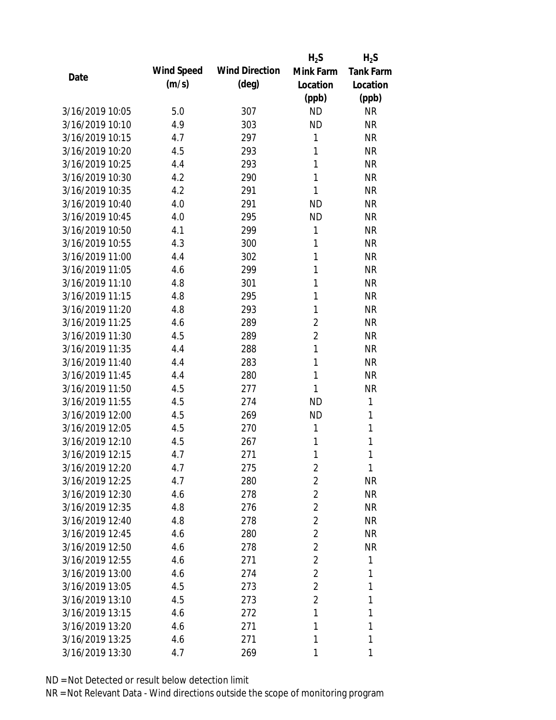|                 |            |                       | $H_2S$         | $H_2S$           |
|-----------------|------------|-----------------------|----------------|------------------|
|                 | Wind Speed | <b>Wind Direction</b> | Mink Farm      | <b>Tank Farm</b> |
| Date            | (m/s)      | $(\text{deg})$        | Location       | Location         |
|                 |            |                       | (ppb)          | (ppb)            |
| 3/16/2019 10:05 | 5.0        | 307                   | <b>ND</b>      | <b>NR</b>        |
| 3/16/2019 10:10 | 4.9        | 303                   | <b>ND</b>      | <b>NR</b>        |
| 3/16/2019 10:15 | 4.7        | 297                   | 1              | <b>NR</b>        |
| 3/16/2019 10:20 | 4.5        | 293                   | 1              | <b>NR</b>        |
| 3/16/2019 10:25 | 4.4        | 293                   | 1              | <b>NR</b>        |
| 3/16/2019 10:30 | 4.2        | 290                   | 1              | <b>NR</b>        |
| 3/16/2019 10:35 | 4.2        | 291                   | 1              | <b>NR</b>        |
| 3/16/2019 10:40 | 4.0        | 291                   | <b>ND</b>      | <b>NR</b>        |
| 3/16/2019 10:45 | 4.0        | 295                   | <b>ND</b>      | <b>NR</b>        |
| 3/16/2019 10:50 | 4.1        | 299                   | 1              | <b>NR</b>        |
| 3/16/2019 10:55 | 4.3        | 300                   | 1              | <b>NR</b>        |
| 3/16/2019 11:00 | 4.4        | 302                   | 1              | <b>NR</b>        |
| 3/16/2019 11:05 | 4.6        | 299                   | 1              | <b>NR</b>        |
| 3/16/2019 11:10 | 4.8        | 301                   | 1              | <b>NR</b>        |
| 3/16/2019 11:15 | 4.8        | 295                   | 1              | <b>NR</b>        |
| 3/16/2019 11:20 | 4.8        | 293                   | 1              | <b>NR</b>        |
| 3/16/2019 11:25 | 4.6        | 289                   | $\overline{2}$ | <b>NR</b>        |
| 3/16/2019 11:30 | 4.5        | 289                   | $\overline{2}$ | <b>NR</b>        |
| 3/16/2019 11:35 | 4.4        | 288                   | 1              | <b>NR</b>        |
| 3/16/2019 11:40 | 4.4        | 283                   | 1              | <b>NR</b>        |
| 3/16/2019 11:45 | 4.4        | 280                   | 1              | <b>NR</b>        |
| 3/16/2019 11:50 | 4.5        | 277                   | 1              | <b>NR</b>        |
| 3/16/2019 11:55 | 4.5        | 274                   | <b>ND</b>      | 1                |
| 3/16/2019 12:00 | 4.5        | 269                   | <b>ND</b>      | 1                |
| 3/16/2019 12:05 | 4.5        | 270                   | 1              | $\mathbf{1}$     |
| 3/16/2019 12:10 | 4.5        | 267                   | 1              | 1                |
| 3/16/2019 12:15 | 4.7        | 271                   | 1              | 1                |
| 3/16/2019 12:20 | 4.7        | 275                   | 2              | 1                |
| 3/16/2019 12:25 | 4.7        | 280                   | 2              | <b>NR</b>        |
| 3/16/2019 12:30 | 4.6        | 278                   | 2              | <b>NR</b>        |
| 3/16/2019 12:35 | 4.8        | 276                   | 2              | <b>NR</b>        |
| 3/16/2019 12:40 | 4.8        | 278                   | $\overline{2}$ | <b>NR</b>        |
| 3/16/2019 12:45 | 4.6        | 280                   | $\overline{2}$ | <b>NR</b>        |
| 3/16/2019 12:50 | 4.6        | 278                   | $\overline{2}$ | <b>NR</b>        |
| 3/16/2019 12:55 | 4.6        | 271                   | $\overline{2}$ | 1                |
| 3/16/2019 13:00 | 4.6        | 274                   | 2              | 1                |
| 3/16/2019 13:05 | 4.5        | 273                   | 2              | 1                |
| 3/16/2019 13:10 | 4.5        | 273                   | 2              | 1                |
| 3/16/2019 13:15 | 4.6        | 272                   | 1              | 1                |
| 3/16/2019 13:20 | 4.6        | 271                   | 1              | 1                |
| 3/16/2019 13:25 | 4.6        | 271                   | 1              | 1                |
| 3/16/2019 13:30 | 4.7        | 269                   | 1              | 1                |
|                 |            |                       |                |                  |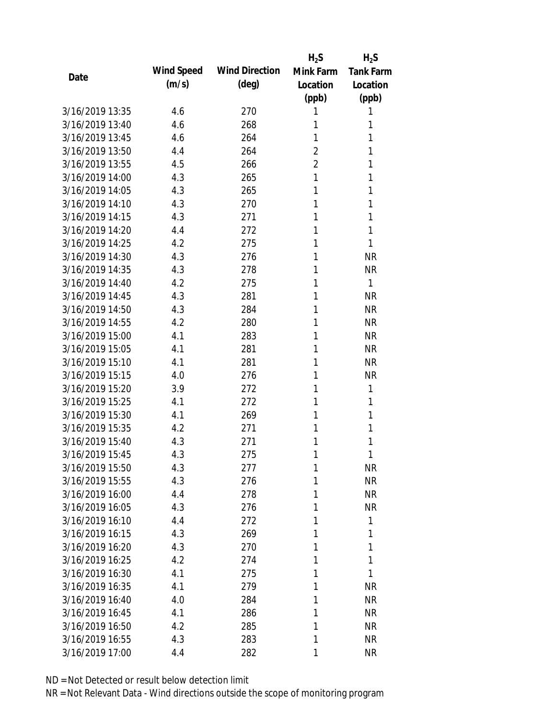|                 |            |                       | $H_2S$         | $H_2S$           |
|-----------------|------------|-----------------------|----------------|------------------|
| Date            | Wind Speed | <b>Wind Direction</b> | Mink Farm      | <b>Tank Farm</b> |
|                 | (m/s)      | $(\text{deg})$        | Location       | Location         |
|                 |            |                       | (ppb)          | (ppb)            |
| 3/16/2019 13:35 | 4.6        | 270                   | 1              | 1                |
| 3/16/2019 13:40 | 4.6        | 268                   | 1              | 1                |
| 3/16/2019 13:45 | 4.6        | 264                   | 1              | 1                |
| 3/16/2019 13:50 | 4.4        | 264                   | $\overline{2}$ | 1                |
| 3/16/2019 13:55 | 4.5        | 266                   | $\overline{2}$ | 1                |
| 3/16/2019 14:00 | 4.3        | 265                   | 1              | 1                |
| 3/16/2019 14:05 | 4.3        | 265                   | 1              | 1                |
| 3/16/2019 14:10 | 4.3        | 270                   | 1              | 1                |
| 3/16/2019 14:15 | 4.3        | 271                   | 1              | 1                |
| 3/16/2019 14:20 | 4.4        | 272                   | 1              | 1                |
| 3/16/2019 14:25 | 4.2        | 275                   | 1              | 1                |
| 3/16/2019 14:30 | 4.3        | 276                   | 1              | <b>NR</b>        |
| 3/16/2019 14:35 | 4.3        | 278                   | 1              | <b>NR</b>        |
| 3/16/2019 14:40 | 4.2        | 275                   | 1              | 1                |
| 3/16/2019 14:45 | 4.3        | 281                   | 1              | <b>NR</b>        |
| 3/16/2019 14:50 | 4.3        | 284                   | 1              | <b>NR</b>        |
| 3/16/2019 14:55 | 4.2        | 280                   | 1              | <b>NR</b>        |
| 3/16/2019 15:00 | 4.1        | 283                   | 1              | <b>NR</b>        |
| 3/16/2019 15:05 | 4.1        | 281                   | 1              | <b>NR</b>        |
| 3/16/2019 15:10 | 4.1        | 281                   | 1              | <b>NR</b>        |
| 3/16/2019 15:15 | 4.0        | 276                   | 1              | <b>NR</b>        |
| 3/16/2019 15:20 | 3.9        | 272                   | 1              | 1                |
| 3/16/2019 15:25 | 4.1        | 272                   | 1              | 1                |
| 3/16/2019 15:30 | 4.1        | 269                   | 1              | 1                |
| 3/16/2019 15:35 | 4.2        | 271                   | 1              | 1                |
| 3/16/2019 15:40 | 4.3        | 271                   | 1              | 1                |
| 3/16/2019 15:45 | 4.3        | 275                   | 1              | 1                |
| 3/16/2019 15:50 | 4.3        | 277                   | 1              | <b>NR</b>        |
| 3/16/2019 15:55 | 4.3        | 276                   | 1              | <b>NR</b>        |
| 3/16/2019 16:00 | 4.4        | 278                   | 1              | <b>NR</b>        |
| 3/16/2019 16:05 | 4.3        | 276                   | 1              | <b>NR</b>        |
| 3/16/2019 16:10 | 4.4        | 272                   | 1              | 1                |
| 3/16/2019 16:15 | 4.3        | 269                   | 1              | 1                |
| 3/16/2019 16:20 | 4.3        | 270                   | 1              | 1                |
| 3/16/2019 16:25 | 4.2        | 274                   | 1              | 1                |
| 3/16/2019 16:30 | 4.1        | 275                   | 1              | 1                |
| 3/16/2019 16:35 | 4.1        | 279                   | 1              | <b>NR</b>        |
| 3/16/2019 16:40 | 4.0        | 284                   | 1              | <b>NR</b>        |
| 3/16/2019 16:45 | 4.1        | 286                   | 1              | <b>NR</b>        |
| 3/16/2019 16:50 | 4.2        | 285                   | 1              | <b>NR</b>        |
| 3/16/2019 16:55 | 4.3        | 283                   | 1              | <b>NR</b>        |
| 3/16/2019 17:00 |            |                       | 1              | <b>NR</b>        |
|                 | 4.4        | 282                   |                |                  |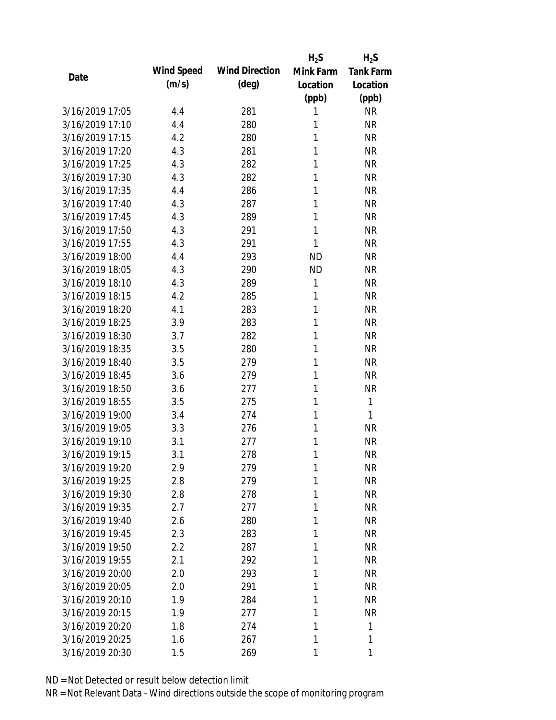|                 |            |                       | $H_2S$    | $H_2S$           |
|-----------------|------------|-----------------------|-----------|------------------|
| Date            | Wind Speed | <b>Wind Direction</b> | Mink Farm | <b>Tank Farm</b> |
|                 | (m/s)      | $(\text{deg})$        | Location  | Location         |
|                 |            |                       | (ppb)     | (ppb)            |
| 3/16/2019 17:05 | 4.4        | 281                   | 1         | <b>NR</b>        |
| 3/16/2019 17:10 | 4.4        | 280                   | 1         | <b>NR</b>        |
| 3/16/2019 17:15 | 4.2        | 280                   | 1         | <b>NR</b>        |
| 3/16/2019 17:20 | 4.3        | 281                   | 1         | <b>NR</b>        |
| 3/16/2019 17:25 | 4.3        | 282                   | 1         | <b>NR</b>        |
| 3/16/2019 17:30 | 4.3        | 282                   | 1         | <b>NR</b>        |
| 3/16/2019 17:35 | 4.4        | 286                   | 1         | <b>NR</b>        |
| 3/16/2019 17:40 | 4.3        | 287                   | 1         | <b>NR</b>        |
| 3/16/2019 17:45 | 4.3        | 289                   | 1         | <b>NR</b>        |
| 3/16/2019 17:50 | 4.3        | 291                   | 1         | <b>NR</b>        |
| 3/16/2019 17:55 | 4.3        | 291                   | 1         | <b>NR</b>        |
| 3/16/2019 18:00 | 4.4        | 293                   | <b>ND</b> | <b>NR</b>        |
| 3/16/2019 18:05 | 4.3        | 290                   | <b>ND</b> | <b>NR</b>        |
| 3/16/2019 18:10 | 4.3        | 289                   | 1         | <b>NR</b>        |
| 3/16/2019 18:15 | 4.2        | 285                   | 1         | <b>NR</b>        |
| 3/16/2019 18:20 | 4.1        | 283                   | 1         | <b>NR</b>        |
| 3/16/2019 18:25 | 3.9        | 283                   | 1         | <b>NR</b>        |
| 3/16/2019 18:30 | 3.7        | 282                   | 1         | <b>NR</b>        |
| 3/16/2019 18:35 | 3.5        | 280                   | 1         | <b>NR</b>        |
| 3/16/2019 18:40 | 3.5        | 279                   | 1         | <b>NR</b>        |
| 3/16/2019 18:45 | 3.6        | 279                   | 1         | <b>NR</b>        |
| 3/16/2019 18:50 | 3.6        | 277                   | 1         | <b>NR</b>        |
| 3/16/2019 18:55 | 3.5        | 275                   | 1         | 1                |
| 3/16/2019 19:00 | 3.4        | 274                   | 1         | 1                |
| 3/16/2019 19:05 | 3.3        | 276                   | 1         | <b>NR</b>        |
| 3/16/2019 19:10 | 3.1        | 277                   | 1         | <b>NR</b>        |
| 3/16/2019 19:15 | 3.1        | 278                   | 1         | <b>NR</b>        |
| 3/16/2019 19:20 | 2.9        | 279                   | 1         | <b>NR</b>        |
| 3/16/2019 19:25 | 2.8        | 279                   | 1         | <b>NR</b>        |
| 3/16/2019 19:30 | 2.8        | 278                   | 1         | <b>NR</b>        |
| 3/16/2019 19:35 | 2.7        | 277                   | 1         | <b>NR</b>        |
| 3/16/2019 19:40 | 2.6        | 280                   | 1         | <b>NR</b>        |
| 3/16/2019 19:45 | 2.3        | 283                   | 1         | <b>NR</b>        |
| 3/16/2019 19:50 | 2.2        | 287                   | 1         | <b>NR</b>        |
| 3/16/2019 19:55 | 2.1        | 292                   | 1         | <b>NR</b>        |
| 3/16/2019 20:00 | 2.0        | 293                   | 1         | <b>NR</b>        |
| 3/16/2019 20:05 | 2.0        | 291                   | 1         | NR               |
| 3/16/2019 20:10 | 1.9        | 284                   | 1         | NR               |
| 3/16/2019 20:15 | 1.9        | 277                   | 1         | <b>NR</b>        |
| 3/16/2019 20:20 | 1.8        | 274                   | 1         | 1                |
| 3/16/2019 20:25 | 1.6        | 267                   | 1         | 1                |
| 3/16/2019 20:30 | 1.5        | 269                   | 1         | 1                |
|                 |            |                       |           |                  |